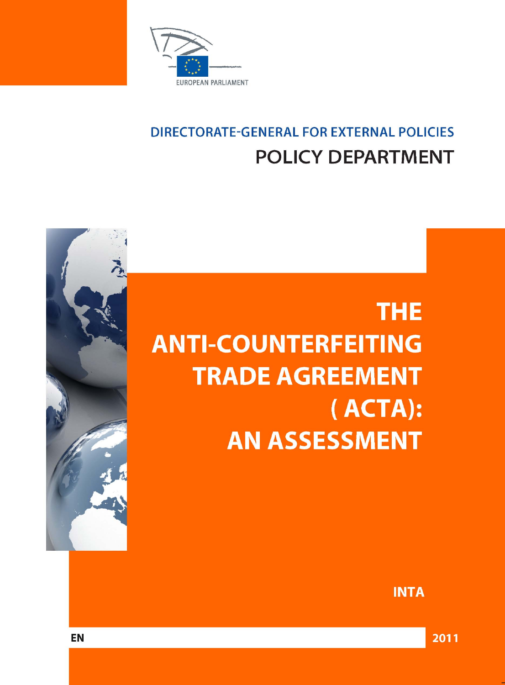

# **DIRECTORATE-GENERAL FOR EXTERNAL POLICIES POLICY DEPARTMENT**





**INTA** 

2011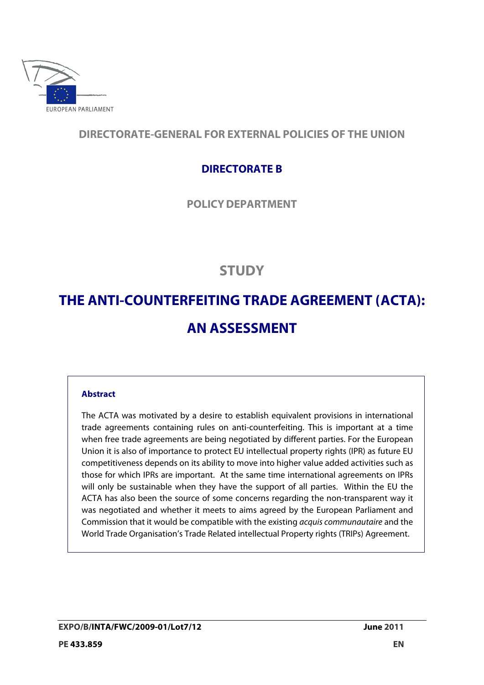

# **DIRECTORATE-GENERAL FOR EXTERNAL POLICIES OF THE UNION**

# **DIRECTORATE B**

**POLICYDEPARTMENT**

# **STUDY**

# **THE ANTI-COUNTERFEITING TRADE AGREEMENT ( ACTA): AN ASSESSMENT**

# **Abstract**

The ACTA was motivated by a desire to establish equivalent provisions in international trade agreements containing rules on anti-counterfeiting. This is important at a time when free trade agreements are being negotiated by different parties. For the European Union it is also of importance to protect EU intellectual property rights (IPR) as future EU competitiveness depends on its ability to move into higher value added activities such as those for which IPRs are important. At the same time international agreements on IPRs will only be sustainable when they have the support of all parties. Within the EU the ACTA has also been the source of some concerns regarding the non-transparent way it was negotiated and whether it meets to aims agreed by the European Parliament and Commission that it would be compatible with the existing acquis communautaire and the World Trade Organisation's Trade Related intellectual Property rights (TRIPs) Agreement.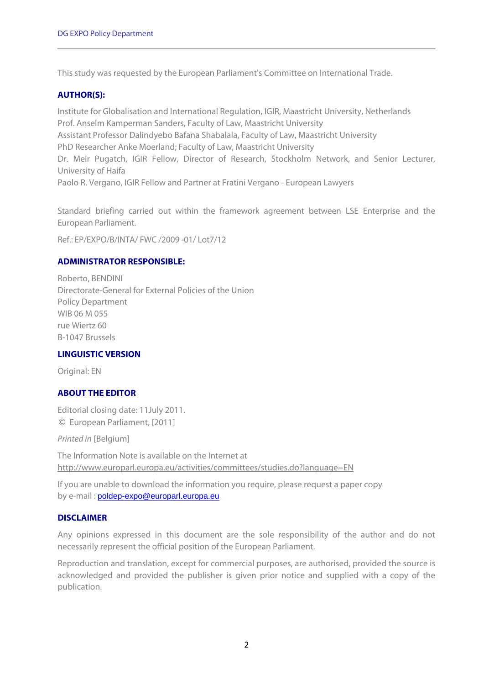This study was requested by the European Parliament's Committee on International Trade.

## **AUTHOR(S):**

Institute for Globalisation and International Regulation, IGIR, Maastricht University, Netherlands Prof. Anselm Kamperman Sanders, Faculty of Law, Maastricht University Assistant Professor Dalindyebo Bafana Shabalala, Faculty of Law, Maastricht University PhD Researcher Anke Moerland; Faculty of Law, Maastricht University Dr. Meir Pugatch, IGIR Fellow, Director of Research, Stockholm Network, and Senior Lecturer, University of Haifa Paolo R. Vergano, IGIR Fellow and Partner at Fratini Vergano - European Lawyers

Standard briefing carried out within the framework agreement between LSE Enterprise and the European Parliament.

Ref.: EP/EXPO/B/INTA/ FWC /2009 -01/ Lot7/12

## **ADMINISTRATOR RESPONSIBLE:**

Roberto, BENDINI Directorate-General for External Policies of the Union Policy Department WIB 06 M 055 rue Wiertz 60 B-1047 Brussels

## **LINGUISTIC VERSION**

Original: EN

# **ABOUT THE EDITOR**

Editorial closing date: 11July 2011. © European Parliament, [2011]

Printed in [Belgium]

The Information Note is available on the Internet at http://www.europarl.europa.eu/activities/committees/studies.do?language=EN

If you are unable to download the information you require, please request a paper copy by e-mail : poldep-expo@europarl.europa.eu

## **DISCLAIMER**

Any opinions expressed in this document are the sole responsibility of the author and do not necessarily represent the official position of the European Parliament.

Reproduction and translation, except for commercial purposes, are authorised, provided the source is acknowledged and provided the publisher is given prior notice and supplied with a copy of the publication.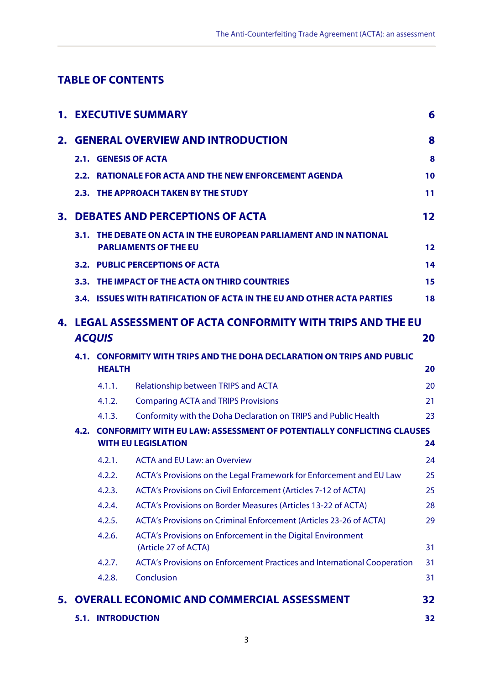# **TABLE OF CONTENTS**

|    |                     |                                                                                                                | <b>1. EXECUTIVE SUMMARY</b>                                                         | 6  |  |
|----|---------------------|----------------------------------------------------------------------------------------------------------------|-------------------------------------------------------------------------------------|----|--|
| 2. |                     |                                                                                                                | <b>GENERAL OVERVIEW AND INTRODUCTION</b>                                            | 8  |  |
|    |                     |                                                                                                                | 2.1. GENESIS OF ACTA                                                                | 8  |  |
|    |                     |                                                                                                                | 2.2. RATIONALE FOR ACTA AND THE NEW ENFORCEMENT AGENDA                              | 10 |  |
|    |                     |                                                                                                                | 2.3. THE APPROACH TAKEN BY THE STUDY                                                | 11 |  |
| 3. |                     |                                                                                                                | <b>DEBATES AND PERCEPTIONS OF ACTA</b>                                              | 12 |  |
|    |                     |                                                                                                                | 3.1. THE DEBATE ON ACTA IN THE EUROPEAN PARLIAMENT AND IN NATIONAL                  |    |  |
|    |                     |                                                                                                                | <b>PARLIAMENTS OF THE EU</b>                                                        | 12 |  |
|    |                     |                                                                                                                | <b>3.2. PUBLIC PERCEPTIONS OF ACTA</b>                                              | 14 |  |
|    |                     |                                                                                                                | 3.3. THE IMPACT OF THE ACTA ON THIRD COUNTRIES                                      | 15 |  |
|    |                     |                                                                                                                | 3.4. ISSUES WITH RATIFICATION OF ACTA IN THE EU AND OTHER ACTA PARTIES              | 18 |  |
| 4. |                     |                                                                                                                | LEGAL ASSESSMENT OF ACTA CONFORMITY WITH TRIPS AND THE EU                           |    |  |
|    | <b>ACQUIS</b><br>20 |                                                                                                                |                                                                                     |    |  |
|    |                     | 4.1. CONFORMITY WITH TRIPS AND THE DOHA DECLARATION ON TRIPS AND PUBLIC<br><b>HEALTH</b>                       |                                                                                     |    |  |
|    |                     | 4.1.1.                                                                                                         | Relationship between TRIPS and ACTA                                                 | 20 |  |
|    |                     | 4.1.2.                                                                                                         | <b>Comparing ACTA and TRIPS Provisions</b>                                          | 21 |  |
|    |                     | 4.1.3.                                                                                                         | Conformity with the Doha Declaration on TRIPS and Public Health                     | 23 |  |
|    |                     | 4.2. CONFORMITY WITH EU LAW: ASSESSMENT OF POTENTIALLY CONFLICTING CLAUSES<br><b>WITH EU LEGISLATION</b><br>24 |                                                                                     |    |  |
|    |                     | 4.2.1.                                                                                                         | <b>ACTA and EU Law: an Overview</b>                                                 | 24 |  |
|    |                     | 4.2.2.                                                                                                         | ACTA's Provisions on the Legal Framework for Enforcement and EU Law                 | 25 |  |
|    |                     | 4.2.3.                                                                                                         | ACTA's Provisions on Civil Enforcement (Articles 7-12 of ACTA)                      | 25 |  |
|    |                     | 4.2.4.                                                                                                         | ACTA's Provisions on Border Measures (Articles 13-22 of ACTA)                       | 28 |  |
|    |                     | 4.2.5.                                                                                                         | ACTA's Provisions on Criminal Enforcement (Articles 23-26 of ACTA)                  | 29 |  |
|    |                     | 4.2.6.                                                                                                         | ACTA's Provisions on Enforcement in the Digital Environment<br>(Article 27 of ACTA) | 31 |  |
|    |                     | 4.2.7.                                                                                                         | ACTA's Provisions on Enforcement Practices and International Cooperation            | 31 |  |
|    |                     | 4.2.8.                                                                                                         | Conclusion                                                                          | 31 |  |
| 5. |                     |                                                                                                                | <b>OVERALL ECONOMIC AND COMMERCIAL ASSESSMENT</b>                                   | 32 |  |
|    |                     | <b>5.1. INTRODUCTION</b>                                                                                       |                                                                                     | 32 |  |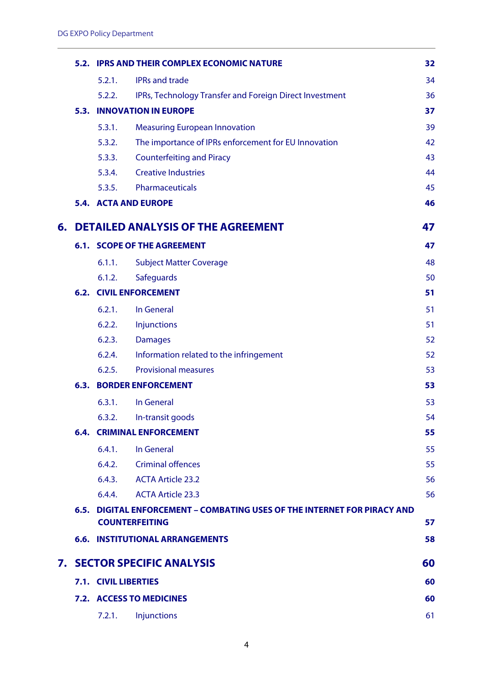|    |                                                                                                   |                             | 5.2. IPRS AND THEIR COMPLEX ECONOMIC NATURE             | 32 |
|----|---------------------------------------------------------------------------------------------------|-----------------------------|---------------------------------------------------------|----|
|    |                                                                                                   | 5.2.1.                      | <b>IPRs and trade</b>                                   | 34 |
|    |                                                                                                   | 5.2.2.                      | IPRs, Technology Transfer and Foreign Direct Investment | 36 |
|    |                                                                                                   |                             | <b>5.3. INNOVATION IN EUROPE</b>                        | 37 |
|    |                                                                                                   | 5.3.1.                      | <b>Measuring European Innovation</b>                    | 39 |
|    |                                                                                                   | 5.3.2.                      | The importance of IPRs enforcement for EU Innovation    | 42 |
|    |                                                                                                   | 5.3.3.                      | <b>Counterfeiting and Piracy</b>                        | 43 |
|    |                                                                                                   | 5.3.4.                      | <b>Creative Industries</b>                              | 44 |
|    |                                                                                                   | 5.3.5.                      | Pharmaceuticals                                         | 45 |
|    |                                                                                                   |                             | <b>5.4. ACTA AND EUROPE</b>                             | 46 |
| 6. |                                                                                                   |                             | <b>DETAILED ANALYSIS OF THE AGREEMENT</b>               | 47 |
|    |                                                                                                   |                             | <b>6.1. SCOPE OF THE AGREEMENT</b>                      | 47 |
|    |                                                                                                   | 6.1.1.                      | <b>Subject Matter Coverage</b>                          | 48 |
|    |                                                                                                   | 6.1.2.                      | <b>Safeguards</b>                                       | 50 |
|    |                                                                                                   |                             | <b>6.2. CIVIL ENFORCEMENT</b>                           | 51 |
|    |                                                                                                   | 6.2.1.                      | In General                                              | 51 |
|    |                                                                                                   | 6.2.2.                      | Injunctions                                             | 51 |
|    |                                                                                                   | 6.2.3.                      | <b>Damages</b>                                          | 52 |
|    |                                                                                                   | 6.2.4.                      | Information related to the infringement                 | 52 |
|    |                                                                                                   | 6.2.5.                      | <b>Provisional measures</b>                             | 53 |
|    |                                                                                                   |                             | <b>6.3. BORDER ENFORCEMENT</b>                          | 53 |
|    |                                                                                                   | 6.3.1.                      | In General                                              | 53 |
|    |                                                                                                   |                             | 6.3.2. In-transit goods                                 | 54 |
|    |                                                                                                   |                             | <b>6.4. CRIMINAL ENFORCEMENT</b>                        | 55 |
|    |                                                                                                   | 6.4.1.                      | In General                                              | 55 |
|    |                                                                                                   |                             | 6.4.2. Criminal offences                                | 55 |
|    |                                                                                                   |                             | 6.4.3. ACTA Article 23.2                                | 56 |
|    |                                                                                                   |                             | 6.4.4. ACTA Article 23.3                                | 56 |
|    | 6.5. DIGITAL ENFORCEMENT – COMBATING USES OF THE INTERNET FOR PIRACY AND<br><b>COUNTERFEITING</b> |                             |                                                         | 57 |
|    |                                                                                                   |                             | <b>6.6. INSTITUTIONAL ARRANGEMENTS</b>                  | 58 |
|    |                                                                                                   |                             | <b>7. SECTOR SPECIFIC ANALYSIS</b>                      | 60 |
|    |                                                                                                   | <b>7.1. CIVIL LIBERTIES</b> |                                                         |    |
|    | 7.2. ACCESS TO MEDICINES                                                                          |                             |                                                         | 60 |
|    |                                                                                                   | 7.2.1.                      | Injunctions                                             | 61 |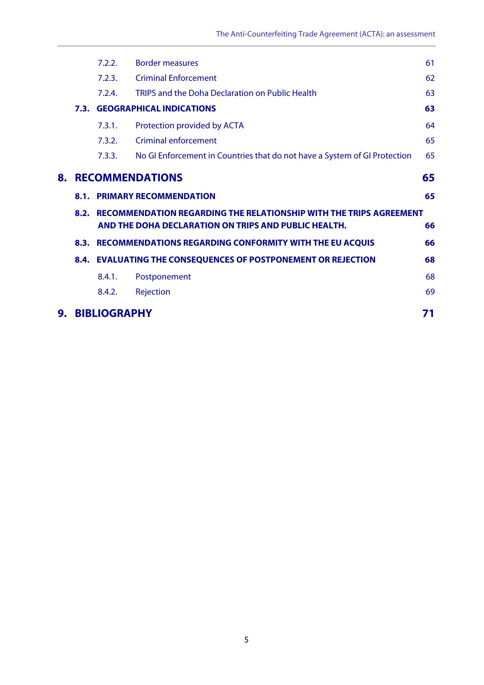|  | 7.2.2.                                               | <b>Border measures</b>                                                    | 61                                                                                                                                                                              |  |  |
|--|------------------------------------------------------|---------------------------------------------------------------------------|---------------------------------------------------------------------------------------------------------------------------------------------------------------------------------|--|--|
|  | 7.2.3.                                               | <b>Criminal Enforcement</b>                                               | 62                                                                                                                                                                              |  |  |
|  | 7.2.4.                                               | TRIPS and the Doha Declaration on Public Health                           | 63                                                                                                                                                                              |  |  |
|  |                                                      | 63                                                                        |                                                                                                                                                                                 |  |  |
|  | 7.3.1.                                               | Protection provided by ACTA                                               | 64                                                                                                                                                                              |  |  |
|  | 7.3.2.                                               | <b>Criminal enforcement</b>                                               | 65                                                                                                                                                                              |  |  |
|  | 7.3.3.                                               | No GI Enforcement in Countries that do not have a System of GI Protection | 65                                                                                                                                                                              |  |  |
|  |                                                      |                                                                           | 65                                                                                                                                                                              |  |  |
|  |                                                      |                                                                           | 65                                                                                                                                                                              |  |  |
|  | AND THE DOHA DECLARATION ON TRIPS AND PUBLIC HEALTH. |                                                                           |                                                                                                                                                                                 |  |  |
|  |                                                      |                                                                           |                                                                                                                                                                                 |  |  |
|  |                                                      |                                                                           |                                                                                                                                                                                 |  |  |
|  |                                                      | 8.3. RECOMMENDATIONS REGARDING CONFORMITY WITH THE EU ACQUIS              | 66                                                                                                                                                                              |  |  |
|  |                                                      | 8.4. EVALUATING THE CONSEQUENCES OF POSTPONEMENT OR REJECTION             | 68                                                                                                                                                                              |  |  |
|  | 8.4.1.                                               | Postponement                                                              | 68                                                                                                                                                                              |  |  |
|  | 8.4.2.                                               | Rejection                                                                 | 69                                                                                                                                                                              |  |  |
|  |                                                      |                                                                           | <b>7.3. GEOGRAPHICAL INDICATIONS</b><br><b>RECOMMENDATIONS</b><br><b>8.1. PRIMARY RECOMMENDATION</b><br>8.2. RECOMMENDATION REGARDING THE RELATIONSHIP WITH THE TRIPS AGREEMENT |  |  |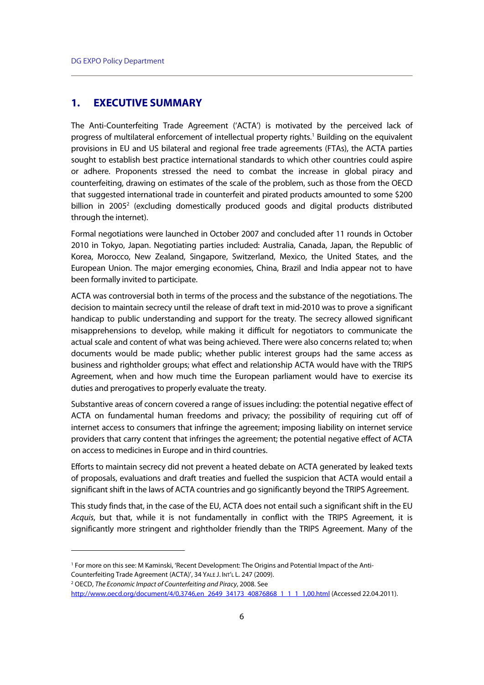# **1. EXECUTIVE SUMMARY**

The Anti-Counterfeiting Trade Agreement ('ACTA') is motivated by the perceived lack of progress of multilateral enforcement of intellectual property rights.<sup>1</sup> Building on the equivalent provisions in EU and US bilateral and regional free trade agreements (FTAs), the ACTA parties sought to establish best practice international standards to which other countries could aspire or adhere. Proponents stressed the need to combat the increase in global piracy and counterfeiting, drawing on estimates of the scale of the problem, such as those from the OECD that suggested international trade in counterfeit and pirated products amounted to some \$200 billion in 2005<sup>2</sup> (excluding domestically produced goods and digital products distributed through the internet).

Formal negotiations were launched in October 2007 and concluded after 11 rounds in October 2010 in Tokyo, Japan. Negotiating parties included: Australia, Canada, Japan, the Republic of Korea, Morocco, New Zealand, Singapore, Switzerland, Mexico, the United States, and the European Union. The major emerging economies, China, Brazil and India appear not to have been formally invited to participate.

ACTA was controversial both in terms of the process and the substance of the negotiations. The decision to maintain secrecy until the release of draft text in mid-2010 was to prove a significant handicap to public understanding and support for the treaty. The secrecy allowed significant misapprehensions to develop, while making it difficult for negotiators to communicate the actual scale and content of what was being achieved. There were also concerns related to; when documents would be made public; whether public interest groups had the same access as business and rightholder groups; what effect and relationship ACTA would have with the TRIPS Agreement, when and how much time the European parliament would have to exercise its duties and prerogatives to properly evaluate the treaty.

Substantive areas of concern covered a range of issues including: the potential negative effect of ACTA on fundamental human freedoms and privacy; the possibility of requiring cut off of internet access to consumers that infringe the agreement; imposing liability on internet service providers that carry content that infringes the agreement; the potential negative effect of ACTA on access to medicines in Europe and in third countries.

Efforts to maintain secrecy did not prevent a heated debate on ACTA generated by leaked texts of proposals, evaluations and draft treaties and fuelled the suspicion that ACTA would entail a significant shift in the laws of ACTA countries and go significantly beyond the TRIPS Agreement.

This study finds that, in the case of the EU, ACTA does not entail such a significant shift in the EU Acquis, but that, while it is not fundamentally in conflict with the TRIPS Agreement, it is significantly more stringent and rightholder friendly than the TRIPS Agreement. Many of the

OECD, The Economic Impact of Counterfeiting and Piracy, 2008. See

<sup>1</sup> For more on this see: M Kaminski, 'Recent Development: The Origins and Potential Impact of the Anti-Counterfeiting Trade Agreement (ACTA)', 34 YALE J. INT'L L. 247 (2009). 2

http://www.oecd.org/document/4/0,3746,en\_2649\_34173\_40876868\_1\_1\_1\_1,00.html (Accessed 22.04.2011).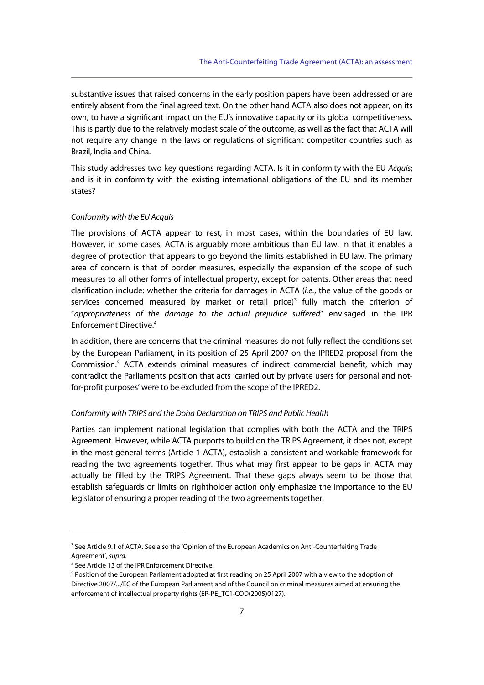substantive issues that raised concerns in the early position papers have been addressed or are entirely absent from the final agreed text. On the other hand ACTA also does not appear, on its own, to have a significant impact on the EU's innovative capacity or its global competitiveness. This is partly due to the relatively modest scale of the outcome, as well as the fact that ACTA will not require any change in the laws or regulations of significant competitor countries such as Brazil, India and China.

This study addresses two key questions regarding ACTA. Is it in conformity with the EU Acquis; and is it in conformity with the existing international obligations of the EU and its member states?

#### Conformity with the EU Acquis

The provisions of ACTA appear to rest, in most cases, within the boundaries of EU law. However, in some cases, ACTA is arguably more ambitious than EU law, in that it enables a degree of protection that appears to go beyond the limits established in EU law. The primary area of concern is that of border measures, especially the expansion of the scope of such measures to all other forms of intellectual property, except for patents. Other areas that need clarification include: whether the criteria for damages in ACTA (i.e., the value of the goods or services concerned measured by market or retail price)<sup>3</sup> fully match the criterion of "appropriateness of the damage to the actual prejudice suffered" envisaged in the IPR Enforcement Directive.4

In addition, there are concerns that the criminal measures do not fully reflect the conditions set by the European Parliament, in its position of 25 April 2007 on the IPRED2 proposal from the Commission.<sup>5</sup> ACTA extends criminal measures of indirect commercial benefit, which may contradict the Parliaments position that acts 'carried out by private users for personal and notfor-profit purposes' were to be excluded from the scope of the IPRED2.

#### Conformity with TRIPS and the Doha Declaration on TRIPS and Public Health

Parties can implement national legislation that complies with both the ACTA and the TRIPS Agreement. However, while ACTA purports to build on the TRIPS Agreement, it does not, except in the most general terms (Article 1 ACTA), establish a consistent and workable framework for reading the two agreements together. Thus what may first appear to be gaps in ACTA may actually be filled by the TRIPS Agreement. That these gaps always seem to be those that establish safeguards or limits on rightholder action only emphasize the importance to the EU legislator of ensuring a proper reading of the two agreements together.

<sup>&</sup>lt;sup>3</sup> See Article 9.1 of ACTA. See also the 'Opinion of the European Academics on Anti-Counterfeiting Trade Agreement', supra. 4

<sup>&</sup>lt;sup>4</sup> See Article 13 of the IPR Enforcement Directive.

<sup>&</sup>lt;sup>5</sup> Position of the European Parliament adopted at first reading on 25 April 2007 with a view to the adoption of Directive 2007/.../EC of the European Parliament and of the Council on criminal measures aimed at ensuring the enforcement of intellectual property rights (EP-PE\_TC1-COD(2005)0127).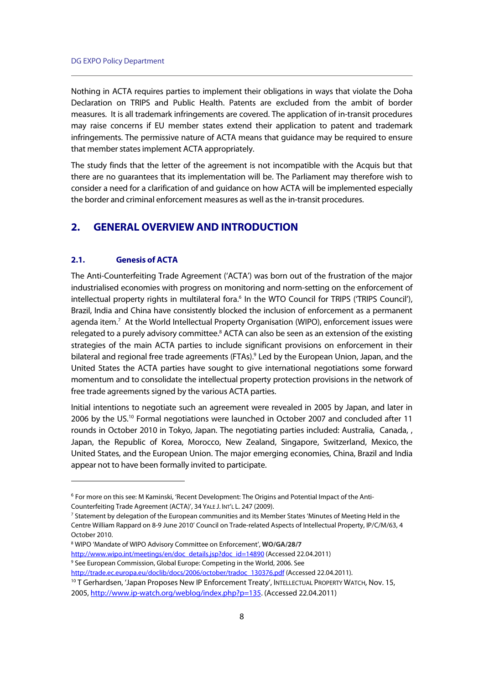Nothing in ACTA requires parties to implement their obligations in ways that violate the Doha Declaration on TRIPS and Public Health. Patents are excluded from the ambit of border measures. It is all trademark infringements are covered. The application of in-transit procedures may raise concerns if EU member states extend their application to patent and trademark infringements. The permissive nature of ACTA means that guidance may be required to ensure that member states implement ACTA appropriately.

The study finds that the letter of the agreement is not incompatible with the Acquis but that there are no guarantees that its implementation will be. The Parliament may therefore wish to consider a need for a clarification of and guidance on how ACTA will be implemented especially the border and criminal enforcement measures as well as the in-transit procedures.

# **2. GENERAL OVERVIEW AND INTRODUCTION**

#### **2.1. Genesis of ACTA**

j

The Anti-Counterfeiting Trade Agreement ('ACTA') was born out of the frustration of the major industrialised economies with progress on monitoring and norm-setting on the enforcement of intellectual property rights in multilateral fora.<sup>6</sup> In the WTO Council for TRIPS ('TRIPS Council'), Brazil, India and China have consistently blocked the inclusion of enforcement as a permanent agenda item.<sup>7</sup> At the World Intellectual Property Organisation (WIPO), enforcement issues were relegated to a purely advisory committee.<sup>8</sup> ACTA can also be seen as an extension of the existing strategies of the main ACTA parties to include significant provisions on enforcement in their bilateral and regional free trade agreements (FTAs).<sup>9</sup> Led by the European Union, Japan, and the United States the ACTA parties have sought to give international negotiations some forward momentum and to consolidate the intellectual property protection provisions in the network of free trade agreements signed by the various ACTA parties.

Initial intentions to negotiate such an agreement were revealed in 2005 by Japan, and later in 2006 by the US.10 Formal negotiations were launched in October 2007 and concluded after 11 rounds in October 2010 in Tokyo, Japan. The negotiating parties included: Australia, Canada, , Japan, the Republic of Korea, Morocco, New Zealand, Singapore, Switzerland, Mexico, the United States, and the European Union. The major emerging economies, China, Brazil and India appear not to have been formally invited to participate.

8 WIPO 'Mandate of WIPO Advisory Committee on Enforcement', **WO/GA/28/7** http://www.wipo.int/meetings/en/doc\_details.jsp?doc\_id=14890 (Accessed 22.04.2011)

<sup>9</sup> See European Commission, Global Europe: Competing in the World, 2006. See

http://trade.ec.europa.eu/doclib/docs/2006/october/tradoc\_130376.pdf (Accessed 22.04.2011). <sup>10</sup> T Gerhardsen, 'Japan Proposes New IP Enforcement Treaty', INTELLECTUAL PROPERTY WATCH, Nov. 15, 2005, http://www.ip-watch.org/weblog/index.php?p=135. (Accessed 22.04.2011)

<sup>6</sup> For more on this see: M Kaminski, 'Recent Development: The Origins and Potential Impact of the Anti-Counterfeiting Trade Agreement (ACTA)', 34 YALE J. INT'L L. 247 (2009).

<sup>7</sup> Statement by delegation of the European communities and its Member States 'Minutes of Meeting Held in the Centre William Rappard on 8-9 June 2010' Council on Trade-related Aspects of Intellectual Property, IP/C/M/63, 4 October 2010.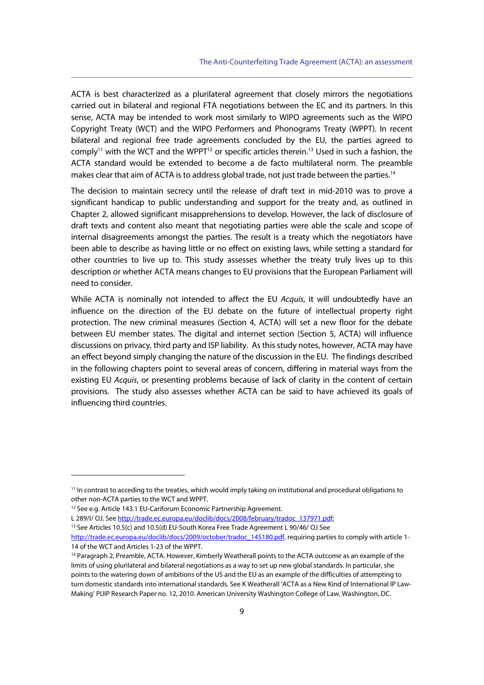ACTA is best characterized as a plurilateral agreement that closely mirrors the negotiations carried out in bilateral and regional FTA negotiations between the EC and its partners. In this sense, ACTA may be intended to work most similarly to WIPO agreements such as the WIPO Copyright Treaty (WCT) and the WIPO Performers and Phonograms Treaty (WPPT). In recent bilateral and regional free trade agreements concluded by the EU, the parties agreed to comply<sup>11</sup> with the WCT and the WPPT<sup>12</sup> or specific articles therein.<sup>13</sup> Used in such a fashion, the ACTA standard would be extended to become a de facto multilateral norm. The preamble makes clear that aim of ACTA is to address global trade, not just trade between the parties.<sup>14</sup>

The decision to maintain secrecy until the release of draft text in mid-2010 was to prove a significant handicap to public understanding and support for the treaty and, as outlined in Chapter 2, allowed significant misapprehensions to develop. However, the lack of disclosure of draft texts and content also meant that negotiating parties were able the scale and scope of internal disagreements amongst the parties. The result is a treaty which the negotiators have been able to describe as having little or no effect on existing laws, while setting a standard for other countries to live up to. This study assesses whether the treaty truly lives up to this description or whether ACTA means changes to EU provisions that the European Parliament will need to consider.

While ACTA is nominally not intended to affect the EU Acquis, it will undoubtedly have an influence on the direction of the EU debate on the future of intellectual property right protection. The new criminal measures (Section 4, ACTA) will set a new floor for the debate between EU member states. The digital and internet section (Section 5, ACTA) will influence discussions on privacy, third party and ISP liability. As this study notes, however, ACTA may have an effect beyond simply changing the nature of the discussion in the EU. The findings described in the following chapters point to several areas of concern, differing in material ways from the existing EU Acquis, or presenting problems because of lack of clarity in the content of certain provisions. The study also assesses whether ACTA can be said to have achieved its goals of influencing third countries.

<sup>&</sup>lt;sup>11</sup> In contrast to acceding to the treaties, which would imply taking on institutional and procedural obligations to other non-ACTA parties to the WCT and WPPT.

<sup>12</sup> See e.g. Article 143.1 EU-Cariforum Economic Partnership Agreement.

L 289/I/ OJ. See http://trade.ec.europa.eu/doclib/docs/2008/february/tradoc\_137971.pdf; 13 See Articles 10.5(c) and 10.5(d) EU-South Korea Free Trade Agreement L 90/46/ OJ See

http://trade.ec.europa.eu/doclib/docs/2009/october/tradoc\_145180.pdf, requiring parties to comply with article 1-14 of the WCT and Articles 1-23 of the WPPT.

<sup>&</sup>lt;sup>14</sup> Paragraph 2, Preamble, ACTA. However, Kimberly Weatherall points to the ACTA outcome as an example of the limits of using plurilateral and bilateral negotiations as a way to set up new global standards. In particular, she points to the watering down of ambitions of the US and the EU as an example of the difficulties of attempting to turn domestic standards into international standards. See K Weatherall 'ACTA as a New Kind of International IP Law-Making' PIJIP Research Paper no. 12, 2010. American University Washington College of Law, Washington, DC.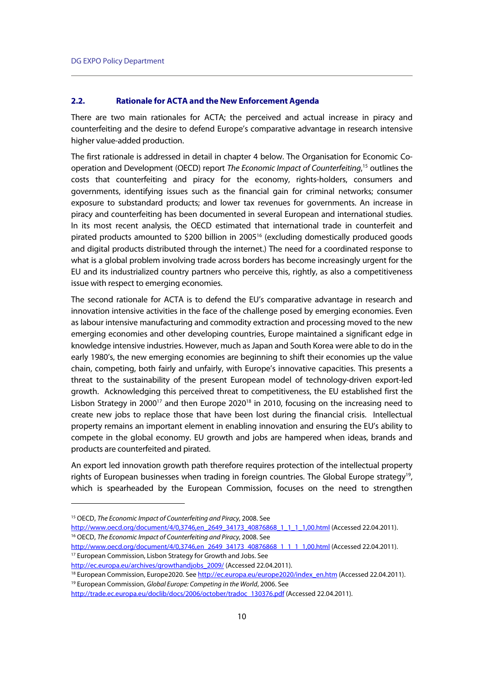#### **2.2. Rationale for ACTA and the New Enforcement Agenda**

There are two main rationales for ACTA; the perceived and actual increase in piracy and counterfeiting and the desire to defend Europe's comparative advantage in research intensive higher value-added production.

The first rationale is addressed in detail in chapter 4 below. The Organisation for Economic Cooperation and Development (OECD) report The Economic Impact of Counterfeiting,<sup>15</sup> outlines the costs that counterfeiting and piracy for the economy, rights-holders, consumers and governments, identifying issues such as the financial gain for criminal networks; consumer exposure to substandard products; and lower tax revenues for governments. An increase in piracy and counterfeiting has been documented in several European and international studies. In its most recent analysis, the OECD estimated that international trade in counterfeit and pirated products amounted to \$200 billion in 200516 (excluding domestically produced goods and digital products distributed through the internet.) The need for a coordinated response to what is a global problem involving trade across borders has become increasingly urgent for the EU and its industrialized country partners who perceive this, rightly, as also a competitiveness issue with respect to emerging economies.

The second rationale for ACTA is to defend the EU's comparative advantage in research and innovation intensive activities in the face of the challenge posed by emerging economies. Even as labour intensive manufacturing and commodity extraction and processing moved to the new emerging economies and other developing countries, Europe maintained a significant edge in knowledge intensive industries. However, much as Japan and South Korea were able to do in the early 1980's, the new emerging economies are beginning to shift their economies up the value chain, competing, both fairly and unfairly, with Europe's innovative capacities. This presents a threat to the sustainability of the present European model of technology-driven export-led growth. Acknowledging this perceived threat to competitiveness, the EU established first the Lisbon Strategy in 2000<sup>17</sup> and then Europe 2020<sup>18</sup> in 2010, focusing on the increasing need to create new jobs to replace those that have been lost during the financial crisis. Intellectual property remains an important element in enabling innovation and ensuring the EU's ability to compete in the global economy. EU growth and jobs are hampered when ideas, brands and products are counterfeited and pirated.

An export led innovation growth path therefore requires protection of the intellectual property rights of European businesses when trading in foreign countries. The Global Europe strategy<sup>19</sup>, which is spearheaded by the European Commission, focuses on the need to strengthen

 $\overline{a}$ 

http://www.oecd.org/document/4/0,3746,en\_2649\_34173\_40876868\_1\_1\_1\_1,00.html (Accessed 22.04.2011).<br><sup>17</sup> European Commission, Lisbon Strategy for Growth and Jobs. See

<sup>&</sup>lt;sup>15</sup> OECD, The Economic Impact of Counterfeiting and Piracy, 2008. See

http://www.oecd.org/document/4/0,3746,en\_2649\_34173\_40876868\_1\_1\_1\_1,00.html (Accessed 22.04.2011). 1<sup>6</sup> OECD, The Economic Impact of Counterfeiting and Piracy, 2008. See

http://ec.europa.eu/archives/growthandjobs 2009/ (Accessed 22.04.2011).<br><sup>18</sup> European Commission, Europe2020. See http://ec.europa.eu/europe2020/index\_en.htm (Accessed 22.04.2011).<br><sup>19</sup> European Commission, *Global Europe:* 

http://trade.ec.europa.eu/doclib/docs/2006/october/tradoc\_130376.pdf (Accessed 22.04.2011).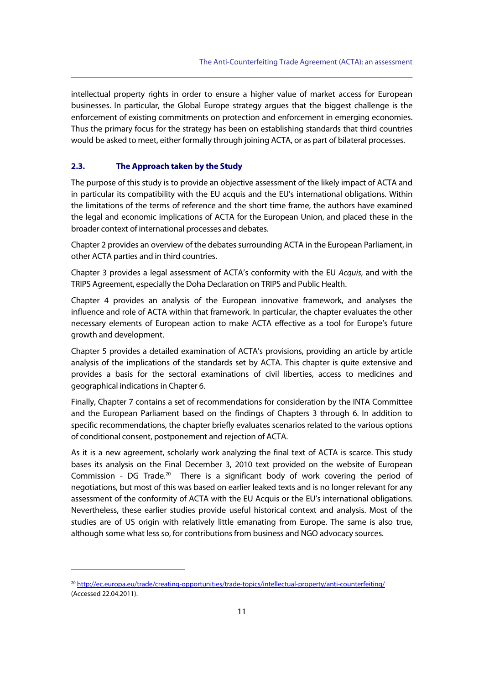intellectual property rights in order to ensure a higher value of market access for European businesses. In particular, the Global Europe strategy argues that the biggest challenge is the enforcement of existing commitments on protection and enforcement in emerging economies. Thus the primary focus for the strategy has been on establishing standards that third countries would be asked to meet, either formally through joining ACTA, or as part of bilateral processes.

#### **2.3. The Approach taken by the Study**

The purpose of this study is to provide an objective assessment of the likely impact of ACTA and in particular its compatibility with the EU acquis and the EU's international obligations. Within the limitations of the terms of reference and the short time frame, the authors have examined the legal and economic implications of ACTA for the European Union, and placed these in the broader context of international processes and debates.

Chapter 2 provides an overview of the debates surrounding ACTA in the European Parliament, in other ACTA parties and in third countries.

Chapter 3 provides a legal assessment of ACTA's conformity with the EU Acquis, and with the TRIPS Agreement, especially the Doha Declaration on TRIPS and Public Health.

Chapter 4 provides an analysis of the European innovative framework, and analyses the influence and role of ACTA within that framework. In particular, the chapter evaluates the other necessary elements of European action to make ACTA effective as a tool for Europe's future growth and development.

Chapter 5 provides a detailed examination of ACTA's provisions, providing an article by article analysis of the implications of the standards set by ACTA. This chapter is quite extensive and provides a basis for the sectoral examinations of civil liberties, access to medicines and geographical indications in Chapter 6.

Finally, Chapter 7 contains a set of recommendations for consideration by the INTA Committee and the European Parliament based on the findings of Chapters 3 through 6. In addition to specific recommendations, the chapter briefly evaluates scenarios related to the various options of conditional consent, postponement and rejection of ACTA.

As it is a new agreement, scholarly work analyzing the final text of ACTA is scarce. This study bases its analysis on the Final December 3, 2010 text provided on the website of European Commission -  $DG$  Trade.<sup>20</sup> There is a significant body of work covering the period of negotiations, but most of this was based on earlier leaked texts and is no longer relevant for any assessment of the conformity of ACTA with the EU Acquis or the EU's international obligations. Nevertheless, these earlier studies provide useful historical context and analysis. Most of the studies are of US origin with relatively little emanating from Europe. The same is also true, although some what less so, for contributions from business and NGO advocacy sources.

<sup>20</sup> http://ec.europa.eu/trade/creating-opportunities/trade-topics/intellectual-property/anti-counterfeiting/ (Accessed 22.04.2011).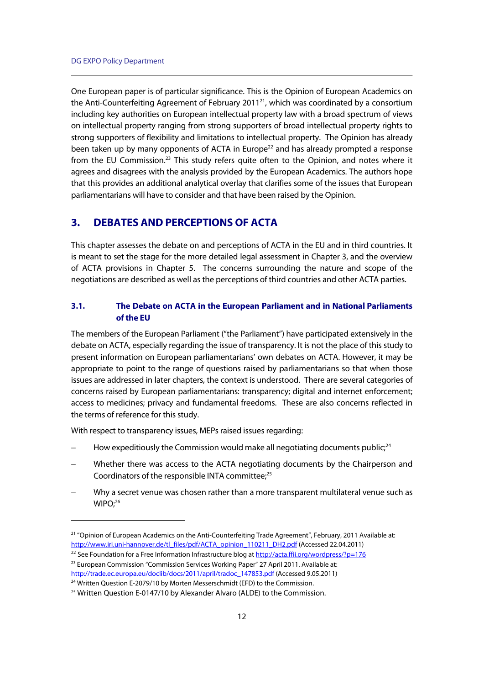One European paper is of particular significance. This is the Opinion of European Academics on the Anti-Counterfeiting Agreement of February 2011<sup>21</sup>, which was coordinated by a consortium including key authorities on European intellectual property law with a broad spectrum of views on intellectual property ranging from strong supporters of broad intellectual property rights to strong supporters of flexibility and limitations to intellectual property. The Opinion has already been taken up by many opponents of ACTA in Europe<sup>22</sup> and has already prompted a response from the EU Commission.<sup>23</sup> This study refers quite often to the Opinion, and notes where it agrees and disagrees with the analysis provided by the European Academics. The authors hope that this provides an additional analytical overlay that clarifies some of the issues that European parliamentarians will have to consider and that have been raised by the Opinion.

# **3. DEBATES AND PERCEPTIONS OF ACTA**

This chapter assesses the debate on and perceptions of ACTA in the EU and in third countries. It is meant to set the stage for the more detailed legal assessment in Chapter 3, and the overview of ACTA provisions in Chapter 5. The concerns surrounding the nature and scope of the negotiations are described as well as the perceptions of third countries and other ACTA parties.

## **3.1. The Debate on ACTA in the European Parliament and in National Parliaments of the EU**

The members of the European Parliament ("the Parliament") have participated extensively in the debate on ACTA, especially regarding the issue of transparency. It is not the place of this study to present information on European parliamentarians' own debates on ACTA. However, it may be appropriate to point to the range of questions raised by parliamentarians so that when those issues are addressed in later chapters, the context is understood. There are several categories of concerns raised by European parliamentarians: transparency; digital and internet enforcement; access to medicines; privacy and fundamental freedoms. These are also concerns reflected in the terms of reference for this study.

With respect to transparency issues, MEPs raised issues regarding:

- How expeditiously the Commission would make all negotiating documents public;<sup>24</sup>
- Whether there was access to the ACTA negotiating documents by the Chairperson and Coordinators of the responsible INTA committee;<sup>25</sup>
- Why a secret venue was chosen rather than a more transparent multilateral venue such as WIPO:<sup>26</sup>

<sup>&</sup>lt;sup>21</sup> "Opinion of European Academics on the Anti-Counterfeiting Trade Agreement", February, 2011 Available at: http://www.iri.uni-hannover.de/tl\_files/pdf/ACTA\_opinion\_110211\_DH2.pdf (Accessed 22.04.2011)

<sup>&</sup>lt;sup>22</sup> See Foundation for a Free Information Infrastructure blog at http://acta.ffii.org/wordpress/?p=176 <sup>23</sup> European Commission "Commission Services Working Paper" 27 April 2011. Available at: http://trade.ec.europa.eu/doclib/docs/2011/april/tradoc\_147853.pdf (Accessed 9.05.2011) <sup>24</sup> Written Question E-2079/10 by Morten Messerschmidt (EFD) to the Commission.

<sup>25</sup> Written Question E-0147/10 by Alexander Alvaro (ALDE) to the Commission.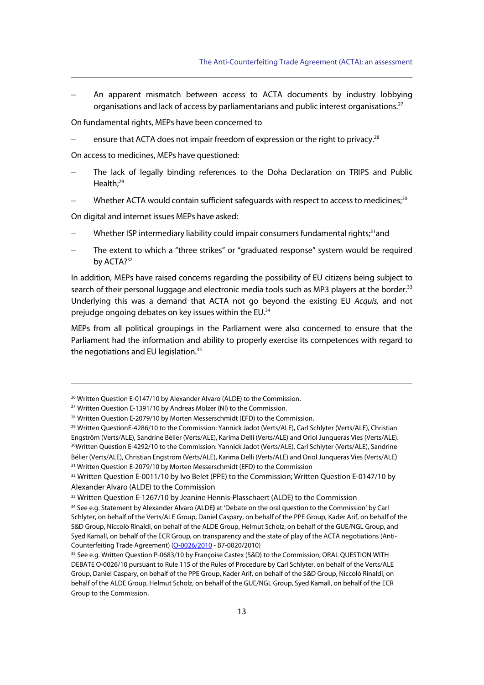An apparent mismatch between access to ACTA documents by industry lobbying organisations and lack of access by parliamentarians and public interest organisations.<sup>27</sup>

On fundamental rights, MEPs have been concerned to

ensure that ACTA does not impair freedom of expression or the right to privacy.<sup>28</sup>

On access to medicines, MEPs have questioned:

- The lack of legally binding references to the Doha Declaration on TRIPS and Public Health:<sup>29</sup>
- Whether ACTA would contain sufficient safeguards with respect to access to medicines;<sup>30</sup>

On digital and internet issues MEPs have asked:

- Whether ISP intermediary liability could impair consumers fundamental rights;<sup>31</sup>and
- The extent to which a "three strikes" or "graduated response" system would be required by ACTA?<sup>32</sup>

In addition, MEPs have raised concerns regarding the possibility of EU citizens being subject to search of their personal luggage and electronic media tools such as MP3 players at the border.<sup>33</sup> Underlying this was a demand that ACTA not go beyond the existing EU Acquis, and not prejudge ongoing debates on key issues within the EU.34

MEPs from all political groupings in the Parliament were also concerned to ensure that the Parliament had the information and ability to properly exercise its competences with regard to the negotiations and EU legislation.<sup>35</sup>

<sup>&</sup>lt;sup>26</sup> Written Question E-0147/10 by Alexander Alvaro (ALDE) to the Commission.<br><sup>27</sup> Written Question E-1391/10 by Andreas Mölzer (NI) to the Commission.

<sup>&</sup>lt;sup>28</sup> Written Question E-2079/10 by Morten Messerschmidt (EFD) to the Commission.

<sup>29</sup> Written QuestionE-4286/10 to the Commission: Yannick Jadot (Verts/ALE), Carl Schlyter (Verts/ALE), Christian Engström (Verts/ALE), Sandrine Bélier (Verts/ALE), Karima Delli (Verts/ALE) and Oriol Junqueras Vies (Verts/ALE).<br><sup>30</sup>Written Question E-4292/10 to the Commission: Yannick Jadot (Verts/ALE), Carl Schlyter (Verts/ALE), Sand Bélier (Verts/ALE), Christian Engström (Verts/ALE), Karima Delli (Verts/ALE) and Oriol Junqueras Vies (Verts/ALE) <sup>31</sup> Written Question E-2079/10 by Morten Messerschmidt (EFD) to the Commission

<sup>&</sup>lt;sup>32</sup> Written Question E-0011/10 by Ivo Belet (PPE) to the Commission; Written Question E-0147/10 by Alexander Alvaro (ALDE) to the Commission

<sup>33</sup> Written Question E-1267/10 by Jeanine Hennis-Plasschaert (ALDE) to the Commission

<sup>34</sup> See e.g. Statement by Alexander Alvaro (ALDE**)** at 'Debate on the oral question to the Commission' by Carl Schlyter, on behalf of the Verts/ALE Group, Daniel Caspary, on behalf of the PPE Group, Kader Arif, on behalf of the S&D Group, Niccolò Rinaldi, on behalf of the ALDE Group, Helmut Scholz, on behalf of the GUE/NGL Group, and Syed Kamall, on behalf of the ECR Group, on transparency and the state of play of the ACTA negotiations (Anti-Counterfeiting Trade Agreement) (O-0026/2010 - B7-0020/2010)<br><sup>35</sup> See e.g. Written Question P-0683/10 by Françoise Castex (S&D) to the Commission; ORAL QUESTION WITH

DEBATE O-0026/10 pursuant to Rule 115 of the Rules of Procedure by Carl Schlyter, on behalf of the Verts/ALE Group, Daniel Caspary, on behalf of the PPE Group, Kader Arif, on behalf of the S&D Group, Niccolò Rinaldi, on behalf of the ALDE Group, Helmut Scholz, on behalf of the GUE/NGL Group, Syed Kamall, on behalf of the ECR Group to the Commission.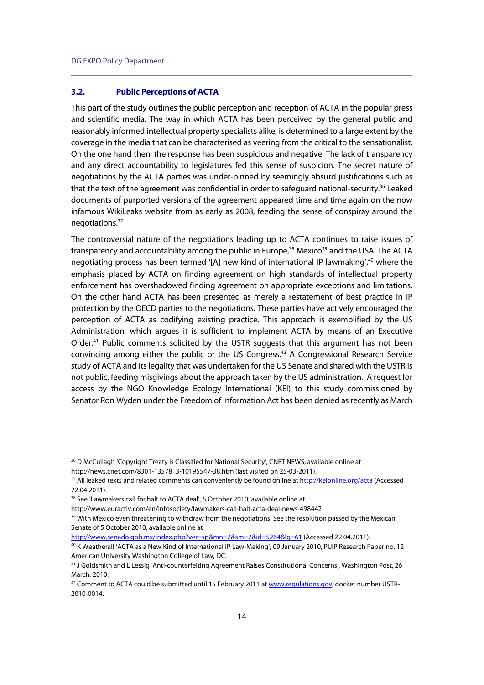$\overline{a}$ 

#### **3.2. Public Perceptions of ACTA**

This part of the study outlines the public perception and reception of ACTA in the popular press and scientific media. The way in which ACTA has been perceived by the general public and reasonably informed intellectual property specialists alike, is determined to a large extent by the coverage in the media that can be characterised as veering from the critical to the sensationalist. On the one hand then, the response has been suspicious and negative. The lack of transparency and any direct accountability to legislatures fed this sense of suspicion. The secret nature of negotiations by the ACTA parties was under-pinned by seemingly absurd justifications such as that the text of the agreement was confidential in order to safeguard national-security.<sup>36</sup> Leaked documents of purported versions of the agreement appeared time and time again on the now infamous WikiLeaks website from as early as 2008, feeding the sense of conspiray around the negotiations.37

The controversial nature of the negotiations leading up to ACTA continues to raise issues of transparency and accountability among the public in Europe,<sup>38</sup> Mexico<sup>39</sup> and the USA. The ACTA negotiating process has been termed '[A] new kind of international IP lawmaking', $40$  where the emphasis placed by ACTA on finding agreement on high standards of intellectual property enforcement has overshadowed finding agreement on appropriate exceptions and limitations. On the other hand ACTA has been presented as merely a restatement of best practice in IP protection by the OECD parties to the negotiations. These parties have actively encouraged the perception of ACTA as codifying existing practice. This approach is exemplified by the US Administration, which argues it is sufficient to implement ACTA by means of an Executive Order.<sup>41</sup> Public comments solicited by the USTR suggests that this argument has not been convincing among either the public or the US Congress.42 A Congressional Research Service study of ACTA and its legality that was undertaken for the US Senate and shared with the USTR is not public, feeding misgivings about the approach taken by the US administration.. A request for access by the NGO Knowledge Ecology International (KEI) to this study commissioned by Senator Ron Wyden under the Freedom of Information Act has been denied as recently as March

<sup>&</sup>lt;sup>36</sup> D McCullagh 'Copyright Treaty is Classified for National Security', CNET NEWS, available online at http://news.cnet.com/8301-13578\_3-10195547-38.htm (last visited on 25-03-2011).

<sup>&</sup>lt;sup>37</sup> All leaked texts and related comments can conveniently be found online at http://keionline.org/acta (Accessed 22.04.2011).

<sup>38</sup> See 'Lawmakers call for halt to ACTA deal', 5 October 2010, available online at

http://www.euractiv.com/en/infosociety/lawmakers-call-halt-acta-deal-news-498442<br><sup>39</sup> With Mexico even threatening to withdraw from the negotiations. See the resolution passed by the Mexican Senate of 5 October 2010, available online at

http://www.senado.gob.mx/index.php?ver=sp&mn=2&sm=2&id=5264&lg=61 (Accessed 22.04.2011).<br><sup>40</sup> K Weatherall 'ACTA as a New Kind of International IP Law-Making', 09 January 2010, PIJIP Research Paper no. 12 American University Washington College of Law, DC.

<sup>41</sup> J Goldsmith and L Lessig 'Anti-counterfeiting Agreement Raises Constitutional Concerns', Washington Post, 26 March, 2010.

<sup>&</sup>lt;sup>42</sup> Comment to ACTA could be submitted until 15 February 2011 at www.regulations.gov, docket number USTR-2010-0014.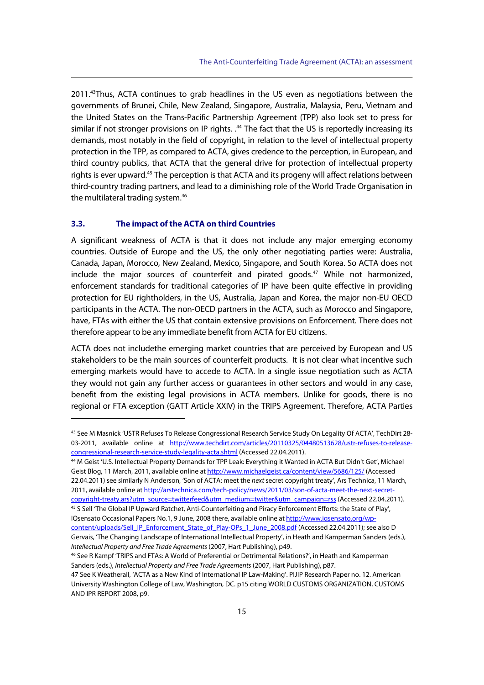2011.43Thus, ACTA continues to grab headlines in the US even as negotiations between the governments of Brunei, Chile, New Zealand, Singapore, Australia, Malaysia, Peru, Vietnam and the United States on the Trans-Pacific Partnership Agreement (TPP) also look set to press for similar if not stronger provisions on IP rights. .<sup>44</sup> The fact that the US is reportedly increasing its demands, most notably in the field of copyright, in relation to the level of intellectual property protection in the TPP, as compared to ACTA, gives credence to the perception, in European, and third country publics, that ACTA that the general drive for protection of intellectual property rights is ever upward.<sup>45</sup> The perception is that ACTA and its progeny will affect relations between third-country trading partners, and lead to a diminishing role of the World Trade Organisation in the multilateral trading system.<sup>46</sup>

#### **3.3. The impact of the ACTA on third Countries**

j

A significant weakness of ACTA is that it does not include any major emerging economy countries. Outside of Europe and the US, the only other negotiating parties were: Australia, Canada, Japan, Morocco, New Zealand, Mexico, Singapore, and South Korea. So ACTA does not include the major sources of counterfeit and pirated goods. $47$  While not harmonized, enforcement standards for traditional categories of IP have been quite effective in providing protection for EU rightholders, in the US, Australia, Japan and Korea, the major non-EU OECD participants in the ACTA. The non-OECD partners in the ACTA, such as Morocco and Singapore, have, FTAs with either the US that contain extensive provisions on Enforcement. There does not therefore appear to be any immediate benefit from ACTA for EU citizens.

ACTA does not includethe emerging market countries that are perceived by European and US stakeholders to be the main sources of counterfeit products. It is not clear what incentive such emerging markets would have to accede to ACTA. In a single issue negotiation such as ACTA they would not gain any further access or guarantees in other sectors and would in any case, benefit from the existing legal provisions in ACTA members. Unlike for goods, there is no regional or FTA exception (GATT Article XXIV) in the TRIPS Agreement. Therefore, ACTA Parties

Geist Blog, 11 March, 2011, available online at http://www.michaelgeist.ca/content/view/5686/125/ (Accessed 22.04.2011) see similarly N Anderson, 'Son of ACTA: meet the next secret copyright treaty', Ars Technica, 11 March, 2011, available online at http://arstechnica.com/tech-policy/news/2011/03/son-of-acta-meet-the-next-secret-

copyright-treaty.ars?utm\_source=twitterfeed&utm\_medium=twitter&utm\_campaign=rss (Accessed 22.04.2011). 45 S Sell 'The Global IP Upward Ratchet, Anti-Counterfeiting and Piracy Enforcement Efforts: the State of Play', IQsensato Occasional Papers No.1, 9 June, 2008 there, available online at http://www.igsensato.org/wp-

<sup>43</sup> See M Masnick 'USTR Refuses To Release Congressional Research Service Study On Legality Of ACTA', TechDirt 28- 03-2011, available online at http://www.techdirt.com/articles/20110325/04480513628/ustr-refuses-to-releasecongressional-research-service-study-legality-acta.shtml (Accessed 22.04.2011). 44 M Geist 'U.S. Intellectual Property Demands for TPP Leak: Everything it Wanted in ACTA But Didn't Get', Michael

content/uploads/Sell\_IP\_Enforcement\_State\_of\_Play-OPs\_1\_June\_2008.pdf (Accessed 22.04.2011); see also D Gervais, 'The Changing Landscape of International Intellectual Property', in Heath and Kamperman Sanders (eds.), Intellectual Property and Free Trade Agreements (2007, Hart Publishing), p49.<br><sup>46</sup> See R Kampf 'TRIPS and FTAs: A World of Preferential or Detrimental Relations?', in Heath and Kamperman

Sanders (eds.), Intellectual Property and Free Trade Agreements (2007, Hart Publishing), p87.

<sup>47</sup> See K Weatherall, 'ACTA as a New Kind of International IP Law-Making'. PIJIP Research Paper no. 12. American University Washington College of Law, Washington, DC. p15 citing WORLD CUSTOMS ORGANIZATION, CUSTOMS AND IPR REPORT 2008, p9.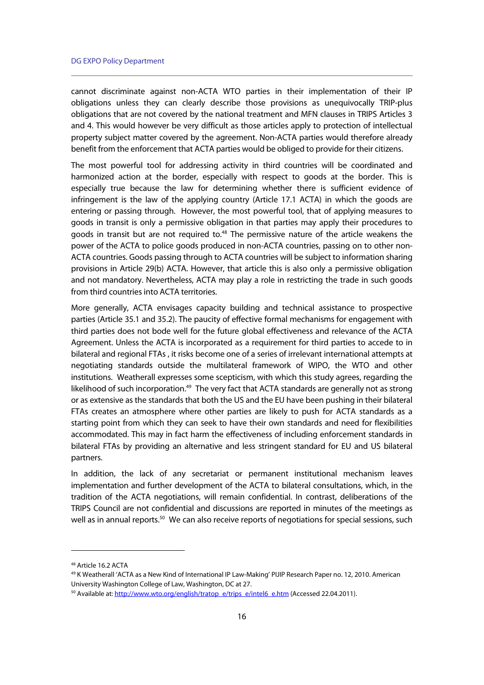cannot discriminate against non-ACTA WTO parties in their implementation of their IP obligations unless they can clearly describe those provisions as unequivocally TRIP-plus obligations that are not covered by the national treatment and MFN clauses in TRIPS Articles 3 and 4. This would however be very difficult as those articles apply to protection of intellectual property subject matter covered by the agreement. Non-ACTA parties would therefore already benefit from the enforcement that ACTA parties would be obliged to provide for their citizens.

The most powerful tool for addressing activity in third countries will be coordinated and harmonized action at the border, especially with respect to goods at the border. This is especially true because the law for determining whether there is sufficient evidence of infringement is the law of the applying country (Article 17.1 ACTA) in which the goods are entering or passing through. However, the most powerful tool, that of applying measures to goods in transit is only a permissive obligation in that parties may apply their procedures to goods in transit but are not required to.<sup>48</sup> The permissive nature of the article weakens the power of the ACTA to police goods produced in non-ACTA countries, passing on to other non-ACTA countries. Goods passing through to ACTA countries will be subject to information sharing provisions in Article 29(b) ACTA. However, that article this is also only a permissive obligation and not mandatory. Nevertheless, ACTA may play a role in restricting the trade in such goods from third countries into ACTA territories.

More generally, ACTA envisages capacity building and technical assistance to prospective parties (Article 35.1 and 35.2). The paucity of effective formal mechanisms for engagement with third parties does not bode well for the future global effectiveness and relevance of the ACTA Agreement. Unless the ACTA is incorporated as a requirement for third parties to accede to in bilateral and regional FTAs , it risks become one of a series of irrelevant international attempts at negotiating standards outside the multilateral framework of WIPO, the WTO and other institutions. Weatherall expresses some scepticism, with which this study agrees, regarding the likelihood of such incorporation.<sup>49</sup> The very fact that ACTA standards are generally not as strong or as extensive as the standards that both the US and the EU have been pushing in their bilateral FTAs creates an atmosphere where other parties are likely to push for ACTA standards as a starting point from which they can seek to have their own standards and need for flexibilities accommodated. This may in fact harm the effectiveness of including enforcement standards in bilateral FTAs by providing an alternative and less stringent standard for EU and US bilateral partners.

In addition, the lack of any secretariat or permanent institutional mechanism leaves implementation and further development of the ACTA to bilateral consultations, which, in the tradition of the ACTA negotiations, will remain confidential. In contrast, deliberations of the TRIPS Council are not confidential and discussions are reported in minutes of the meetings as well as in annual reports.<sup>50</sup> We can also receive reports of negotiations for special sessions, such

<sup>48</sup> Article 16.2 ACTA

<sup>49</sup> K Weatherall 'ACTA as a New Kind of International IP Law-Making' PIJIP Research Paper no. 12, 2010. American University Washington College of Law, Washington, DC at 27.

<sup>&</sup>lt;sup>50</sup> Available at: http://www.wto.org/english/tratop\_e/trips\_e/intel6\_e.htm (Accessed 22.04.2011).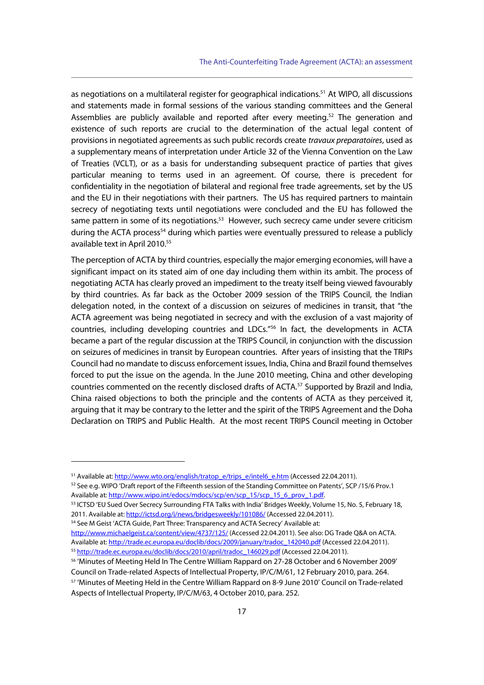as negotiations on a multilateral register for geographical indications.<sup>51</sup> At WIPO, all discussions and statements made in formal sessions of the various standing committees and the General Assemblies are publicly available and reported after every meeting.<sup>52</sup> The generation and existence of such reports are crucial to the determination of the actual legal content of provisions in negotiated agreements as such public records create travaux preparatoires, used as a supplementary means of interpretation under Article 32 of the Vienna Convention on the Law of Treaties (VCLT), or as a basis for understanding subsequent practice of parties that gives particular meaning to terms used in an agreement. Of course, there is precedent for confidentiality in the negotiation of bilateral and regional free trade agreements, set by the US and the EU in their negotiations with their partners. The US has required partners to maintain secrecy of negotiating texts until negotiations were concluded and the EU has followed the same pattern in some of its negotiations.<sup>53</sup> However, such secrecy came under severe criticism during the ACTA process<sup>54</sup> during which parties were eventually pressured to release a publicly available text in April 2010.<sup>55</sup>

The perception of ACTA by third countries, especially the major emerging economies, will have a significant impact on its stated aim of one day including them within its ambit. The process of negotiating ACTA has clearly proved an impediment to the treaty itself being viewed favourably by third countries. As far back as the October 2009 session of the TRIPS Council, the Indian delegation noted, in the context of a discussion on seizures of medicines in transit, that "the ACTA agreement was being negotiated in secrecy and with the exclusion of a vast majority of countries, including developing countries and LDCs."56 In fact, the developments in ACTA became a part of the regular discussion at the TRIPS Council, in conjunction with the discussion on seizures of medicines in transit by European countries. After years of insisting that the TRIPs Council had no mandate to discuss enforcement issues, India, China and Brazil found themselves forced to put the issue on the agenda. In the June 2010 meeting, China and other developing countries commented on the recently disclosed drafts of ACTA.<sup>57</sup> Supported by Brazil and India, China raised objections to both the principle and the contents of ACTA as they perceived it, arguing that it may be contrary to the letter and the spirit of the TRIPS Agreement and the Doha Declaration on TRIPS and Public Health. At the most recent TRIPS Council meeting in October

 $\overline{a}$ 

2011. Available at: http://ictsd.org/i/news/bridgesweekly/101086/ (Accessed 22.04.2011). <sup>54</sup> See M Geist 'ACTA Guide, Part Three: Transparency and ACTA Secrecy' Available at:

http://www.michaelgeist.ca/content/view/4737/125/ (Accessed 22.04.2011). See also: DG Trade Q&A on ACTA. Available at: http://trade.ec.europa.eu/doclib/docs/2009/january/tradoc\_142040.pdf (Accessed 22.04.2011).<br><sup>55</sup> http://trade.ec.europa.eu/doclib/docs/2010/april/tradoc\_146029.pdf (Accessed 22.04.2011).

56 'Minutes of Meeting Held In The Centre William Rappard on 27-28 October and 6 November 2009' Council on Trade-related Aspects of Intellectual Property, IP/C/M/61, 12 February 2010, para. 264. 57 'Minutes of Meeting Held in the Centre William Rappard on 8-9 June 2010' Council on Trade-related Aspects of Intellectual Property, IP/C/M/63, 4 October 2010, para. 252.

<sup>&</sup>lt;sup>51</sup> Available at: http://www.wto.org/english/tratop\_e/trips\_e/intel6\_e.htm (Accessed 22.04.2011). 52 See e.g. WIPO 'Draft report of the Fifteenth session of the Standing Committee on Patents', SCP /15/6 Prov.1

Available at: http://www.wipo.int/edocs/mdocs/scp/en/scp\_15/scp\_15\_6\_prov\_1.pdf.<br><sup>53</sup> ICTSD 'EU Sued Over Secrecy Surrounding FTA Talks with India' Bridges Weekly, Volume 15, No. 5, February 18,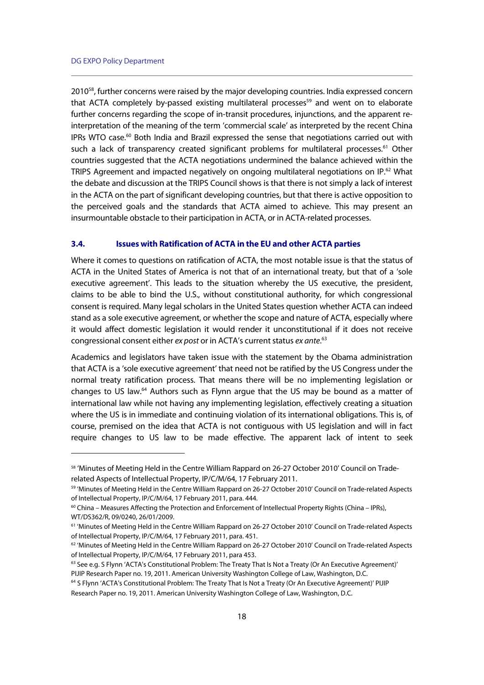j

2010<sup>58</sup>, further concerns were raised by the major developing countries. India expressed concern that ACTA completely by-passed existing multilateral processes<sup>59</sup> and went on to elaborate further concerns regarding the scope of in-transit procedures, injunctions, and the apparent reinterpretation of the meaning of the term 'commercial scale' as interpreted by the recent China IPRs WTO case.<sup>60</sup> Both India and Brazil expressed the sense that negotiations carried out with such a lack of transparency created significant problems for multilateral processes.<sup>61</sup> Other countries suggested that the ACTA negotiations undermined the balance achieved within the TRIPS Agreement and impacted negatively on ongoing multilateral negotiations on IP.62 What the debate and discussion at the TRIPS Council shows is that there is not simply a lack of interest in the ACTA on the part of significant developing countries, but that there is active opposition to the perceived goals and the standards that ACTA aimed to achieve. This may present an insurmountable obstacle to their participation in ACTA, or in ACTA-related processes.

#### **3.4. Issues with Ratification of ACTA in the EU and other ACTA parties**

Where it comes to questions on ratification of ACTA, the most notable issue is that the status of ACTA in the United States of America is not that of an international treaty, but that of a 'sole executive agreement'. This leads to the situation whereby the US executive, the president, claims to be able to bind the U.S., without constitutional authority, for which congressional consent is required. Many legal scholars in the United States question whether ACTA can indeed stand as a sole executive agreement, or whether the scope and nature of ACTA, especially where it would affect domestic legislation it would render it unconstitutional if it does not receive congressional consent either ex post or in ACTA's current status ex ante.<sup>63</sup>

Academics and legislators have taken issue with the statement by the Obama administration that ACTA is a 'sole executive agreement' that need not be ratified by the US Congress under the normal treaty ratification process. That means there will be no implementing legislation or changes to US law.64 Authors such as Flynn argue that the US may be bound as a matter of international law while not having any implementing legislation, effectively creating a situation where the US is in immediate and continuing violation of its international obligations. This is, of course, premised on the idea that ACTA is not contiguous with US legislation and will in fact require changes to US law to be made effective. The apparent lack of intent to seek

<sup>58 &#</sup>x27;Minutes of Meeting Held in the Centre William Rappard on 26-27 October 2010' Council on Traderelated Aspects of Intellectual Property, IP/C/M/64, 17 February 2011.

<sup>59 &#</sup>x27;Minutes of Meeting Held in the Centre William Rappard on 26-27 October 2010' Council on Trade-related Aspects of Intellectual Property, IP/C/M/64, 17 February 2011, para. 444.

 $60$  China – Measures Affecting the Protection and Enforcement of Intellectual Property Rights (China – IPRs), WT/DS362/R, 09/0240, 26/01/2009.

<sup>61 &#</sup>x27;Minutes of Meeting Held in the Centre William Rappard on 26-27 October 2010' Council on Trade-related Aspects of Intellectual Property, IP/C/M/64, 17 February 2011, para. 451.

 $62$  'Minutes of Meeting Held in the Centre William Rappard on 26-27 October 2010' Council on Trade-related Aspects of Intellectual Property, IP/C/M/64, 17 February 2011, para 453.

<sup>&</sup>lt;sup>63</sup> See e.g. S Flynn 'ACTA's Constitutional Problem: The Treaty That Is Not a Treaty (Or An Executive Agreement)' PIJIP Research Paper no. 19, 2011. American University Washington College of Law, Washington, D.C. 64 S Flynn 'ACTA's Constitutional Problem: The Treaty That Is Not a Treaty (Or An Executive Agreement)' PIJIP

Research Paper no. 19, 2011. American University Washington College of Law, Washington, D.C.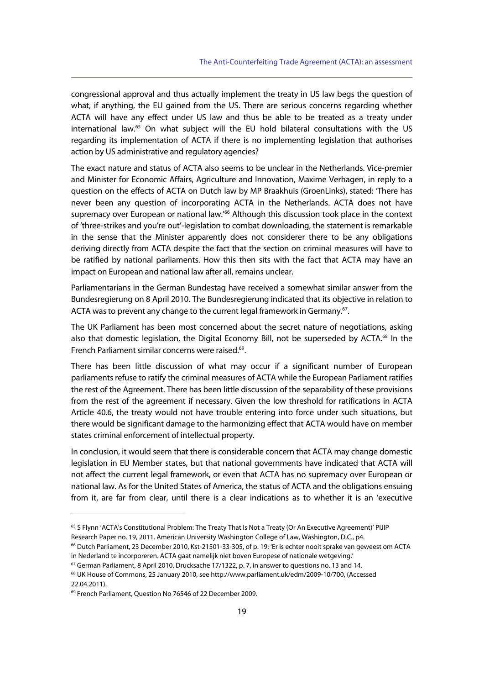congressional approval and thus actually implement the treaty in US law begs the question of what, if anything, the EU gained from the US. There are serious concerns regarding whether ACTA will have any effect under US law and thus be able to be treated as a treaty under international law.<sup>65</sup> On what subject will the EU hold bilateral consultations with the US regarding its implementation of ACTA if there is no implementing legislation that authorises action by US administrative and regulatory agencies?

The exact nature and status of ACTA also seems to be unclear in the Netherlands. Vice-premier and Minister for Economic Affairs, Agriculture and Innovation, Maxime Verhagen, in reply to a question on the effects of ACTA on Dutch law by MP Braakhuis (GroenLinks), stated: 'There has never been any question of incorporating ACTA in the Netherlands. ACTA does not have supremacy over European or national law.<sup>766</sup> Although this discussion took place in the context of 'three-strikes and you're out'-legislation to combat downloading, the statement is remarkable in the sense that the Minister apparently does not considerer there to be any obligations deriving directly from ACTA despite the fact that the section on criminal measures will have to be ratified by national parliaments. How this then sits with the fact that ACTA may have an impact on European and national law after all, remains unclear.

Parliamentarians in the German Bundestag have received a somewhat similar answer from the Bundesregierung on 8 April 2010. The Bundesregierung indicated that its objective in relation to ACTA was to prevent any change to the current legal framework in Germany.<sup>67</sup>.

The UK Parliament has been most concerned about the secret nature of negotiations, asking also that domestic legislation, the Digital Economy Bill, not be superseded by ACTA.<sup>68</sup> In the French Parliament similar concerns were raised.<sup>69</sup>.

There has been little discussion of what may occur if a significant number of European parliaments refuse to ratify the criminal measures of ACTA while the European Parliament ratifies the rest of the Agreement. There has been little discussion of the separability of these provisions from the rest of the agreement if necessary. Given the low threshold for ratifications in ACTA Article 40.6, the treaty would not have trouble entering into force under such situations, but there would be significant damage to the harmonizing effect that ACTA would have on member states criminal enforcement of intellectual property.

In conclusion, it would seem that there is considerable concern that ACTA may change domestic legislation in EU Member states, but that national governments have indicated that ACTA will not affect the current legal framework, or even that ACTA has no supremacy over European or national law. As for the United States of America, the status of ACTA and the obligations ensuing from it, are far from clear, until there is a clear indications as to whether it is an 'executive

<sup>65</sup> S Flynn 'ACTA's Constitutional Problem: The Treaty That Is Not a Treaty (Or An Executive Agreement)' PIJIP Research Paper no. 19, 2011. American University Washington College of Law, Washington, D.C., p4.

<sup>&</sup>lt;sup>66</sup> Dutch Parliament, 23 December 2010, Kst-21501-33-305, of p. 19: 'Er is echter nooit sprake van geweest om ACTA in Nederland te incorporeren. ACTA gaat namelijk niet boven Europese of nationale wetgeving.'

 $67$  German Parliament, 8 April 2010, Drucksache 17/1322, p. 7, in answer to questions no. 13 and 14.

<sup>68</sup> UK House of Commons, 25 January 2010, see http://www.parliament.uk/edm/2009-10/700, (Accessed 22.04.2011).

<sup>69</sup> French Parliament, Question No 76546 of 22 December 2009.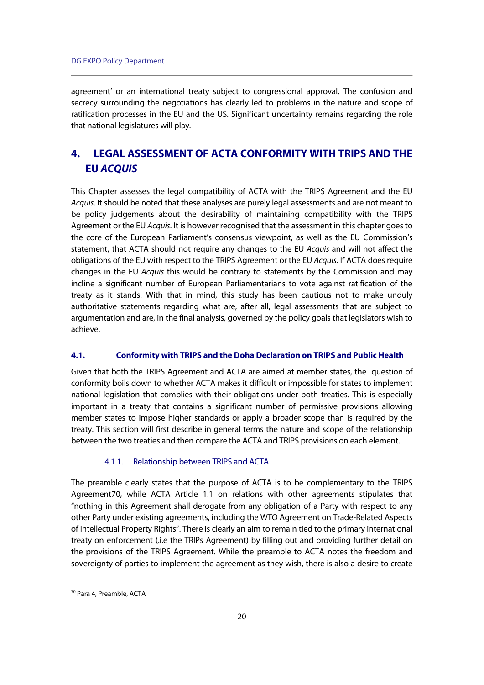agreement' or an international treaty subject to congressional approval. The confusion and secrecy surrounding the negotiations has clearly led to problems in the nature and scope of ratification processes in the EU and the US. Significant uncertainty remains regarding the role that national legislatures will play.

# **4. LEGAL ASSESSMENT OF ACTA CONFORMITY WITH TRIPS AND THE EU ACQUIS**

This Chapter assesses the legal compatibility of ACTA with the TRIPS Agreement and the EU Acquis. It should be noted that these analyses are purely legal assessments and are not meant to be policy judgements about the desirability of maintaining compatibility with the TRIPS Agreement or the EU Acquis. It is however recognised that the assessment in this chapter goes to the core of the European Parliament's consensus viewpoint, as well as the EU Commission's statement, that ACTA should not require any changes to the EU Acquis and will not affect the obligations of the EU with respect to the TRIPS Agreement or the EU Acquis. If ACTA does require changes in the EU Acquis this would be contrary to statements by the Commission and may incline a significant number of European Parliamentarians to vote against ratification of the treaty as it stands. With that in mind, this study has been cautious not to make unduly authoritative statements regarding what are, after all, legal assessments that are subject to argumentation and are, in the final analysis, governed by the policy goals that legislators wish to achieve.

#### **4.1. Conformity with TRIPS and the Doha Declaration on TRIPS and Public Health**

Given that both the TRIPS Agreement and ACTA are aimed at member states, the question of conformity boils down to whether ACTA makes it difficult or impossible for states to implement national legislation that complies with their obligations under both treaties. This is especially important in a treaty that contains a significant number of permissive provisions allowing member states to impose higher standards or apply a broader scope than is required by the treaty. This section will first describe in general terms the nature and scope of the relationship between the two treaties and then compare the ACTA and TRIPS provisions on each element.

#### 4.1.1. Relationship between TRIPS and ACTA

The preamble clearly states that the purpose of ACTA is to be complementary to the TRIPS Agreement70, while ACTA Article 1.1 on relations with other agreements stipulates that "nothing in this Agreement shall derogate from any obligation of a Party with respect to any other Party under existing agreements, including the WTO Agreement on Trade-Related Aspects of Intellectual Property Rights". There is clearly an aim to remain tied to the primary international treaty on enforcement (.i.e the TRIPs Agreement) by filling out and providing further detail on the provisions of the TRIPS Agreement. While the preamble to ACTA notes the freedom and sovereignty of parties to implement the agreement as they wish, there is also a desire to create

<sup>70</sup> Para 4, Preamble, ACTA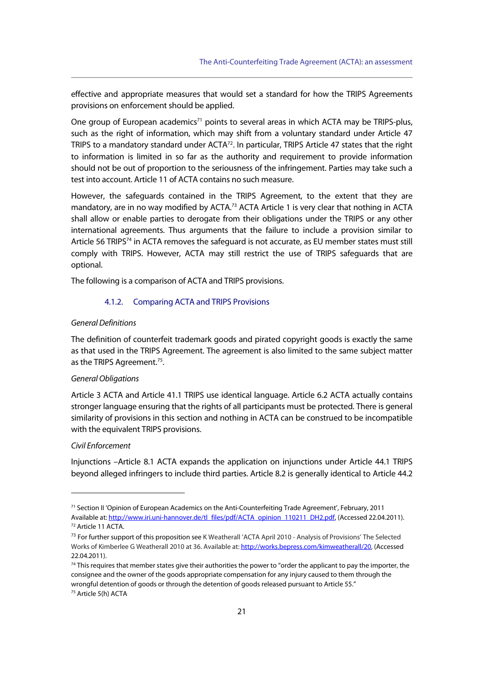effective and appropriate measures that would set a standard for how the TRIPS Agreements provisions on enforcement should be applied.

One group of European academics<sup>71</sup> points to several areas in which ACTA may be TRIPS-plus, such as the right of information, which may shift from a voluntary standard under Article 47 TRIPS to a mandatory standard under ACTA<sup>72</sup>. In particular, TRIPS Article 47 states that the right to information is limited in so far as the authority and requirement to provide information should not be out of proportion to the seriousness of the infringement. Parties may take such a test into account. Article 11 of ACTA contains no such measure.

However, the safeguards contained in the TRIPS Agreement, to the extent that they are mandatory, are in no way modified by ACTA.<sup>73</sup> ACTA Article 1 is very clear that nothing in ACTA shall allow or enable parties to derogate from their obligations under the TRIPS or any other international agreements. Thus arguments that the failure to include a provision similar to Article 56 TRIPS<sup>74</sup> in ACTA removes the safeguard is not accurate, as EU member states must still comply with TRIPS. However, ACTA may still restrict the use of TRIPS safeguards that are optional.

The following is a comparison of ACTA and TRIPS provisions.

#### 4.1.2. Comparing ACTA and TRIPS Provisions

#### General Definitions

The definition of counterfeit trademark goods and pirated copyright goods is exactly the same as that used in the TRIPS Agreement. The agreement is also limited to the same subject matter as the TRIPS Agreement.<sup>75</sup>.

#### General Obligations

Article 3 ACTA and Article 41.1 TRIPS use identical language. Article 6.2 ACTA actually contains stronger language ensuring that the rights of all participants must be protected. There is general similarity of provisions in this section and nothing in ACTA can be construed to be incompatible with the equivalent TRIPS provisions.

#### Civil Enforcement

 $\overline{a}$ 

Injunctions –Article 8.1 ACTA expands the application on injunctions under Article 44.1 TRIPS beyond alleged infringers to include third parties. Article 8.2 is generally identical to Article 44.2

<sup>71</sup> Section II 'Opinion of European Academics on the Anti-Counterfeiting Trade Agreement', February, 2011 Available at: http://www.iri.uni-hannover.de/tl\_files/pdf/ACTA\_opinion\_110211\_DH2.pdf, (Accessed 22.04.2011). 72 Article 11 ACTA.

<sup>&</sup>lt;sup>73</sup> For further support of this proposition see K Weatherall 'ACTA April 2010 - Analysis of Provisions' The Selected Works of Kimberlee G Weatherall 2010 at 36. Available at: http://works.bepress.com/kimweatherall/20, (Accessed 22.04.2011).

 $74$  This requires that member states give their authorities the power to "order the applicant to pay the importer, the consignee and the owner of the goods appropriate compensation for any injury caused to them through the wrongful detention of goods or through the detention of goods released pursuant to Article 55."<br><sup>75</sup> Article 5(h) ACTA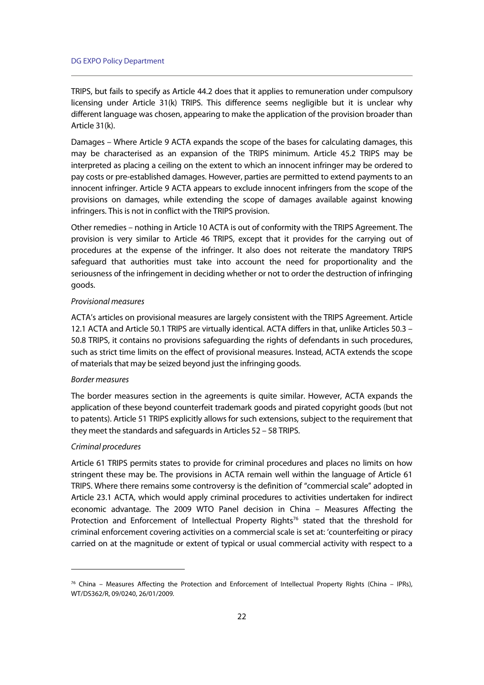TRIPS, but fails to specify as Article 44.2 does that it applies to remuneration under compulsory licensing under Article 31(k) TRIPS. This difference seems negligible but it is unclear why different language was chosen, appearing to make the application of the provision broader than Article 31(k).

Damages – Where Article 9 ACTA expands the scope of the bases for calculating damages, this may be characterised as an expansion of the TRIPS minimum. Article 45.2 TRIPS may be interpreted as placing a ceiling on the extent to which an innocent infringer may be ordered to pay costs or pre-established damages. However, parties are permitted to extend payments to an innocent infringer. Article 9 ACTA appears to exclude innocent infringers from the scope of the provisions on damages, while extending the scope of damages available against knowing infringers. This is not in conflict with the TRIPS provision.

Other remedies – nothing in Article 10 ACTA is out of conformity with the TRIPS Agreement. The provision is very similar to Article 46 TRIPS, except that it provides for the carrying out of procedures at the expense of the infringer. It also does not reiterate the mandatory TRIPS safeguard that authorities must take into account the need for proportionality and the seriousness of the infringement in deciding whether or not to order the destruction of infringing goods.

#### Provisional measures

ACTA's articles on provisional measures are largely consistent with the TRIPS Agreement. Article 12.1 ACTA and Article 50.1 TRIPS are virtually identical. ACTA differs in that, unlike Articles 50.3 – 50.8 TRIPS, it contains no provisions safeguarding the rights of defendants in such procedures, such as strict time limits on the effect of provisional measures. Instead, ACTA extends the scope of materials that may be seized beyond just the infringing goods.

#### Border measures

The border measures section in the agreements is quite similar. However, ACTA expands the application of these beyond counterfeit trademark goods and pirated copyright goods (but not to patents). Article 51 TRIPS explicitly allows for such extensions, subject to the requirement that they meet the standards and safeguards in Articles 52 – 58 TRIPS.

#### Criminal procedures

j

Article 61 TRIPS permits states to provide for criminal procedures and places no limits on how stringent these may be. The provisions in ACTA remain well within the language of Article 61 TRIPS. Where there remains some controversy is the definition of "commercial scale" adopted in Article 23.1 ACTA, which would apply criminal procedures to activities undertaken for indirect economic advantage. The 2009 WTO Panel decision in China – Measures Affecting the Protection and Enforcement of Intellectual Property Rights<sup>76</sup> stated that the threshold for criminal enforcement covering activities on a commercial scale is set at: 'counterfeiting or piracy carried on at the magnitude or extent of typical or usual commercial activity with respect to a

 $76$  China – Measures Affecting the Protection and Enforcement of Intellectual Property Rights (China – IPRs), WT/DS362/R, 09/0240, 26/01/2009.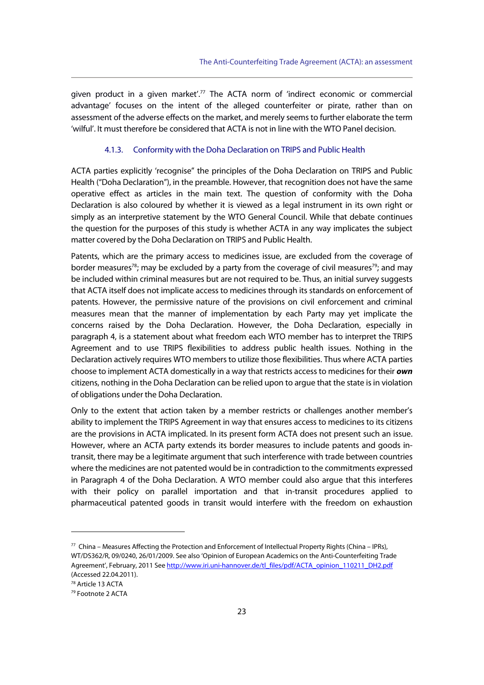given product in a given market'.<sup>77</sup> The ACTA norm of 'indirect economic or commercial advantage' focuses on the intent of the alleged counterfeiter or pirate, rather than on assessment of the adverse effects on the market, and merely seems to further elaborate the term 'wilful'. It must therefore be considered that ACTA is not in line with the WTO Panel decision.

#### 4.1.3. Conformity with the Doha Declaration on TRIPS and Public Health

ACTA parties explicitly 'recognise" the principles of the Doha Declaration on TRIPS and Public Health ("Doha Declaration"), in the preamble. However, that recognition does not have the same operative effect as articles in the main text. The question of conformity with the Doha Declaration is also coloured by whether it is viewed as a legal instrument in its own right or simply as an interpretive statement by the WTO General Council. While that debate continues the question for the purposes of this study is whether ACTA in any way implicates the subject matter covered by the Doha Declaration on TRIPS and Public Health.

Patents, which are the primary access to medicines issue, are excluded from the coverage of border measures<sup>78</sup>; may be excluded by a party from the coverage of civil measures<sup>79</sup>; and may be included within criminal measures but are not required to be. Thus, an initial survey suggests that ACTA itself does not implicate access to medicines through its standards on enforcement of patents. However, the permissive nature of the provisions on civil enforcement and criminal measures mean that the manner of implementation by each Party may yet implicate the concerns raised by the Doha Declaration. However, the Doha Declaration, especially in paragraph 4, is a statement about what freedom each WTO member has to interpret the TRIPS Agreement and to use TRIPS flexibilities to address public health issues. Nothing in the Declaration actively requires WTO members to utilize those flexibilities. Thus where ACTA parties choose to implement ACTA domestically in a way that restricts access to medicines for their **own** citizens, nothing in the Doha Declaration can be relied upon to argue that the state is in violation of obligations under the Doha Declaration.

Only to the extent that action taken by a member restricts or challenges another member's ability to implement the TRIPS Agreement in way that ensures access to medicines to its citizens are the provisions in ACTA implicated. In its present form ACTA does not present such an issue. However, where an ACTA party extends its border measures to include patents and goods intransit, there may be a legitimate argument that such interference with trade between countries where the medicines are not patented would be in contradiction to the commitments expressed in Paragraph 4 of the Doha Declaration. A WTO member could also argue that this interferes with their policy on parallel importation and that in-transit procedures applied to pharmaceutical patented goods in transit would interfere with the freedom on exhaustion

 $77$  China – Measures Affecting the Protection and Enforcement of Intellectual Property Rights (China – IPRs), WT/DS362/R, 09/0240, 26/01/2009. See also 'Opinion of European Academics on the Anti-Counterfeiting Trade Agreement', February, 2011 See http://www.iri.uni-hannover.de/tl\_files/pdf/ACTA\_opinion\_110211\_DH2.pdf (Accessed 22.04.2011).

<sup>78</sup> Article 13 ACTA

<sup>79</sup> Footnote 2 ACTA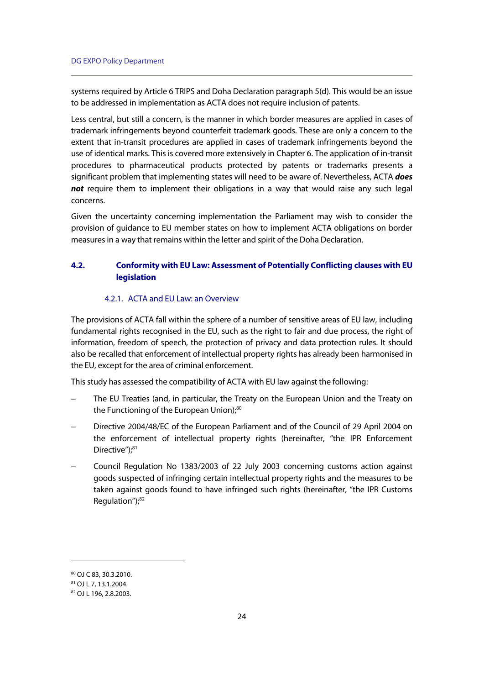systems required by Article 6 TRIPS and Doha Declaration paragraph 5(d). This would be an issue to be addressed in implementation as ACTA does not require inclusion of patents.

Less central, but still a concern, is the manner in which border measures are applied in cases of trademark infringements beyond counterfeit trademark goods. These are only a concern to the extent that in-transit procedures are applied in cases of trademark infringements beyond the use of identical marks. This is covered more extensively in Chapter 6. The application of in-transit procedures to pharmaceutical products protected by patents or trademarks presents a significant problem that implementing states will need to be aware of. Nevertheless, ACTA **does not** require them to implement their obligations in a way that would raise any such legal concerns.

Given the uncertainty concerning implementation the Parliament may wish to consider the provision of guidance to EU member states on how to implement ACTA obligations on border measures in a way that remains within the letter and spirit of the Doha Declaration.

# **4.2. Conformity with EU Law: Assessment of Potentially Conflicting clauses with EU legislation**

#### 4.2.1. ACTA and EU Law: an Overview

The provisions of ACTA fall within the sphere of a number of sensitive areas of EU law, including fundamental rights recognised in the EU, such as the right to fair and due process, the right of information, freedom of speech, the protection of privacy and data protection rules. It should also be recalled that enforcement of intellectual property rights has already been harmonised in the EU, except for the area of criminal enforcement.

This study has assessed the compatibility of ACTA with EU law against the following:

- The EU Treaties (and, in particular, the Treaty on the European Union and the Treaty on the Functioning of the European Union);<sup>80</sup>
- Directive 2004/48/EC of the European Parliament and of the Council of 29 April 2004 on the enforcement of intellectual property rights (hereinafter, "the IPR Enforcement Directive");<sup>81</sup>
- Council Regulation No 1383/2003 of 22 July 2003 concerning customs action against goods suspected of infringing certain intellectual property rights and the measures to be taken against goods found to have infringed such rights (hereinafter, "the IPR Customs Regulation");<sup>82</sup>

<sup>80</sup> OJ C 83, 30.3.2010.

<sup>81</sup> OJ L 7, 13.1.2004.

<sup>82</sup> OJ L 196, 2.8.2003.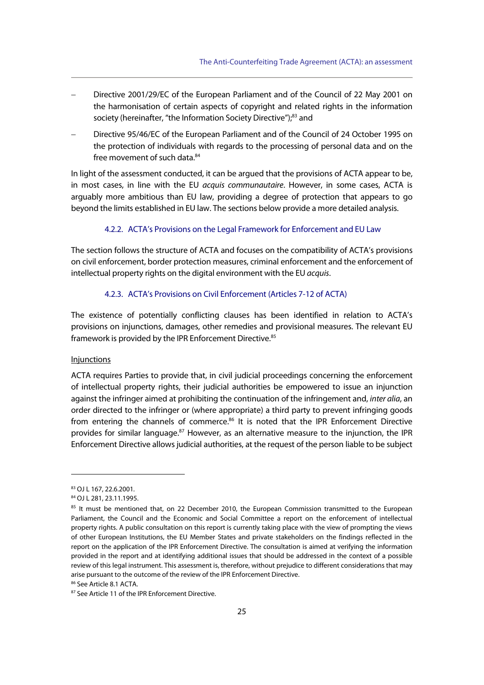- Directive 2001/29/EC of the European Parliament and of the Council of 22 May 2001 on the harmonisation of certain aspects of copyright and related rights in the information society (hereinafter, "the Information Society Directive");<sup>83</sup> and
- Directive 95/46/EC of the European Parliament and of the Council of 24 October 1995 on the protection of individuals with regards to the processing of personal data and on the free movement of such data.<sup>84</sup>

In light of the assessment conducted, it can be argued that the provisions of ACTA appear to be, in most cases, in line with the EU acquis communautaire. However, in some cases, ACTA is arguably more ambitious than EU law, providing a degree of protection that appears to go beyond the limits established in EU law. The sections below provide a more detailed analysis.

#### 4.2.2. ACTA's Provisions on the Legal Framework for Enforcement and EU Law

The section follows the structure of ACTA and focuses on the compatibility of ACTA's provisions on civil enforcement, border protection measures, criminal enforcement and the enforcement of intellectual property rights on the digital environment with the EU acquis.

#### 4.2.3. ACTA's Provisions on Civil Enforcement (Articles 7-12 of ACTA)

The existence of potentially conflicting clauses has been identified in relation to ACTA's provisions on injunctions, damages, other remedies and provisional measures. The relevant EU framework is provided by the IPR Enforcement Directive.<sup>85</sup>

#### **Injunctions**

ACTA requires Parties to provide that, in civil judicial proceedings concerning the enforcement of intellectual property rights, their judicial authorities be empowered to issue an injunction against the infringer aimed at prohibiting the continuation of the infringement and, inter alia, an order directed to the infringer or (where appropriate) a third party to prevent infringing goods from entering the channels of commerce.<sup>86</sup> It is noted that the IPR Enforcement Directive provides for similar language.<sup>87</sup> However, as an alternative measure to the injunction, the IPR Enforcement Directive allows judicial authorities, at the request of the person liable to be subject

<sup>83</sup> OJ L 167, 22.6.2001.

<sup>84</sup> OJ L 281, 23.11.1995.

<sup>&</sup>lt;sup>85</sup> It must be mentioned that, on 22 December 2010, the European Commission transmitted to the European Parliament, the Council and the Economic and Social Committee a report on the enforcement of intellectual property rights. A public consultation on this report is currently taking place with the view of prompting the views of other European Institutions, the EU Member States and private stakeholders on the findings reflected in the report on the application of the IPR Enforcement Directive. The consultation is aimed at verifying the information provided in the report and at identifying additional issues that should be addressed in the context of a possible review of this legal instrument. This assessment is, therefore, without prejudice to different considerations that may arise pursuant to the outcome of the review of the IPR Enforcement Directive.

<sup>86</sup> See Article 8.1 ACTA.

<sup>87</sup> See Article 11 of the IPR Enforcement Directive.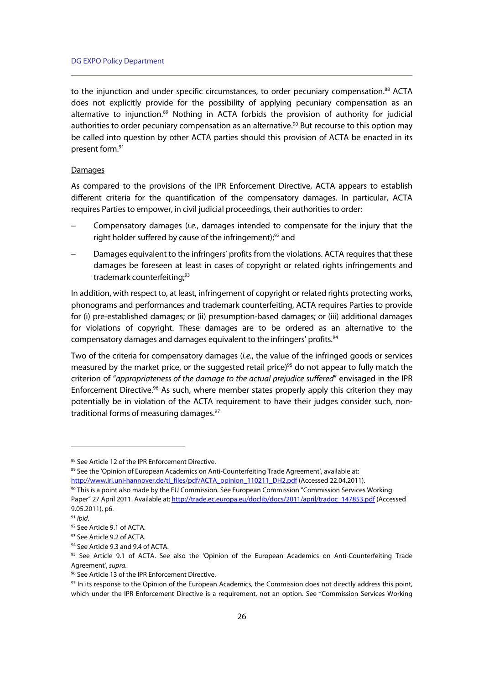to the injunction and under specific circumstances, to order pecuniary compensation.<sup>88</sup> ACTA does not explicitly provide for the possibility of applying pecuniary compensation as an alternative to injunction.<sup>89</sup> Nothing in ACTA forbids the provision of authority for judicial authorities to order pecuniary compensation as an alternative.<sup>90</sup> But recourse to this option may be called into question by other ACTA parties should this provision of ACTA be enacted in its present form.91

#### **Damages**

As compared to the provisions of the IPR Enforcement Directive, ACTA appears to establish different criteria for the quantification of the compensatory damages. In particular, ACTA requires Parties to empower, in civil judicial proceedings, their authorities to order:

- Compensatory damages (i.e., damages intended to compensate for the injury that the right holder suffered by cause of the infringement); $92$  and
- Damages equivalent to the infringers' profits from the violations. ACTA requires that these damages be foreseen at least in cases of copyright or related rights infringements and trademark counterfeiting;<sup>93</sup>

In addition, with respect to, at least, infringement of copyright or related rights protecting works, phonograms and performances and trademark counterfeiting, ACTA requires Parties to provide for (i) pre-established damages; or (ii) presumption-based damages; or (iii) additional damages for violations of copyright. These damages are to be ordered as an alternative to the compensatory damages and damages equivalent to the infringers' profits.<sup>94</sup>

Two of the criteria for compensatory damages (i.e., the value of the infringed goods or services measured by the market price, or the suggested retail price)<sup>95</sup> do not appear to fully match the criterion of "appropriateness of the damage to the actual prejudice suffered" envisaged in the IPR Enforcement Directive.<sup>96</sup> As such, where member states properly apply this criterion they may potentially be in violation of the ACTA requirement to have their judges consider such, nontraditional forms of measuring damages.<sup>97</sup>

<sup>88</sup> See Article 12 of the IPR Enforcement Directive.

<sup>89</sup> See the 'Opinion of European Academics on Anti-Counterfeiting Trade Agreement', available at:

http://www.iri.uni-hannover.de/tl\_files/pdf/ACTA\_opinion\_110211\_DH2.pdf (Accessed 22.04.2011). 90 This is a point also made by the EU Commission. See European Commission "Commission Services Working Paper" 27 April 2011. Available at: http://trade.ec.europa.eu/doclib/docs/2011/april/tradoc\_147853.pdf (Accessed 9.05.2011), p6.

<sup>&</sup>lt;sup>91</sup> Ibid.<br><sup>92</sup> See Article 9.1 of ACTA.

<sup>93</sup> See Article 9.2 of ACTA.

<sup>&</sup>lt;sup>94</sup> See Article 9.3 and 9.4 of ACTA.

<sup>95</sup> See Article 9.1 of ACTA. See also the 'Opinion of the European Academics on Anti-Counterfeiting Trade Agreement', supra.<br><sup>96</sup> See Article 13 of the IPR Enforcement Directive.

<sup>&</sup>lt;sup>97</sup> In its response to the Opinion of the European Academics, the Commission does not directly address this point, which under the IPR Enforcement Directive is a requirement, not an option. See "Commission Services Working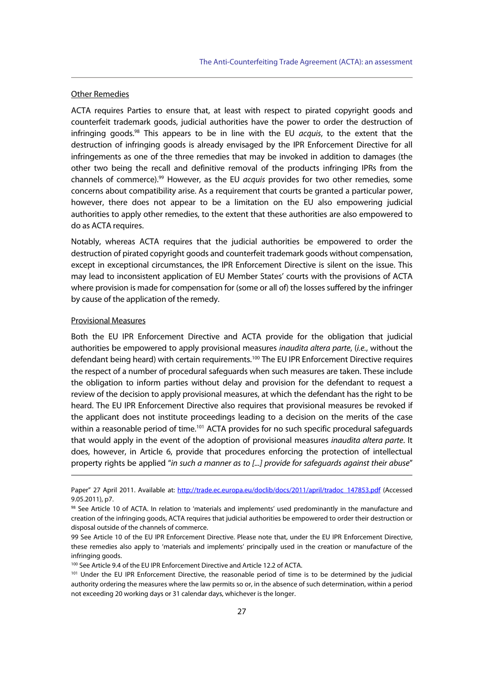#### Other Remedies

ACTA requires Parties to ensure that, at least with respect to pirated copyright goods and counterfeit trademark goods, judicial authorities have the power to order the destruction of infringing goods. $98$  This appears to be in line with the EU *acquis*, to the extent that the destruction of infringing goods is already envisaged by the IPR Enforcement Directive for all infringements as one of the three remedies that may be invoked in addition to damages (the other two being the recall and definitive removal of the products infringing IPRs from the channels of commerce).<sup>99</sup> However, as the EU *acquis* provides for two other remedies, some concerns about compatibility arise. As a requirement that courts be granted a particular power, however, there does not appear to be a limitation on the EU also empowering judicial authorities to apply other remedies, to the extent that these authorities are also empowered to do as ACTA requires.

Notably, whereas ACTA requires that the judicial authorities be empowered to order the destruction of pirated copyright goods and counterfeit trademark goods without compensation, except in exceptional circumstances, the IPR Enforcement Directive is silent on the issue. This may lead to inconsistent application of EU Member States' courts with the provisions of ACTA where provision is made for compensation for (some or all of) the losses suffered by the infringer by cause of the application of the remedy.

#### Provisional Measures

j

Both the EU IPR Enforcement Directive and ACTA provide for the obligation that judicial authorities be empowered to apply provisional measures inaudita altera parte, (i.e., without the defendant being heard) with certain requirements.100 The EU IPR Enforcement Directive requires the respect of a number of procedural safeguards when such measures are taken. These include the obligation to inform parties without delay and provision for the defendant to request a review of the decision to apply provisional measures, at which the defendant has the right to be heard. The EU IPR Enforcement Directive also requires that provisional measures be revoked if the applicant does not institute proceedings leading to a decision on the merits of the case within a reasonable period of time.<sup>101</sup> ACTA provides for no such specific procedural safeguards that would apply in the event of the adoption of provisional measures *inaudita altera parte*. It does, however, in Article 6, provide that procedures enforcing the protection of intellectual property rights be applied "in such a manner as to [...] provide for safeguards against their abuse"

Paper" 27 April 2011. Available at: http://trade.ec.europa.eu/doclib/docs/2011/april/tradoc\_147853.pdf (Accessed 9.05.2011), p7.

<sup>98</sup> See Article 10 of ACTA. In relation to 'materials and implements' used predominantly in the manufacture and creation of the infringing goods, ACTA requires that judicial authorities be empowered to order their destruction or disposal outside of the channels of commerce.

<sup>99</sup> See Article 10 of the EU IPR Enforcement Directive. Please note that, under the EU IPR Enforcement Directive, these remedies also apply to 'materials and implements' principally used in the creation or manufacture of the infringing goods.

<sup>100</sup> See Article 9.4 of the EU IPR Enforcement Directive and Article 12.2 of ACTA.

<sup>101</sup> Under the EU IPR Enforcement Directive, the reasonable period of time is to be determined by the judicial authority ordering the measures where the law permits so or, in the absence of such determination, within a period not exceeding 20 working days or 31 calendar days, whichever is the longer.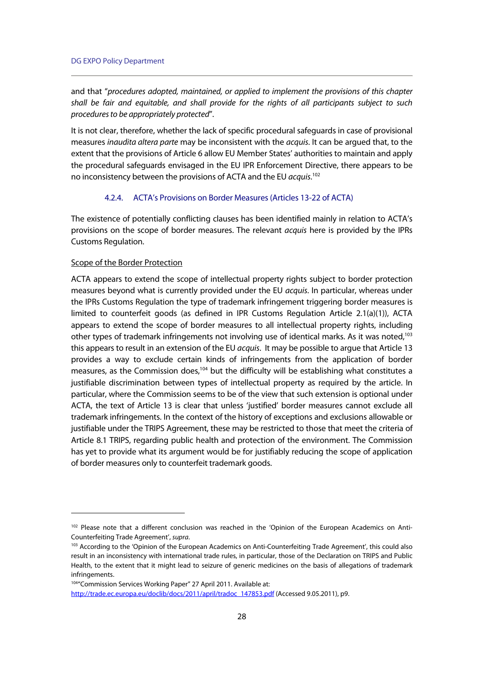and that "procedures adopted, maintained, or applied to implement the provisions of this chapter shall be fair and equitable, and shall provide for the rights of all participants subject to such procedures to be appropriately protected".

It is not clear, therefore, whether the lack of specific procedural safeguards in case of provisional measures inaudita altera parte may be inconsistent with the acquis. It can be arqued that, to the extent that the provisions of Article 6 allow EU Member States' authorities to maintain and apply the procedural safeguards envisaged in the EU IPR Enforcement Directive, there appears to be no inconsistency between the provisions of ACTA and the EU acquis.<sup>102</sup>

#### 4.2.4. ACTA's Provisions on Border Measures (Articles 13-22 of ACTA)

The existence of potentially conflicting clauses has been identified mainly in relation to ACTA's provisions on the scope of border measures. The relevant acquis here is provided by the IPRs Customs Regulation.

#### Scope of the Border Protection

 $\overline{a}$ 

ACTA appears to extend the scope of intellectual property rights subject to border protection measures beyond what is currently provided under the EU acquis. In particular, whereas under the IPRs Customs Regulation the type of trademark infringement triggering border measures is limited to counterfeit goods (as defined in IPR Customs Regulation Article 2.1(a)(1)), ACTA appears to extend the scope of border measures to all intellectual property rights, including other types of trademark infringements not involving use of identical marks. As it was noted,103 this appears to result in an extension of the EU *acquis*. It may be possible to argue that Article 13 provides a way to exclude certain kinds of infringements from the application of border measures, as the Commission does, $104$  but the difficulty will be establishing what constitutes a justifiable discrimination between types of intellectual property as required by the article. In particular, where the Commission seems to be of the view that such extension is optional under ACTA, the text of Article 13 is clear that unless 'justified' border measures cannot exclude all trademark infringements. In the context of the history of exceptions and exclusions allowable or justifiable under the TRIPS Agreement, these may be restricted to those that meet the criteria of Article 8.1 TRIPS, regarding public health and protection of the environment. The Commission has yet to provide what its argument would be for justifiably reducing the scope of application of border measures only to counterfeit trademark goods.

104"Commission Services Working Paper" 27 April 2011. Available at:

<sup>&</sup>lt;sup>102</sup> Please note that a different conclusion was reached in the 'Opinion of the European Academics on Anti-Counterfeiting Trade Agreement', *supra*.<br><sup>103</sup> According to the 'Opinion of the European Academics on Anti-Counterfeiting Trade Agreement', this could also

result in an inconsistency with international trade rules, in particular, those of the Declaration on TRIPS and Public Health, to the extent that it might lead to seizure of generic medicines on the basis of allegations of trademark infringements.

http://trade.ec.europa.eu/doclib/docs/2011/april/tradoc\_147853.pdf (Accessed 9.05.2011), p9.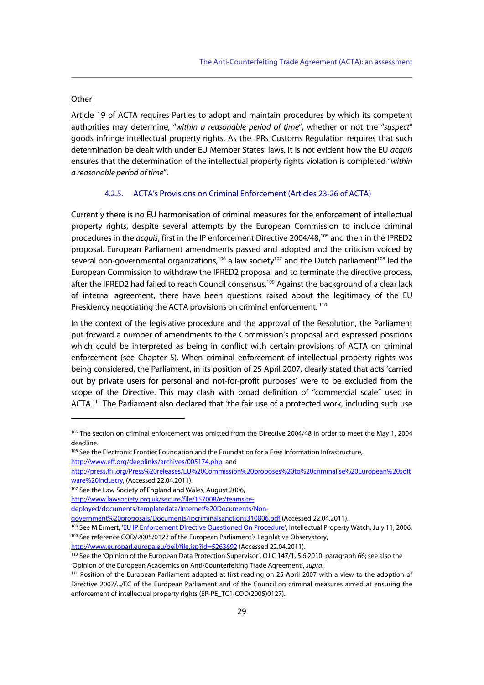#### **Other**

j

Article 19 of ACTA requires Parties to adopt and maintain procedures by which its competent authorities may determine, "within a reasonable period of time", whether or not the "suspect" goods infringe intellectual property rights. As the IPRs Customs Regulation requires that such determination be dealt with under EU Member States' laws, it is not evident how the EU acquis ensures that the determination of the intellectual property rights violation is completed "within a reasonable period of time".

#### 4.2.5. ACTA's Provisions on Criminal Enforcement (Articles 23-26 of ACTA)

Currently there is no EU harmonisation of criminal measures for the enforcement of intellectual property rights, despite several attempts by the European Commission to include criminal procedures in the acquis, first in the IP enforcement Directive 2004/48,105 and then in the IPRED2 proposal. European Parliament amendments passed and adopted and the criticism voiced by several non-governmental organizations,<sup>106</sup> a law society<sup>107</sup> and the Dutch parliament<sup>108</sup> led the European Commission to withdraw the IPRED2 proposal and to terminate the directive process, after the IPRED2 had failed to reach Council consensus.<sup>109</sup> Against the background of a clear lack of internal agreement, there have been questions raised about the legitimacy of the EU Presidency negotiating the ACTA provisions on criminal enforcement.<sup>110</sup>

In the context of the legislative procedure and the approval of the Resolution, the Parliament put forward a number of amendments to the Commission's proposal and expressed positions which could be interpreted as being in conflict with certain provisions of ACTA on criminal enforcement (see Chapter 5). When criminal enforcement of intellectual property rights was being considered, the Parliament, in its position of 25 April 2007, clearly stated that acts 'carried out by private users for personal and not-for-profit purposes' were to be excluded from the scope of the Directive. This may clash with broad definition of "commercial scale" used in ACTA.<sup>111</sup> The Parliament also declared that 'the fair use of a protected work, including such use

<sup>&</sup>lt;sup>105</sup> The section on criminal enforcement was omitted from the Directive 2004/48 in order to meet the May 1, 2004 deadline.

<sup>&</sup>lt;sup>106</sup> See the Electronic Frontier Foundation and the Foundation for a Free Information Infrastructure, http://www.eff.org/deeplinks/archives/005174.php and

http://press.ffii.org/Press%20releases/EU%20Commission%20proposes%20to%20criminalise%20European%20soft ware%20industry, (Accessed 22.04.2011).<br><sup>107</sup> See the Law Society of England and Wales, August 2006,

http://www.lawsociety.org.uk/secure/file/157008/e:/teamsite-

deployed/documents/templatedata/Internet%20Documents/Non-

government%20proposals/Documents/ipcriminalsanctions310806.pdf (Accessed 22.04.2011).<br><sup>108</sup> See M Ermert, '<u>EU IP Enforcement Directive Questioned On Procedure</u>', Intellectual Property Watch, July 11, 2006.<br><sup>109</sup> See refer

http://www.europarl.europa.eu/oeil/file.jsp?id=5263692 (Accessed 22.04.2011).<br><sup>110</sup> See the 'Opinion of the European Data Protection Supervisor', OJ C 147/1, 5.6.2010, paragraph 66; see also the 'Opinion of the European Academics on Anti-Counterfeiting Trade Agreement', supra.<br><sup>111</sup> Position of the European Parliament adopted at first reading on 25 April 2007 with a view to the adoption of

Directive 2007/.../EC of the European Parliament and of the Council on criminal measures aimed at ensuring the enforcement of intellectual property rights (EP-PE\_TC1-COD(2005)0127).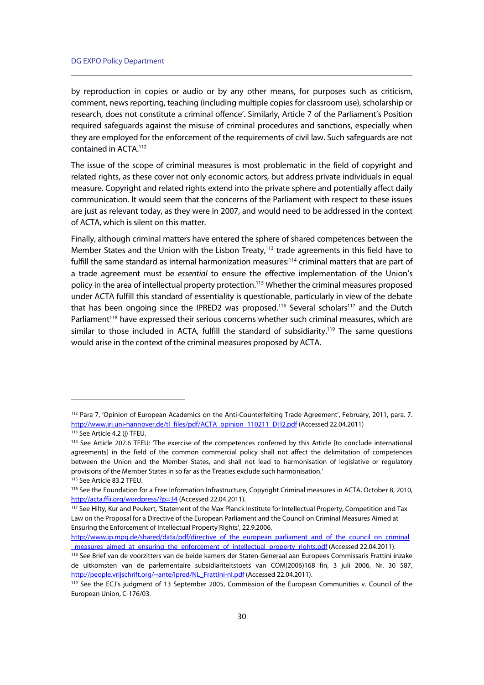by reproduction in copies or audio or by any other means, for purposes such as criticism, comment, news reporting, teaching (including multiple copies for classroom use), scholarship or research, does not constitute a criminal offence'. Similarly, Article 7 of the Parliament's Position required safeguards against the misuse of criminal procedures and sanctions, especially when they are employed for the enforcement of the requirements of civil law. Such safeguards are not contained in ACTA.112

The issue of the scope of criminal measures is most problematic in the field of copyright and related rights, as these cover not only economic actors, but address private individuals in equal measure. Copyright and related rights extend into the private sphere and potentially affect daily communication. It would seem that the concerns of the Parliament with respect to these issues are just as relevant today, as they were in 2007, and would need to be addressed in the context of ACTA, which is silent on this matter.

Finally, although criminal matters have entered the sphere of shared competences between the Member States and the Union with the Lisbon Treaty,<sup>113</sup> trade agreements in this field have to fulfill the same standard as internal harmonization measures:<sup>114</sup> criminal matters that are part of a trade agreement must be essential to ensure the effective implementation of the Union's policy in the area of intellectual property protection.115 Whether the criminal measures proposed under ACTA fulfill this standard of essentiality is questionable, particularly in view of the debate that has been ongoing since the IPRED2 was proposed.<sup>116</sup> Several scholars<sup>117</sup> and the Dutch Parliament<sup>118</sup> have expressed their serious concerns whether such criminal measures, which are similar to those included in ACTA, fulfill the standard of subsidiarity.<sup>119</sup> The same questions would arise in the context of the criminal measures proposed by ACTA.

<sup>112</sup> Para 7, 'Opinion of European Academics on the Anti-Counterfeiting Trade Agreement', February, 2011, para. 7. http://www.iri.uni-hannover.de/tl\_files/pdf/ACTA\_opinion\_110211\_DH2.pdf (Accessed 22.04.2011) 1<sup>13</sup> See Article 4.2 (j) TFEU.

<sup>114</sup> See Article 207.6 TFEU: 'The exercise of the competences conferred by this Article [to conclude international agreements] in the field of the common commercial policy shall not affect the delimitation of competences between the Union and the Member States, and shall not lead to harmonisation of legislative or regulatory provisions of the Member States in so far as the Treaties exclude such harmonisation.' 115 See Article 83.2 TFEU.

<sup>&</sup>lt;sup>116</sup> See the Foundation for a Free Information Infrastructure, Copyright Criminal measures in ACTA, October 8, 2010,

http://acta.ffii.org/wordpress/?p=34 (Accessed 22.04.2011).<br><sup>117</sup> See Hilty, Kur and Peukert, 'Statement of the Max Planck Institute for Intellectual Property, Competition and Tax Law on the Proposal for a Directive of the European Parliament and the Council on Criminal Measures Aimed at Ensuring the Enforcement of Intellectual Property Rights', 22.9.2006,

http://www.ip.mpg.de/shared/data/pdf/directive\_of\_the\_european\_parliament\_and\_of\_the\_council\_on\_criminal measures aimed at ensuring the enforcement of intellectual property rights.pdf (Accessed 22.04.2011). <sup>118</sup> See Brief van de voorzitters van de beide kamers der Staten-Generaal aan Europees Commissaris Frattini inzake

de uitkomsten van de parlementaire subsidiariteitstoets van COM(2006)168 fin, 3 juli 2006, Nr. 30 587, http://people.vrijschrift.org/~ante/ipred/NL\_Frattini-nl.pdf (Accessed 22.04.2011).<br><sup>119</sup> See the ECJ's judgment of 13 September 2005, Commission of the European Communities v. Council of the

European Union, C-176/03.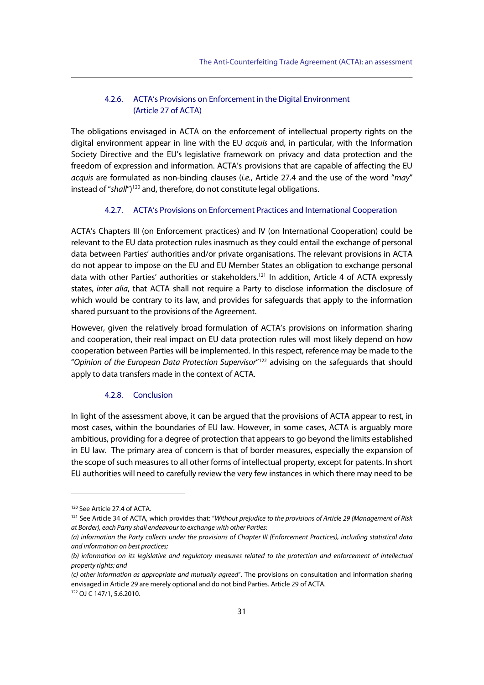## 4.2.6. ACTA's Provisions on Enforcement in the Digital Environment (Article 27 of ACTA)

The obligations envisaged in ACTA on the enforcement of intellectual property rights on the digital environment appear in line with the EU acquis and, in particular, with the Information Society Directive and the EU's legislative framework on privacy and data protection and the freedom of expression and information. ACTA's provisions that are capable of affecting the EU acquis are formulated as non-binding clauses (i.e., Article 27.4 and the use of the word "may" instead of "shall")<sup>120</sup> and, therefore, do not constitute legal obligations.

#### 4.2.7. ACTA's Provisions on Enforcement Practices and International Cooperation

ACTA's Chapters III (on Enforcement practices) and IV (on International Cooperation) could be relevant to the EU data protection rules inasmuch as they could entail the exchange of personal data between Parties' authorities and/or private organisations. The relevant provisions in ACTA do not appear to impose on the EU and EU Member States an obligation to exchange personal data with other Parties' authorities or stakeholders.<sup>121</sup> In addition, Article 4 of ACTA expressly states, inter alia, that ACTA shall not require a Party to disclose information the disclosure of which would be contrary to its law, and provides for safeguards that apply to the information shared pursuant to the provisions of the Agreement.

However, given the relatively broad formulation of ACTA's provisions on information sharing and cooperation, their real impact on EU data protection rules will most likely depend on how cooperation between Parties will be implemented. In this respect, reference may be made to the "Opinion of the European Data Protection Supervisor"<sup>122</sup> advising on the safeguards that should apply to data transfers made in the context of ACTA.

#### 4.2.8. Conclusion

In light of the assessment above, it can be argued that the provisions of ACTA appear to rest, in most cases, within the boundaries of EU law. However, in some cases, ACTA is arguably more ambitious, providing for a degree of protection that appears to go beyond the limits established in EU law. The primary area of concern is that of border measures, especially the expansion of the scope of such measures to all other forms of intellectual property, except for patents. In short EU authorities will need to carefully review the very few instances in which there may need to be

<sup>120</sup> See Article 27.4 of ACTA.

<sup>&</sup>lt;sup>121</sup> See Article 34 of ACTA, which provides that: "Without prejudice to the provisions of Article 29 (Management of Risk at Border), each Party shall endeavour to exchange with other Parties:

<sup>(</sup>a) information the Party collects under the provisions of Chapter III (Enforcement Practices), including statistical data and information on best practices;

<sup>(</sup>b) information on its legislative and regulatory measures related to the protection and enforcement of intellectual property rights; and

<sup>(</sup>c) other information as appropriate and mutually agreed". The provisions on consultation and information sharing envisaged in Article 29 are merely optional and do not bind Parties. Article 29 of ACTA.

<sup>122</sup> OJ C 147/1, 5.6.2010.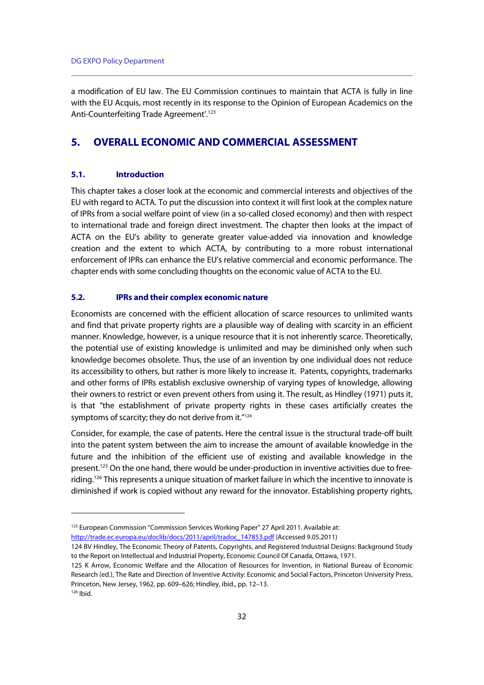a modification of EU law. The EU Commission continues to maintain that ACTA is fully in line with the EU Acquis, most recently in its response to the Opinion of European Academics on the Anti-Counterfeiting Trade Agreement'.<sup>123</sup>

# **5. OVERALL ECONOMIC AND COMMERCIAL ASSESSMENT**

## **5.1. Introduction**

This chapter takes a closer look at the economic and commercial interests and objectives of the EU with regard to ACTA. To put the discussion into context it will first look at the complex nature of IPRs from a social welfare point of view (in a so-called closed economy) and then with respect to international trade and foreign direct investment. The chapter then looks at the impact of ACTA on the EU's ability to generate greater value-added via innovation and knowledge creation and the extent to which ACTA, by contributing to a more robust international enforcement of IPRs can enhance the EU's relative commercial and economic performance. The chapter ends with some concluding thoughts on the economic value of ACTA to the EU.

#### **5.2. IPRs and their complex economic nature**

Economists are concerned with the efficient allocation of scarce resources to unlimited wants and find that private property rights are a plausible way of dealing with scarcity in an efficient manner. Knowledge, however, is a unique resource that it is not inherently scarce. Theoretically, the potential use of existing knowledge is unlimited and may be diminished only when such knowledge becomes obsolete. Thus, the use of an invention by one individual does not reduce its accessibility to others, but rather is more likely to increase it. Patents, copyrights, trademarks and other forms of IPRs establish exclusive ownership of varying types of knowledge, allowing their owners to restrict or even prevent others from using it. The result, as Hindley (1971) puts it, is that "the establishment of private property rights in these cases artificially creates the symptoms of scarcity; they do not derive from it."124

Consider, for example, the case of patents. Here the central issue is the structural trade-off built into the patent system between the aim to increase the amount of available knowledge in the future and the inhibition of the efficient use of existing and available knowledge in the present.<sup>125</sup> On the one hand, there would be under-production in inventive activities due to freeriding.<sup>126</sup> This represents a unique situation of market failure in which the incentive to innovate is diminished if work is copied without any reward for the innovator. Establishing property rights,

 $126$  Ibid.

<sup>&</sup>lt;sup>123</sup> European Commission "Commission Services Working Paper" 27 April 2011. Available at: http://trade.ec.europa.eu/doclib/docs/2011/april/tradoc\_147853.pdf (Accessed 9.05.2011)

<sup>124</sup> BV Hindley, The Economic Theory of Patents, Copyrights, and Registered Industrial Designs: Background Study to the Report on Intellectual and Industrial Property, Economic Council Of Canada, Ottawa, 1971.

<sup>125</sup> K Arrow, Economic Welfare and the Allocation of Resources for Invention, in National Bureau of Economic Research (ed.), The Rate and Direction of Inventive Activity: Economic and Social Factors, Princeton University Press, Princeton, New Jersey, 1962, pp. 609–626; Hindley, ibid., pp. 12–13.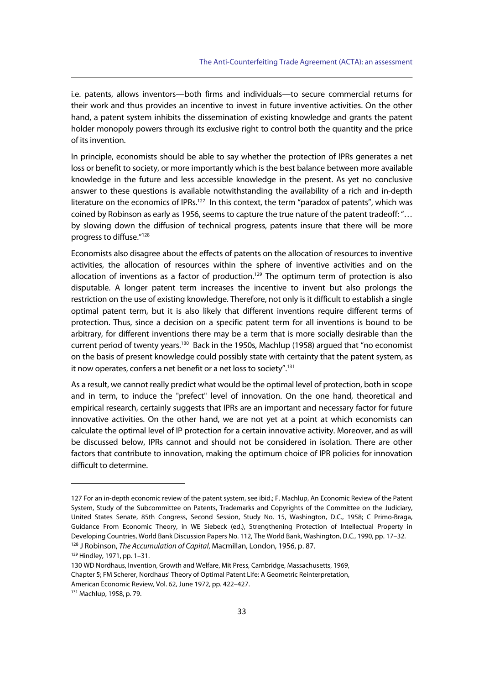i.e. patents, allows inventors—both firms and individuals—to secure commercial returns for their work and thus provides an incentive to invest in future inventive activities. On the other hand, a patent system inhibits the dissemination of existing knowledge and grants the patent holder monopoly powers through its exclusive right to control both the quantity and the price of its invention.

In principle, economists should be able to say whether the protection of IPRs generates a net loss or benefit to society, or more importantly which is the best balance between more available knowledge in the future and less accessible knowledge in the present. As yet no conclusive answer to these questions is available notwithstanding the availability of a rich and in-depth literature on the economics of IPRs.<sup>127</sup> In this context, the term "paradox of patents", which was coined by Robinson as early as 1956, seems to capture the true nature of the patent tradeoff: "… by slowing down the diffusion of technical progress, patents insure that there will be more progress to diffuse."128

Economists also disagree about the effects of patents on the allocation of resources to inventive activities, the allocation of resources within the sphere of inventive activities and on the allocation of inventions as a factor of production.<sup>129</sup> The optimum term of protection is also disputable. A longer patent term increases the incentive to invent but also prolongs the restriction on the use of existing knowledge. Therefore, not only is it difficult to establish a single optimal patent term, but it is also likely that different inventions require different terms of protection. Thus, since a decision on a specific patent term for all inventions is bound to be arbitrary, for different inventions there may be a term that is more socially desirable than the current period of twenty years.<sup>130</sup> Back in the 1950s, Machlup (1958) argued that "no economist on the basis of present knowledge could possibly state with certainty that the patent system, as it now operates, confers a net benefit or a net loss to society".<sup>131</sup>

As a result, we cannot really predict what would be the optimal level of protection, both in scope and in term, to induce the "prefect" level of innovation. On the one hand, theoretical and empirical research, certainly suggests that IPRs are an important and necessary factor for future innovative activities. On the other hand, we are not yet at a point at which economists can calculate the optimal level of IP protection for a certain innovative activity. Moreover, and as will be discussed below, IPRs cannot and should not be considered in isolation. There are other factors that contribute to innovation, making the optimum choice of IPR policies for innovation difficult to determine.

<sup>127</sup> For an in-depth economic review of the patent system, see ibid.; F. Machlup, An Economic Review of the Patent System, Study of the Subcommittee on Patents, Trademarks and Copyrights of the Committee on the Judiciary, United States Senate, 85th Congress, Second Session, Study No. 15, Washington, D.C., 1958; C Primo-Braga, Guidance From Economic Theory, in WE Siebeck (ed.), Strengthening Protection of Intellectual Property in Developing Countries, World Bank Discussion Papers No. 112, The World Bank, Washington, D.C., 1990, pp. 17–32. <sup>128</sup> J Robinson, *The Accumulation of Capital*, Macmillan, London, 1956, p. 87. <sup>129</sup> Hindley, 1971, pp. 1–31.

<sup>130</sup> WD Nordhaus, Invention, Growth and Welfare, Mit Press, Cambridge, Massachusetts, 1969, Chapter 5; FM Scherer, Nordhaus' Theory of Optimal Patent Life: A Geometric Reinterpretation,

American Economic Review, Vol. 62, June 1972, pp. 422–427.

<sup>131</sup> Machlup, 1958, p. 79.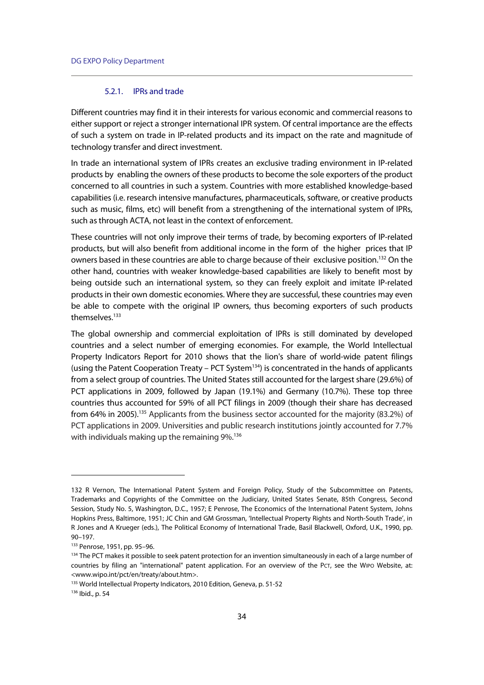#### 5.2.1. IPRs and trade

Different countries may find it in their interests for various economic and commercial reasons to either support or reject a stronger international IPR system. Of central importance are the effects of such a system on trade in IP-related products and its impact on the rate and magnitude of technology transfer and direct investment.

In trade an international system of IPRs creates an exclusive trading environment in IP-related products by enabling the owners of these products to become the sole exporters of the product concerned to all countries in such a system. Countries with more established knowledge-based capabilities (i.e. research intensive manufactures, pharmaceuticals, software, or creative products such as music, films, etc) will benefit from a strengthening of the international system of IPRs, such as through ACTA, not least in the context of enforcement.

These countries will not only improve their terms of trade, by becoming exporters of IP-related products, but will also benefit from additional income in the form of the higher prices that IP owners based in these countries are able to charge because of their exclusive position.<sup>132</sup> On the other hand, countries with weaker knowledge-based capabilities are likely to benefit most by being outside such an international system, so they can freely exploit and imitate IP-related products in their own domestic economies. Where they are successful, these countries may even be able to compete with the original IP owners, thus becoming exporters of such products themselves.<sup>133</sup>

The global ownership and commercial exploitation of IPRs is still dominated by developed countries and a select number of emerging economies. For example, the World Intellectual Property Indicators Report for 2010 shows that the lion's share of world-wide patent filings (using the Patent Cooperation Treaty – PCT System $134$ ) is concentrated in the hands of applicants from a select group of countries. The United States still accounted for the largest share (29.6%) of PCT applications in 2009, followed by Japan (19.1%) and Germany (10.7%). These top three countries thus accounted for 59% of all PCT filings in 2009 (though their share has decreased from 64% in 2005).<sup>135</sup> Applicants from the business sector accounted for the majority (83.2%) of PCT applications in 2009. Universities and public research institutions jointly accounted for 7.7% with individuals making up the remaining 9%.<sup>136</sup>

<sup>132</sup> R Vernon, The International Patent System and Foreign Policy, Study of the Subcommittee on Patents, Trademarks and Copyrights of the Committee on the Judiciary, United States Senate, 85th Congress, Second Session, Study No. 5, Washington, D.C., 1957; E Penrose, The Economics of the International Patent System, Johns Hopkins Press, Baltimore, 1951; JC Chin and GM Grossman, 'Intellectual Property Rights and North-South Trade', in R Jones and A Krueger (eds.), The Political Economy of International Trade, Basil Blackwell, Oxford, U.K., 1990, pp. 90–197.

<sup>133</sup> Penrose, 1951, pp. 95–96.

<sup>134</sup> The PCT makes it possible to seek patent protection for an invention simultaneously in each of a large number of countries by filing an "international" patent application. For an overview of the PCT, see the WIPO Website, at: <www.wipo.int/pct/en/treaty/about.htm>.

<sup>&</sup>lt;sup>135</sup> World Intellectual Property Indicators, 2010 Edition, Geneva, p. 51-52<br><sup>136</sup> Ibid., p. 54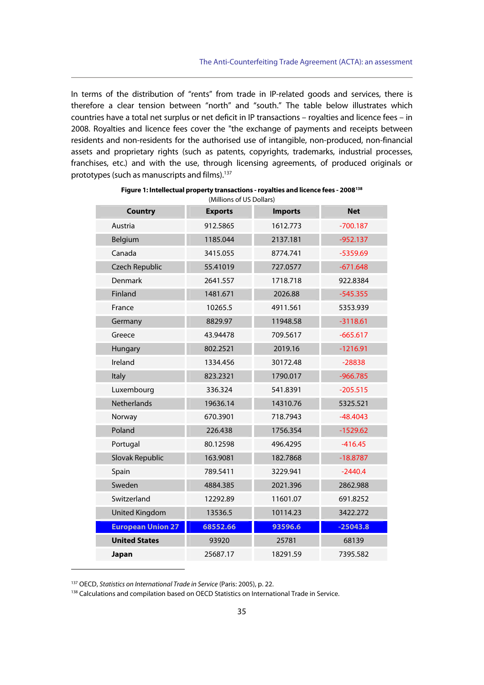In terms of the distribution of "rents" from trade in IP-related goods and services, there is therefore a clear tension between "north" and "south." The table below illustrates which countries have a total net surplus or net deficit in IP transactions – royalties and licence fees – in 2008. Royalties and licence fees cover the "the exchange of payments and receipts between residents and non-residents for the authorised use of intangible, non-produced, non-financial assets and proprietary rights (such as patents, copyrights, trademarks, industrial processes, franchises, etc.) and with the use, through licensing agreements, of produced originals or prototypes (such as manuscripts and films).137

| <b>Country</b>           | <b>Exports</b> | <b>Imports</b> | <b>Net</b> |
|--------------------------|----------------|----------------|------------|
| Austria                  | 912.5865       | 1612.773       | $-700.187$ |
| Belgium                  | 1185.044       | 2137.181       | $-952.137$ |
| Canada                   | 3415.055       | 8774.741       | $-5359.69$ |
| <b>Czech Republic</b>    | 55.41019       | 727.0577       | $-671.648$ |
| Denmark                  | 2641.557       | 1718.718       | 922.8384   |
| Finland                  | 1481.671       | 2026.88        | $-545.355$ |
| France                   | 10265.5        | 4911.561       | 5353.939   |
| Germany                  | 8829.97        | 11948.58       | $-3118.61$ |
| Greece                   | 43.94478       | 709.5617       | $-665.617$ |
| Hungary                  | 802.2521       | 2019.16        | $-1216.91$ |
| Ireland                  | 1334.456       | 30172.48       | $-28838$   |
| Italy                    | 823.2321       | 1790.017       | $-966.785$ |
| Luxembourg               | 336.324        | 541.8391       | $-205.515$ |
| <b>Netherlands</b>       | 19636.14       | 14310.76       | 5325.521   |
| Norway                   | 670.3901       | 718.7943       | $-48.4043$ |
| Poland                   | 226.438        | 1756.354       | $-1529.62$ |
| Portugal                 | 80.12598       | 496.4295       | $-416.45$  |
| Slovak Republic          | 163.9081       | 182.7868       | $-18.8787$ |
| Spain                    | 789.5411       | 3229.941       | $-2440.4$  |
| Sweden                   | 4884.385       | 2021.396       | 2862.988   |
| Switzerland              | 12292.89       | 11601.07       | 691.8252   |
| <b>United Kingdom</b>    | 13536.5        | 10114.23       | 3422.272   |
| <b>European Union 27</b> | 68552.66       | 93596.6        | $-25043.8$ |
| <b>United States</b>     | 93920          | 25781          | 68139      |
| Japan                    | 25687.17       | 18291.59       | 7395.582   |

| Figure 1: Intellectual property transactions - royalties and licence fees - 2008 <sup>138</sup> |  |
|-------------------------------------------------------------------------------------------------|--|
| (Millions of US Dollars)                                                                        |  |

<sup>&</sup>lt;sup>137</sup> OECD, Statistics on International Trade in Service (Paris: 2005), p. 22.<br><sup>138</sup> Calculations and compilation based on OECD Statistics on International Trade in Service.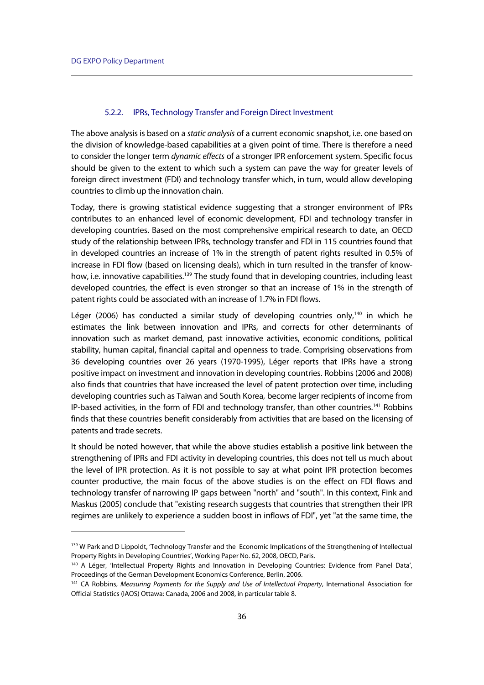j

### 5.2.2. IPRs, Technology Transfer and Foreign Direct Investment

The above analysis is based on a static analysis of a current economic snapshot, i.e. one based on the division of knowledge-based capabilities at a given point of time. There is therefore a need to consider the longer term dynamic effects of a stronger IPR enforcement system. Specific focus should be given to the extent to which such a system can pave the way for greater levels of foreign direct investment (FDI) and technology transfer which, in turn, would allow developing countries to climb up the innovation chain.

Today, there is growing statistical evidence suggesting that a stronger environment of IPRs contributes to an enhanced level of economic development, FDI and technology transfer in developing countries. Based on the most comprehensive empirical research to date, an OECD study of the relationship between IPRs, technology transfer and FDI in 115 countries found that in developed countries an increase of 1% in the strength of patent rights resulted in 0.5% of increase in FDI flow (based on licensing deals), which in turn resulted in the transfer of knowhow, i.e. innovative capabilities.<sup>139</sup> The study found that in developing countries, including least developed countries, the effect is even stronger so that an increase of 1% in the strength of patent rights could be associated with an increase of 1.7% in FDI flows.

Léger (2006) has conducted a similar study of developing countries only,<sup>140</sup> in which he estimates the link between innovation and IPRs, and corrects for other determinants of innovation such as market demand, past innovative activities, economic conditions, political stability, human capital, financial capital and openness to trade. Comprising observations from 36 developing countries over 26 years (1970-1995), Léger reports that IPRs have a strong positive impact on investment and innovation in developing countries. Robbins (2006 and 2008) also finds that countries that have increased the level of patent protection over time, including developing countries such as Taiwan and South Korea, become larger recipients of income from IP-based activities, in the form of FDI and technology transfer, than other countries.141 Robbins finds that these countries benefit considerably from activities that are based on the licensing of patents and trade secrets.

It should be noted however, that while the above studies establish a positive link between the strengthening of IPRs and FDI activity in developing countries, this does not tell us much about the level of IPR protection. As it is not possible to say at what point IPR protection becomes counter productive, the main focus of the above studies is on the effect on FDI flows and technology transfer of narrowing IP gaps between "north" and "south". In this context, Fink and Maskus (2005) conclude that "existing research suggests that countries that strengthen their IPR regimes are unlikely to experience a sudden boost in inflows of FDI", yet "at the same time, the

<sup>139</sup> W Park and D Lippoldt, 'Technology Transfer and the Economic Implications of the Strengthening of Intellectual Property Rights in Developing Countries', Working Paper No. 62, 2008, OECD, Paris.

<sup>140</sup> A Léger, 'Intellectual Property Rights and Innovation in Developing Countries: Evidence from Panel Data', Proceedings of the German Development Economics Conference, Berlin, 2006.

<sup>&</sup>lt;sup>141</sup> CA Robbins, Measuring Payments for the Supply and Use of Intellectual Property, International Association for Official Statistics (IAOS) Ottawa: Canada, 2006 and 2008, in particular table 8.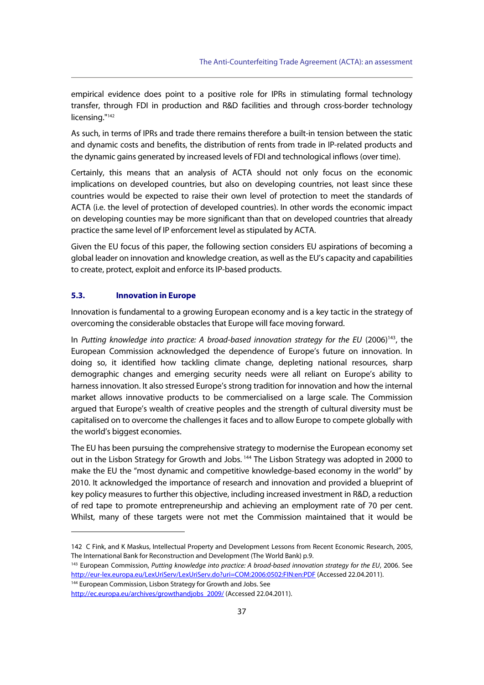empirical evidence does point to a positive role for IPRs in stimulating formal technology transfer, through FDI in production and R&D facilities and through cross-border technology licensing."142

As such, in terms of IPRs and trade there remains therefore a built-in tension between the static and dynamic costs and benefits, the distribution of rents from trade in IP-related products and the dynamic gains generated by increased levels of FDI and technological inflows (over time).

Certainly, this means that an analysis of ACTA should not only focus on the economic implications on developed countries, but also on developing countries, not least since these countries would be expected to raise their own level of protection to meet the standards of ACTA (i.e. the level of protection of developed countries). In other words the economic impact on developing counties may be more significant than that on developed countries that already practice the same level of IP enforcement level as stipulated by ACTA.

Given the EU focus of this paper, the following section considers EU aspirations of becoming a global leader on innovation and knowledge creation, as well as the EU's capacity and capabilities to create, protect, exploit and enforce its IP-based products.

## **5.3. Innovation in Europe**

j

Innovation is fundamental to a growing European economy and is a key tactic in the strategy of overcoming the considerable obstacles that Europe will face moving forward.

In Putting knowledge into practice: A broad-based innovation strategy for the EU (2006)<sup>143</sup>, the European Commission acknowledged the dependence of Europe's future on innovation. In doing so, it identified how tackling climate change, depleting national resources, sharp demographic changes and emerging security needs were all reliant on Europe's ability to harness innovation. It also stressed Europe's strong tradition for innovation and how the internal market allows innovative products to be commercialised on a large scale. The Commission argued that Europe's wealth of creative peoples and the strength of cultural diversity must be capitalised on to overcome the challenges it faces and to allow Europe to compete globally with the world's biggest economies.

The EU has been pursuing the comprehensive strategy to modernise the European economy set out in the Lisbon Strategy for Growth and Jobs.<sup>144</sup> The Lisbon Strategy was adopted in 2000 to make the EU the "most dynamic and competitive knowledge-based economy in the world" by 2010. It acknowledged the importance of research and innovation and provided a blueprint of key policy measures to further this objective, including increased investment in R&D, a reduction of red tape to promote entrepreneurship and achieving an employment rate of 70 per cent. Whilst, many of these targets were not met the Commission maintained that it would be

<sup>142</sup> C Fink, and K Maskus, Intellectual Property and Development Lessons from Recent Economic Research, 2005, The International Bank for Reconstruction and Development (The World Bank) p.9.<br><sup>143</sup> European Commission, Putting knowledge into practice: A broad-based innovation strategy for the EU, 2006. See

http://eur-lex.europa.eu/LexUriServ/LexUriServ.do?uri=COM:2006:0502:FIN:en:PDF (Accessed 22.04.2011).<br><sup>144</sup> European Commission, Lisbon Strategy for Growth and Jobs. See

http://ec.europa.eu/archives/growthandjobs\_2009/ (Accessed 22.04.2011).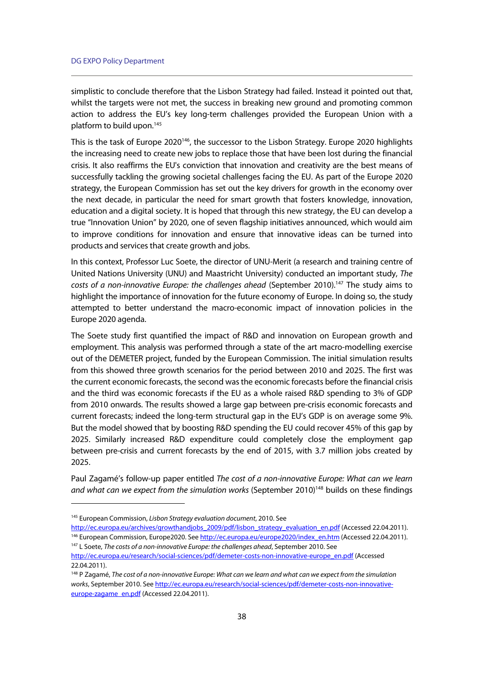simplistic to conclude therefore that the Lisbon Strategy had failed. Instead it pointed out that, whilst the targets were not met, the success in breaking new ground and promoting common action to address the EU's key long-term challenges provided the European Union with a platform to build upon.145

This is the task of Europe 2020<sup>146</sup>, the successor to the Lisbon Strategy. Europe 2020 highlights the increasing need to create new jobs to replace those that have been lost during the financial crisis. It also reaffirms the EU's conviction that innovation and creativity are the best means of successfully tackling the growing societal challenges facing the EU. As part of the Europe 2020 strategy, the European Commission has set out the key drivers for growth in the economy over the next decade, in particular the need for smart growth that fosters knowledge, innovation, education and a digital society. It is hoped that through this new strategy, the EU can develop a true "Innovation Union" by 2020, one of seven flagship initiatives announced, which would aim to improve conditions for innovation and ensure that innovative ideas can be turned into products and services that create growth and jobs.

In this context, Professor Luc Soete, the director of UNU-Merit (a research and training centre of United Nations University (UNU) and Maastricht University) conducted an important study, The costs of a non-innovative Europe: the challenges ahead (September 2010).<sup>147</sup> The study aims to highlight the importance of innovation for the future economy of Europe. In doing so, the study attempted to better understand the macro-economic impact of innovation policies in the Europe 2020 agenda.

The Soete study first quantified the impact of R&D and innovation on European growth and employment. This analysis was performed through a state of the art macro-modelling exercise out of the DEMETER project, funded by the European Commission. The initial simulation results from this showed three growth scenarios for the period between 2010 and 2025. The first was the current economic forecasts, the second was the economic forecasts before the financial crisis and the third was economic forecasts if the EU as a whole raised R&D spending to 3% of GDP from 2010 onwards. The results showed a large gap between pre-crisis economic forecasts and current forecasts; indeed the long-term structural gap in the EU's GDP is on average some 9%. But the model showed that by boosting R&D spending the EU could recover 45% of this gap by 2025. Similarly increased R&D expenditure could completely close the employment gap between pre-crisis and current forecasts by the end of 2015, with 3.7 million jobs created by 2025.

Paul Zagamé's follow-up paper entitled The cost of a non-innovative Europe: What can we learn and what can we expect from the simulation works (September 2010)<sup>148</sup> builds on these findings

<sup>&</sup>lt;sup>145</sup> European Commission, Lisbon Strategy evaluation document, 2010. See

http://ec.europa.eu/archives/growthandjobs 2009/pdf/lisbon strategy evaluation en.pdf (Accessed 22.04.2011).<br><sup>146</sup> European Commission, Europe2020. See http://ec.europa.eu/europe2020/index en.htm (Accessed 22.04.2011).<br><sup>14</sup>

http://ec.europa.eu/research/social-sciences/pdf/demeter-costs-non-innovative-europe\_en.pdf (Accessed 22.04.2011).

<sup>&</sup>lt;sup>148</sup> P Zagamé, The cost of a non-innovative Europe: What can we learn and what can we expect from the simulation works, September 2010. See http://ec.europa.eu/research/social-sciences/pdf/demeter-costs-non-innovativeeurope-zagame\_en.pdf (Accessed 22.04.2011).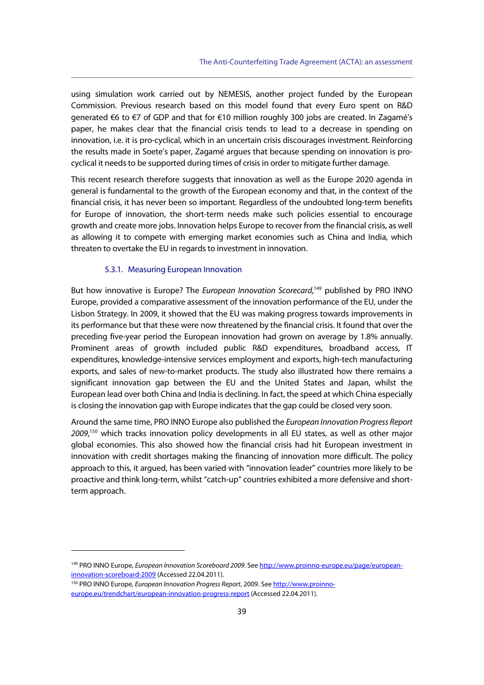using simulation work carried out by NEMESIS, another project funded by the European Commission. Previous research based on this model found that every Euro spent on R&D generated €6 to €7 of GDP and that for €10 million roughly 300 jobs are created. In Zagamé's paper, he makes clear that the financial crisis tends to lead to a decrease in spending on innovation, i.e. it is pro-cyclical, which in an uncertain crisis discourages investment. Reinforcing the results made in Soete's paper, Zagamé argues that because spending on innovation is procyclical it needs to be supported during times of crisis in order to mitigate further damage.

This recent research therefore suggests that innovation as well as the Europe 2020 agenda in general is fundamental to the growth of the European economy and that, in the context of the financial crisis, it has never been so important. Regardless of the undoubted long-term benefits for Europe of innovation, the short-term needs make such policies essential to encourage growth and create more jobs. Innovation helps Europe to recover from the financial crisis, as well as allowing it to compete with emerging market economies such as China and India, which threaten to overtake the EU in regards to investment in innovation.

## 5.3.1. Measuring European Innovation

But how innovative is Europe? The European Innovation Scorecard,<sup>149</sup> published by PRO INNO Europe, provided a comparative assessment of the innovation performance of the EU, under the Lisbon Strategy. In 2009, it showed that the EU was making progress towards improvements in its performance but that these were now threatened by the financial crisis. It found that over the preceding five-year period the European innovation had grown on average by 1.8% annually. Prominent areas of growth included public R&D expenditures, broadband access, IT expenditures, knowledge-intensive services employment and exports, high-tech manufacturing exports, and sales of new-to-market products. The study also illustrated how there remains a significant innovation gap between the EU and the United States and Japan, whilst the European lead over both China and India is declining. In fact, the speed at which China especially is closing the innovation gap with Europe indicates that the gap could be closed very soon.

Around the same time, PRO INNO Europe also published the European Innovation Progress Report 2009,<sup>150</sup> which tracks innovation policy developments in all EU states, as well as other major global economies. This also showed how the financial crisis had hit European investment in innovation with credit shortages making the financing of innovation more difficult. The policy approach to this, it argued, has been varied with "innovation leader" countries more likely to be proactive and think long-term, whilst "catch-up" countries exhibited a more defensive and shortterm approach.

<sup>149</sup> PRO INNO Europe, European Innovation Scoreboard 2009. See http://www.proinno-europe.eu/page/europeaninnovation-scoreboard-2009 (Accessed 22.04.2011).<br><sup>150</sup> PRO INNO Europe, *European Innovation Progress Report*, 2009. See http://www.proinno-

europe.eu/trendchart/european-innovation-progress-report (Accessed 22.04.2011).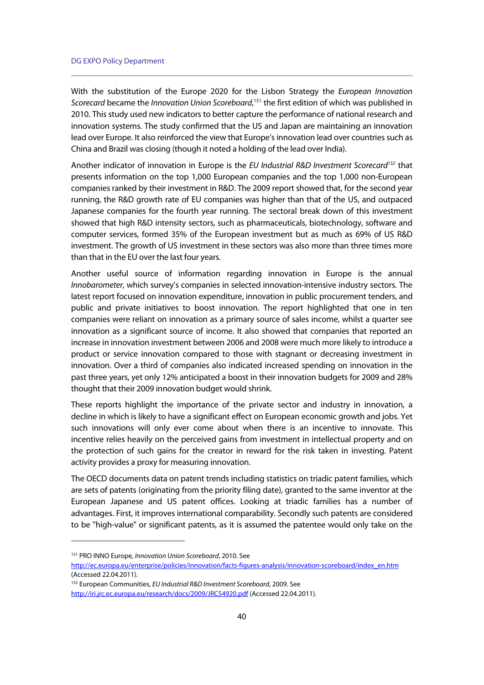With the substitution of the Europe 2020 for the Lisbon Strategy the European Innovation Scorecard became the Innovation Union Scoreboard,<sup>151</sup> the first edition of which was published in 2010. This study used new indicators to better capture the performance of national research and innovation systems. The study confirmed that the US and Japan are maintaining an innovation lead over Europe. It also reinforced the view that Europe's innovation lead over countries such as China and Brazil was closing (though it noted a holding of the lead over India).

Another indicator of innovation in Europe is the EU Industrial R&D Investment Scorecard<sup>152</sup> that presents information on the top 1,000 European companies and the top 1,000 non-European companies ranked by their investment in R&D. The 2009 report showed that, for the second year running, the R&D growth rate of EU companies was higher than that of the US, and outpaced Japanese companies for the fourth year running. The sectoral break down of this investment showed that high R&D intensity sectors, such as pharmaceuticals, biotechnology, software and computer services, formed 35% of the European investment but as much as 69% of US R&D investment. The growth of US investment in these sectors was also more than three times more than that in the EU over the last four years.

Another useful source of information regarding innovation in Europe is the annual Innobarometer, which survey's companies in selected innovation-intensive industry sectors. The latest report focused on innovation expenditure, innovation in public procurement tenders, and public and private initiatives to boost innovation. The report highlighted that one in ten companies were reliant on innovation as a primary source of sales income, whilst a quarter see innovation as a significant source of income. It also showed that companies that reported an increase in innovation investment between 2006 and 2008 were much more likely to introduce a product or service innovation compared to those with stagnant or decreasing investment in innovation. Over a third of companies also indicated increased spending on innovation in the past three years, yet only 12% anticipated a boost in their innovation budgets for 2009 and 28% thought that their 2009 innovation budget would shrink.

These reports highlight the importance of the private sector and industry in innovation, a decline in which is likely to have a significant effect on European economic growth and jobs. Yet such innovations will only ever come about when there is an incentive to innovate. This incentive relies heavily on the perceived gains from investment in intellectual property and on the protection of such gains for the creator in reward for the risk taken in investing. Patent activity provides a proxy for measuring innovation.

The OECD documents data on patent trends including statistics on triadic patent families, which are sets of patents (originating from the priority filing date), granted to the same inventor at the European Japanese and US patent offices. Looking at triadic families has a number of advantages. First, it improves international comparability. Secondly such patents are considered to be "high-value" or significant patents, as it is assumed the patentee would only take on the

<sup>&</sup>lt;sup>151</sup> PRO INNO Europe, Innovation Union Scoreboard, 2010. See

http://ec.europa.eu/enterprise/policies/innovation/facts-figures-analysis/innovation-scoreboard/index\_en.htm (Accessed 22.04.2011).

<sup>&</sup>lt;sup>152</sup> European Communities, EU Industrial R&D Investment Scoreboard, 2009. See http://iri.jrc.ec.europa.eu/research/docs/2009/JRC54920.pdf (Accessed 22.04.2011).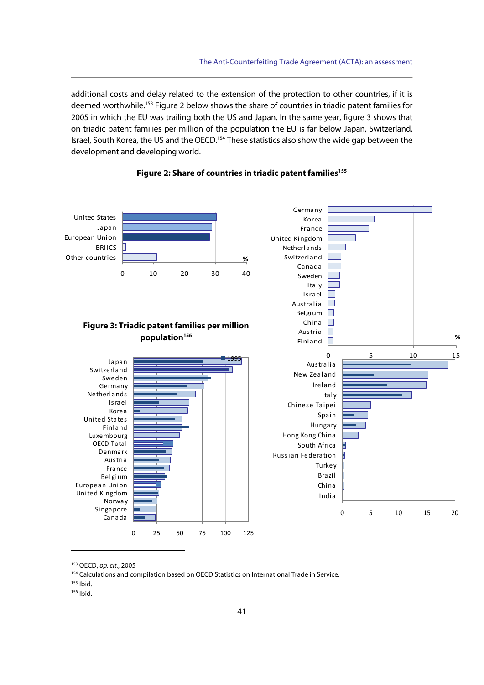additional costs and delay related to the extension of the protection to other countries, if it is deemed worthwhile.<sup>153</sup> Figure 2 below shows the share of countries in triadic patent families for 2005 in which the EU was trailing both the US and Japan. In the same year, figure 3 shows that on triadic patent families per million of the population the EU is far below Japan, Switzerland, Israel, South Korea, the US and the OECD.<sup>154</sup> These statistics also show the wide gap between the development and developing world.



## Figure 2: Share of countries in triadic patent families<sup>155</sup>

<sup>&</sup>lt;sup>153</sup> OECD, op. cit., 2005<br><sup>154</sup> Calculations and compilation based on OECD Statistics on International Trade in Service.

<sup>155</sup> Ibid.

<sup>156</sup> Ibid.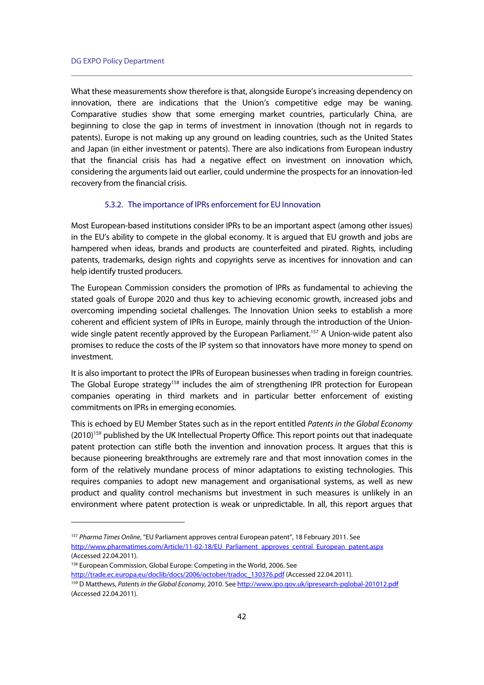$\overline{a}$ 

What these measurements show therefore is that, alongside Europe's increasing dependency on innovation, there are indications that the Union's competitive edge may be waning. Comparative studies show that some emerging market countries, particularly China, are beginning to close the gap in terms of investment in innovation (though not in regards to patents). Europe is not making up any ground on leading countries, such as the United States and Japan (in either investment or patents). There are also indications from European industry that the financial crisis has had a negative effect on investment on innovation which, considering the arguments laid out earlier, could undermine the prospects for an innovation-led recovery from the financial crisis.

## 5.3.2. The importance of IPRs enforcement for EU Innovation

Most European-based institutions consider IPRs to be an important aspect (among other issues) in the EU's ability to compete in the global economy. It is argued that EU growth and jobs are hampered when ideas, brands and products are counterfeited and pirated. Rights, including patents, trademarks, design rights and copyrights serve as incentives for innovation and can help identify trusted producers.

The European Commission considers the promotion of IPRs as fundamental to achieving the stated goals of Europe 2020 and thus key to achieving economic growth, increased jobs and overcoming impending societal challenges. The Innovation Union seeks to establish a more coherent and efficient system of IPRs in Europe, mainly through the introduction of the Unionwide single patent recently approved by the European Parliament.<sup>157</sup> A Union-wide patent also promises to reduce the costs of the IP system so that innovators have more money to spend on investment.

It is also important to protect the IPRs of European businesses when trading in foreign countries. The Global Europe strategy<sup>158</sup> includes the aim of strengthening IPR protection for European companies operating in third markets and in particular better enforcement of existing commitments on IPRs in emerging economies.

This is echoed by EU Member States such as in the report entitled Patents in the Global Economy (2010)<sup>159</sup> published by the UK Intellectual Property Office. This report points out that inadequate patent protection can stifle both the invention and innovation process. It argues that this is because pioneering breakthroughs are extremely rare and that most innovation comes in the form of the relatively mundane process of minor adaptations to existing technologies. This requires companies to adopt new management and organisational systems, as well as new product and quality control mechanisms but investment in such measures is unlikely in an environment where patent protection is weak or unpredictable. In all, this report argues that

<sup>157</sup> Pharma Times Online, "EU Parliament approves central European patent", 18 February 2011. See http://www.pharmatimes.com/Article/11-02-18/EU\_Parliament\_approves\_central\_European\_patent.aspx (Accessed 22.04.2011).

<sup>&</sup>lt;sup>158</sup> European Commission, Global Europe: Competing in the World, 2006. See http://trade.ec.europa.eu/doclib/docs/2006/october/tradoc\_130376.pdf (Accessed 22.04.2011).<br><sup>159</sup> D Matthews, Patents in the Global Economy, 2010. See http://www.ipo.gov.uk/ipresearch-pglobal-201012.pdf

<sup>(</sup>Accessed 22.04.2011).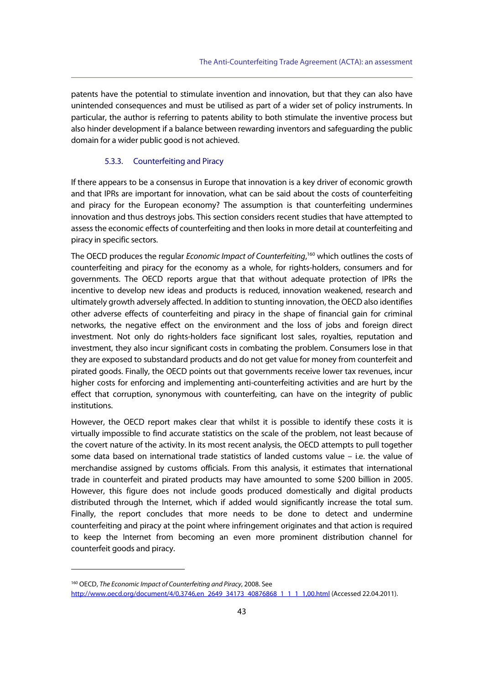patents have the potential to stimulate invention and innovation, but that they can also have unintended consequences and must be utilised as part of a wider set of policy instruments. In particular, the author is referring to patents ability to both stimulate the inventive process but also hinder development if a balance between rewarding inventors and safeguarding the public domain for a wider public good is not achieved.

### 5.3.3. Counterfeiting and Piracy

If there appears to be a consensus in Europe that innovation is a key driver of economic growth and that IPRs are important for innovation, what can be said about the costs of counterfeiting and piracy for the European economy? The assumption is that counterfeiting undermines innovation and thus destroys jobs. This section considers recent studies that have attempted to assess the economic effects of counterfeiting and then looks in more detail at counterfeiting and piracy in specific sectors.

The OECD produces the regular *Economic Impact of Counterfeiting*,<sup>160</sup> which outlines the costs of counterfeiting and piracy for the economy as a whole, for rights-holders, consumers and for governments. The OECD reports argue that that without adequate protection of IPRs the incentive to develop new ideas and products is reduced, innovation weakened, research and ultimately growth adversely affected. In addition to stunting innovation, the OECD also identifies other adverse effects of counterfeiting and piracy in the shape of financial gain for criminal networks, the negative effect on the environment and the loss of jobs and foreign direct investment. Not only do rights-holders face significant lost sales, royalties, reputation and investment, they also incur significant costs in combating the problem. Consumers lose in that they are exposed to substandard products and do not get value for money from counterfeit and pirated goods. Finally, the OECD points out that governments receive lower tax revenues, incur higher costs for enforcing and implementing anti-counterfeiting activities and are hurt by the effect that corruption, synonymous with counterfeiting, can have on the integrity of public institutions.

However, the OECD report makes clear that whilst it is possible to identify these costs it is virtually impossible to find accurate statistics on the scale of the problem, not least because of the covert nature of the activity. In its most recent analysis, the OECD attempts to pull together some data based on international trade statistics of landed customs value – i.e. the value of merchandise assigned by customs officials. From this analysis, it estimates that international trade in counterfeit and pirated products may have amounted to some \$200 billion in 2005. However, this figure does not include goods produced domestically and digital products distributed through the Internet, which if added would significantly increase the total sum. Finally, the report concludes that more needs to be done to detect and undermine counterfeiting and piracy at the point where infringement originates and that action is required to keep the Internet from becoming an even more prominent distribution channel for counterfeit goods and piracy.

<sup>&</sup>lt;sup>160</sup> OECD, The Economic Impact of Counterfeiting and Piracy, 2008. See http://www.oecd.org/document/4/0,3746,en\_2649\_34173\_40876868\_1\_1\_1\_1,00.html (Accessed 22.04.2011).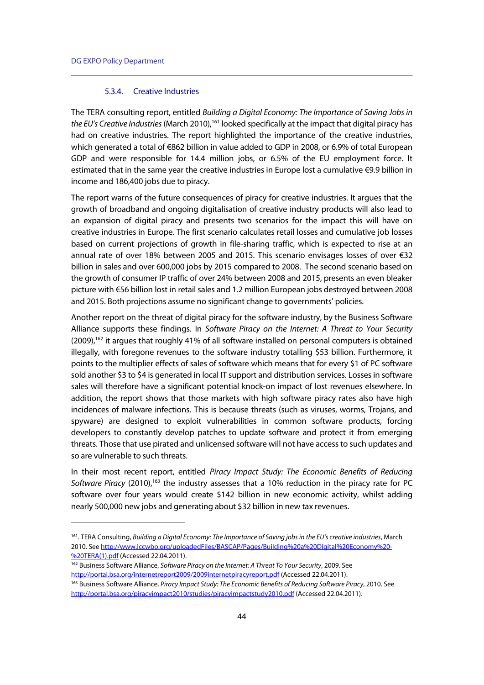$\overline{a}$ 

### 5.3.4. Creative Industries

The TERA consulting report, entitled Building a Digital Economy: The Importance of Saving Jobs in the EU's Creative Industries (March 2010),<sup>161</sup> looked specifically at the impact that digital piracy has had on creative industries. The report highlighted the importance of the creative industries, which generated a total of €862 billion in value added to GDP in 2008, or 6.9% of total European GDP and were responsible for 14.4 million jobs, or 6.5% of the EU employment force. It estimated that in the same year the creative industries in Europe lost a cumulative €9.9 billion in income and 186,400 jobs due to piracy.

The report warns of the future consequences of piracy for creative industries. It argues that the growth of broadband and ongoing digitalisation of creative industry products will also lead to an expansion of digital piracy and presents two scenarios for the impact this will have on creative industries in Europe. The first scenario calculates retail losses and cumulative job losses based on current projections of growth in file-sharing traffic, which is expected to rise at an annual rate of over 18% between 2005 and 2015. This scenario envisages losses of over €32 billion in sales and over 600,000 jobs by 2015 compared to 2008. The second scenario based on the growth of consumer IP traffic of over 24% between 2008 and 2015, presents an even bleaker picture with €56 billion lost in retail sales and 1.2 million European jobs destroyed between 2008 and 2015. Both projections assume no significant change to governments' policies.

Another report on the threat of digital piracy for the software industry, by the Business Software Alliance supports these findings. In Software Piracy on the Internet: A Threat to Your Security (2009),162 it argues that roughly 41% of all software installed on personal computers is obtained illegally, with foregone revenues to the software industry totalling \$53 billion. Furthermore, it points to the multiplier effects of sales of software which means that for every \$1 of PC software sold another \$3 to \$4 is generated in local IT support and distribution services. Losses in software sales will therefore have a significant potential knock-on impact of lost revenues elsewhere. In addition, the report shows that those markets with high software piracy rates also have high incidences of malware infections. This is because threats (such as viruses, worms, Trojans, and spyware) are designed to exploit vulnerabilities in common software products, forcing developers to constantly develop patches to update software and protect it from emerging threats. Those that use pirated and unlicensed software will not have access to such updates and so are vulnerable to such threats.

In their most recent report, entitled Piracy Impact Study: The Economic Benefits of Reducing Software Piracy  $(2010)$ ,<sup>163</sup> the industry assesses that a 10% reduction in the piracy rate for PC software over four years would create \$142 billion in new economic activity, whilst adding nearly 500,000 new jobs and generating about \$32 billion in new tax revenues.

http://portal.bsa.org/internetreport2009/2009internetpiracyreport.pdf (Accessed 22.04.2011).<br><sup>163</sup> Business Software Alliance, Piracy Impact Study: The Economic Benefits of Reducing Software Piracy, 2010. See

<sup>&</sup>lt;sup>161</sup>. TERA Consulting, Building a Digital Economy: The Importance of Saving jobs in the EU's creative industries, March 2010. See http://www.iccwbo.org/uploadedFiles/BASCAP/Pages/Building%20a%20Digital%20Economy%20- %20TERA(1).pdf (Accessed 22.04.2011).<br><sup>162</sup> Business Software Alliance, Software Piracy on the Internet: A Threat To Your Security, 2009. See

http://portal.bsa.org/piracyimpact2010/studies/piracyimpactstudy2010.pdf (Accessed 22.04.2011).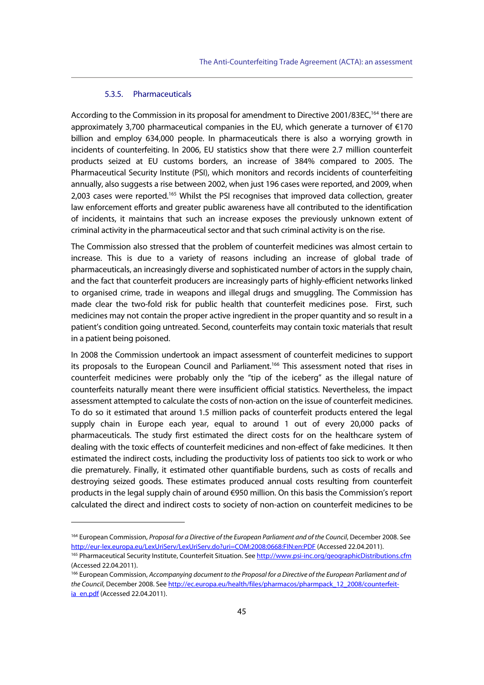# 5.3.5. Pharmaceuticals

 $\overline{a}$ 

According to the Commission in its proposal for amendment to Directive 2001/83EC,<sup>164</sup> there are approximately 3,700 pharmaceutical companies in the EU, which generate a turnover of  $\epsilon$ 170 billion and employ 634,000 people. In pharmaceuticals there is also a worrying growth in incidents of counterfeiting. In 2006, EU statistics show that there were 2.7 million counterfeit products seized at EU customs borders, an increase of 384% compared to 2005. The Pharmaceutical Security Institute (PSI), which monitors and records incidents of counterfeiting annually, also suggests a rise between 2002, when just 196 cases were reported, and 2009, when 2,003 cases were reported.<sup>165</sup> Whilst the PSI recognises that improved data collection, greater law enforcement efforts and greater public awareness have all contributed to the identification of incidents, it maintains that such an increase exposes the previously unknown extent of criminal activity in the pharmaceutical sector and that such criminal activity is on the rise.

The Commission also stressed that the problem of counterfeit medicines was almost certain to increase. This is due to a variety of reasons including an increase of global trade of pharmaceuticals, an increasingly diverse and sophisticated number of actors in the supply chain, and the fact that counterfeit producers are increasingly parts of highly-efficient networks linked to organised crime, trade in weapons and illegal drugs and smuggling. The Commission has made clear the two-fold risk for public health that counterfeit medicines pose. First, such medicines may not contain the proper active ingredient in the proper quantity and so result in a patient's condition going untreated. Second, counterfeits may contain toxic materials that result in a patient being poisoned.

In 2008 the Commission undertook an impact assessment of counterfeit medicines to support its proposals to the European Council and Parliament.<sup>166</sup> This assessment noted that rises in counterfeit medicines were probably only the "tip of the iceberg" as the illegal nature of counterfeits naturally meant there were insufficient official statistics. Nevertheless, the impact assessment attempted to calculate the costs of non-action on the issue of counterfeit medicines. To do so it estimated that around 1.5 million packs of counterfeit products entered the legal supply chain in Europe each year, equal to around 1 out of every 20,000 packs of pharmaceuticals. The study first estimated the direct costs for on the healthcare system of dealing with the toxic effects of counterfeit medicines and non-effect of fake medicines. It then estimated the indirect costs, including the productivity loss of patients too sick to work or who die prematurely. Finally, it estimated other quantifiable burdens, such as costs of recalls and destroying seized goods. These estimates produced annual costs resulting from counterfeit products in the legal supply chain of around €950 million. On this basis the Commission's report calculated the direct and indirect costs to society of non-action on counterfeit medicines to be

<sup>&</sup>lt;sup>164</sup> European Commission, *Proposal for a Directive of the European Parliament and of the Council*, December 2008, See http://eur-lex.europa.eu/LexUriServ/LexUriServ.do?uri=COM:2008:0668:FIN:en:PDF (Accessed 22.04.2011).<br><sup>165</sup> Pharmaceutical Security Institute, Counterfeit Situation. See http://www.psi-inc.org/geographicDistributions.cfm

<sup>(</sup>Accessed 22.04.2011).

<sup>&</sup>lt;sup>166</sup> European Commission, Accompanying document to the Proposal for a Directive of the European Parliament and of the Council, December 2008. See http://ec.europa.eu/health/files/pharmacos/pharmpack\_12\_2008/counterfeitia\_en.pdf (Accessed 22.04.2011).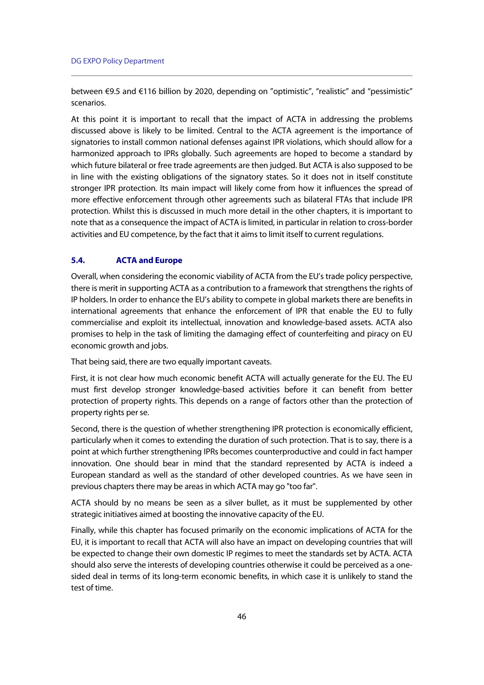between €9.5 and €116 billion by 2020, depending on "optimistic", "realistic" and "pessimistic" scenarios.

At this point it is important to recall that the impact of ACTA in addressing the problems discussed above is likely to be limited. Central to the ACTA agreement is the importance of signatories to install common national defenses against IPR violations, which should allow for a harmonized approach to IPRs globally. Such agreements are hoped to become a standard by which future bilateral or free trade agreements are then judged. But ACTA is also supposed to be in line with the existing obligations of the signatory states. So it does not in itself constitute stronger IPR protection. Its main impact will likely come from how it influences the spread of more effective enforcement through other agreements such as bilateral FTAs that include IPR protection. Whilst this is discussed in much more detail in the other chapters, it is important to note that as a consequence the impact of ACTA is limited, in particular in relation to cross-border activities and EU competence, by the fact that it aims to limit itself to current regulations.

### **5.4. ACTA and Europe**

Overall, when considering the economic viability of ACTA from the EU's trade policy perspective, there is merit in supporting ACTA as a contribution to a framework that strengthens the rights of IP holders. In order to enhance the EU's ability to compete in global markets there are benefits in international agreements that enhance the enforcement of IPR that enable the EU to fully commercialise and exploit its intellectual, innovation and knowledge-based assets. ACTA also promises to help in the task of limiting the damaging effect of counterfeiting and piracy on EU economic growth and jobs.

That being said, there are two equally important caveats.

First, it is not clear how much economic benefit ACTA will actually generate for the EU. The EU must first develop stronger knowledge-based activities before it can benefit from better protection of property rights. This depends on a range of factors other than the protection of property rights per se.

Second, there is the question of whether strengthening IPR protection is economically efficient, particularly when it comes to extending the duration of such protection. That is to say, there is a point at which further strengthening IPRs becomes counterproductive and could in fact hamper innovation. One should bear in mind that the standard represented by ACTA is indeed a European standard as well as the standard of other developed countries. As we have seen in previous chapters there may be areas in which ACTA may go "too far".

ACTA should by no means be seen as a silver bullet, as it must be supplemented by other strategic initiatives aimed at boosting the innovative capacity of the EU.

Finally, while this chapter has focused primarily on the economic implications of ACTA for the EU, it is important to recall that ACTA will also have an impact on developing countries that will be expected to change their own domestic IP regimes to meet the standards set by ACTA. ACTA should also serve the interests of developing countries otherwise it could be perceived as a onesided deal in terms of its long-term economic benefits, in which case it is unlikely to stand the test of time.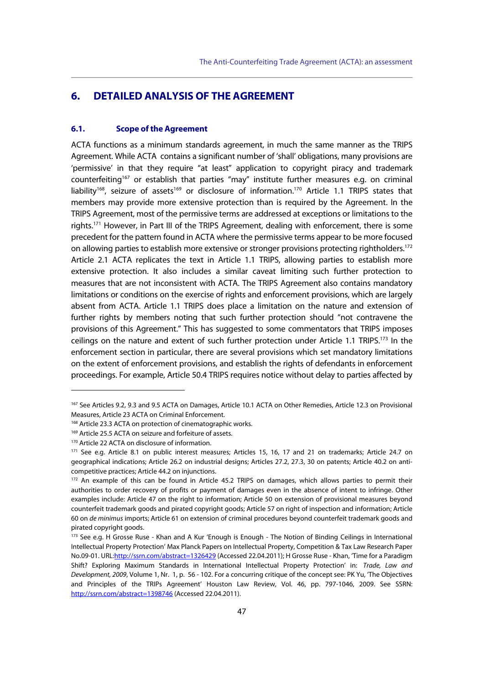# **6. DETAILED ANALYSIS OF THE AGREEMENT**

# **6.1. Scope of the Agreement**

ACTA functions as a minimum standards agreement, in much the same manner as the TRIPS Agreement. While ACTA contains a significant number of 'shall' obligations, many provisions are 'permissive' in that they require "at least" application to copyright piracy and trademark counterfeiting<sup>167</sup> or establish that parties "may" institute further measures e.g. on criminal liability<sup>168</sup>, seizure of assets<sup>169</sup> or disclosure of information.<sup>170</sup> Article 1.1 TRIPS states that members may provide more extensive protection than is required by the Agreement. In the TRIPS Agreement, most of the permissive terms are addressed at exceptions or limitations to the rights.171 However, in Part III of the TRIPS Agreement, dealing with enforcement, there is some precedent for the pattern found in ACTA where the permissive terms appear to be more focused on allowing parties to establish more extensive or stronger provisions protecting rightholders.<sup>172</sup> Article 2.1 ACTA replicates the text in Article 1.1 TRIPS, allowing parties to establish more extensive protection. It also includes a similar caveat limiting such further protection to measures that are not inconsistent with ACTA. The TRIPS Agreement also contains mandatory limitations or conditions on the exercise of rights and enforcement provisions, which are largely absent from ACTA. Article 1.1 TRIPS does place a limitation on the nature and extension of further rights by members noting that such further protection should "not contravene the provisions of this Agreement." This has suggested to some commentators that TRIPS imposes ceilings on the nature and extent of such further protection under Article 1.1 TRIPS.<sup>173</sup> In the enforcement section in particular, there are several provisions which set mandatory limitations on the extent of enforcement provisions, and establish the rights of defendants in enforcement proceedings. For example, Article 50.4 TRIPS requires notice without delay to parties affected by

<sup>&</sup>lt;sup>167</sup> See Articles 9.2, 9.3 and 9.5 ACTA on Damages, Article 10.1 ACTA on Other Remedies, Article 12.3 on Provisional Measures, Article 23 ACTA on Criminal Enforcement.<br><sup>168</sup> Article 23.3 ACTA on protection of cinematographic works.

<sup>169</sup> Article 25.5 ACTA on seizure and forfeiture of assets.

<sup>170</sup> Article 22 ACTA on disclosure of information.

<sup>&</sup>lt;sup>171</sup> See e.g. Article 8.1 on public interest measures; Articles 15, 16, 17 and 21 on trademarks; Article 24.7 on geographical indications; Article 26.2 on industrial designs; Articles 27.2, 27.3, 30 on patents; Article 40.2 on anticompetitive practices; Article 44.2 on injunctions.

<sup>172</sup> An example of this can be found in Article 45.2 TRIPS on damages, which allows parties to permit their authorities to order recovery of profits or payment of damages even in the absence of intent to infringe. Other examples include: Article 47 on the right to information; Article 50 on extension of provisional measures beyond counterfeit trademark goods and pirated copyright goods; Article 57 on right of inspection and information; Article 60 on de minimus imports; Article 61 on extension of criminal procedures beyond counterfeit trademark goods and pirated copyright goods.

<sup>173</sup> See e.g. H Grosse Ruse - Khan and A Kur 'Enough is Enough - The Notion of Binding Ceilings in International Intellectual Property Protection' Max Planck Papers on Intellectual Property, Competition & Tax Law Research Paper No.09-01. URL:http://ssrn.com/abstract=1326429 (Accessed 22.04.2011); H Grosse Ruse - Khan, 'Time for a Paradigm Shift? Exploring Maximum Standards in International Intellectual Property Protection' in: Trade, Law and Development, 2009, Volume 1, Nr. 1, p. 56 - 102. For a concurring critique of the concept see: PK Yu, 'The Objectives and Principles of the TRIPs Agreement' Houston Law Review, Vol. 46, pp. 797-1046, 2009. See SSRN: http://ssrn.com/abstract=1398746 (Accessed 22.04.2011).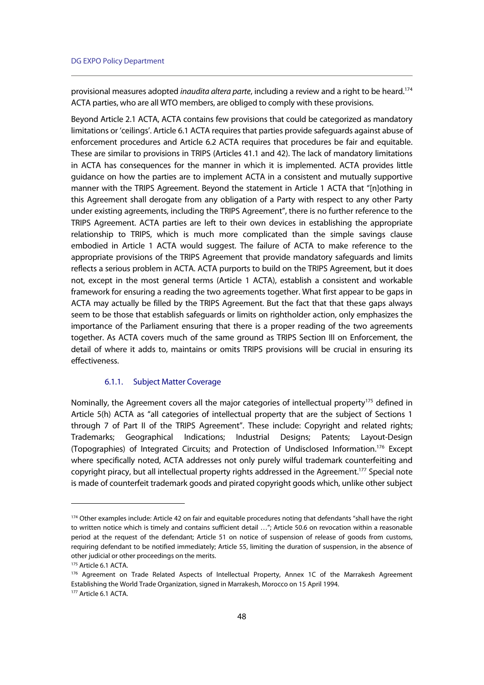provisional measures adopted inaudita altera parte, including a review and a right to be heard.<sup>174</sup> ACTA parties, who are all WTO members, are obliged to comply with these provisions.

Beyond Article 2.1 ACTA, ACTA contains few provisions that could be categorized as mandatory limitations or 'ceilings'. Article 6.1 ACTA requires that parties provide safeguards against abuse of enforcement procedures and Article 6.2 ACTA requires that procedures be fair and equitable. These are similar to provisions in TRIPS (Articles 41.1 and 42). The lack of mandatory limitations in ACTA has consequences for the manner in which it is implemented. ACTA provides little guidance on how the parties are to implement ACTA in a consistent and mutually supportive manner with the TRIPS Agreement. Beyond the statement in Article 1 ACTA that "[n]othing in this Agreement shall derogate from any obligation of a Party with respect to any other Party under existing agreements, including the TRIPS Agreement", there is no further reference to the TRIPS Agreement. ACTA parties are left to their own devices in establishing the appropriate relationship to TRIPS, which is much more complicated than the simple savings clause embodied in Article 1 ACTA would suggest. The failure of ACTA to make reference to the appropriate provisions of the TRIPS Agreement that provide mandatory safeguards and limits reflects a serious problem in ACTA. ACTA purports to build on the TRIPS Agreement, but it does not, except in the most general terms (Article 1 ACTA), establish a consistent and workable framework for ensuring a reading the two agreements together. What first appear to be gaps in ACTA may actually be filled by the TRIPS Agreement. But the fact that that these gaps always seem to be those that establish safeguards or limits on rightholder action, only emphasizes the importance of the Parliament ensuring that there is a proper reading of the two agreements together. As ACTA covers much of the same ground as TRIPS Section III on Enforcement, the detail of where it adds to, maintains or omits TRIPS provisions will be crucial in ensuring its effectiveness.

## 6.1.1. Subject Matter Coverage

Nominally, the Agreement covers all the major categories of intellectual property<sup>175</sup> defined in Article 5(h) ACTA as "all categories of intellectual property that are the subject of Sections 1 through 7 of Part II of the TRIPS Agreement". These include: Copyright and related rights; Trademarks; Geographical Indications; Industrial Designs; Patents; Layout-Design (Topographies) of Integrated Circuits; and Protection of Undisclosed Information.176 Except where specifically noted, ACTA addresses not only purely wilful trademark counterfeiting and copyright piracy, but all intellectual property rights addressed in the Agreement.<sup>177</sup> Special note is made of counterfeit trademark goods and pirated copyright goods which, unlike other subject

<sup>174</sup> Other examples include: Article 42 on fair and equitable procedures noting that defendants "shall have the right to written notice which is timely and contains sufficient detail …"; Article 50.6 on revocation within a reasonable period at the request of the defendant; Article 51 on notice of suspension of release of goods from customs, requiring defendant to be notified immediately; Article 55, limiting the duration of suspension, in the absence of other judicial or other proceedings on the merits.

<sup>175</sup> Article 6.1 ACTA.

<sup>176</sup> Agreement on Trade Related Aspects of Intellectual Property, Annex 1C of the Marrakesh Agreement Establishing the World Trade Organization, signed in Marrakesh, Morocco on 15 April 1994. 177 Article 6.1 ACTA.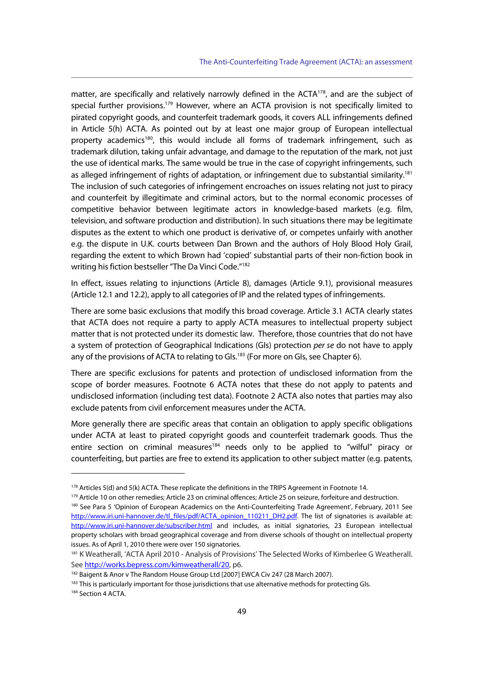matter, are specifically and relatively narrowly defined in the  $ACTA^{178}$ , and are the subject of special further provisions.<sup>179</sup> However, where an ACTA provision is not specifically limited to pirated copyright goods, and counterfeit trademark goods, it covers ALL infringements defined in Article 5(h) ACTA. As pointed out by at least one major group of European intellectual property academics<sup>180</sup>, this would include all forms of trademark infringement, such as trademark dilution, taking unfair advantage, and damage to the reputation of the mark, not just the use of identical marks. The same would be true in the case of copyright infringements, such as alleged infringement of rights of adaptation, or infringement due to substantial similarity.<sup>181</sup> The inclusion of such categories of infringement encroaches on issues relating not just to piracy and counterfeit by illegitimate and criminal actors, but to the normal economic processes of competitive behavior between legitimate actors in knowledge-based markets (e.g. film, television, and software production and distribution). In such situations there may be legitimate disputes as the extent to which one product is derivative of, or competes unfairly with another e.g. the dispute in U.K. courts between Dan Brown and the authors of Holy Blood Holy Grail, regarding the extent to which Brown had 'copied' substantial parts of their non-fiction book in writing his fiction bestseller "The Da Vinci Code."<sup>182</sup>

In effect, issues relating to injunctions (Article 8), damages (Article 9.1), provisional measures (Article 12.1 and 12.2), apply to all categories of IP and the related types of infringements.

There are some basic exclusions that modify this broad coverage. Article 3.1 ACTA clearly states that ACTA does not require a party to apply ACTA measures to intellectual property subject matter that is not protected under its domestic law. Therefore, those countries that do not have a system of protection of Geographical Indications (GIs) protection per se do not have to apply any of the provisions of ACTA to relating to GIs.<sup>183</sup> (For more on GIs, see Chapter 6).

There are specific exclusions for patents and protection of undisclosed information from the scope of border measures. Footnote 6 ACTA notes that these do not apply to patents and undisclosed information (including test data). Footnote 2 ACTA also notes that parties may also exclude patents from civil enforcement measures under the ACTA.

More generally there are specific areas that contain an obligation to apply specific obligations under ACTA at least to pirated copyright goods and counterfeit trademark goods. Thus the entire section on criminal measures<sup>184</sup> needs only to be applied to "wilful" piracy or counterfeiting, but parties are free to extend its application to other subject matter (e.g. patents,

j

 $183$  This is particularly important for those jurisdictions that use alternative methods for protecting GIs.  $184$  Section 4 ACTA.

<sup>&</sup>lt;sup>178</sup> Articles 5(d) and 5(k) ACTA. These replicate the definitions in the TRIPS Agreement in Footnote 14.<br><sup>179</sup> Article 10 on other remedies; Article 23 on criminal offences; Article 25 on seizure, forfeiture and destruct http://www.iri.uni-hannover.de/tl\_files/pdf/ACTA\_opinion\_110211\_DH2.pdf. The list of signatories is available at: http://www.iri.uni-hannover.de/subscriber.html and includes, as initial signatories, 23 European intellectual property scholars with broad geographical coverage and from diverse schools of thought on intellectual property issues. As of April 1, 2010 there were over 150 signatories.

<sup>181</sup> K Weatherall, 'ACTA April 2010 - Analysis of Provisions' The Selected Works of Kimberlee G Weatherall. See http://works.bepress.com/kimweatherall/20, p6.

<sup>182</sup> Baigent & Anor v The Random House Group Ltd [2007] EWCA Civ 247 (28 March 2007).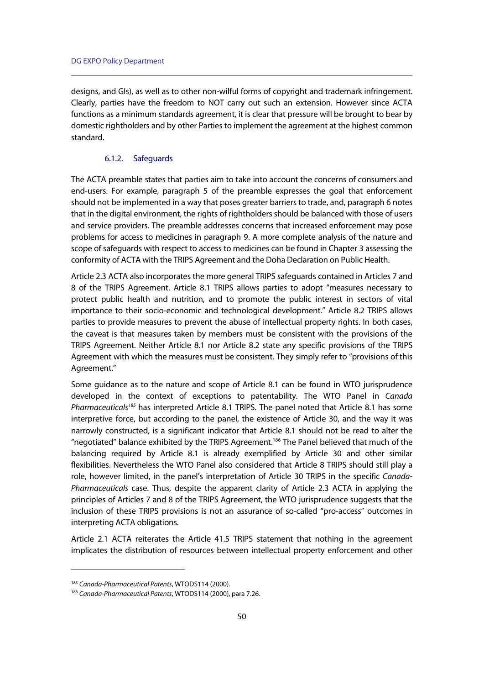designs, and GIs), as well as to other non-wilful forms of copyright and trademark infringement. Clearly, parties have the freedom to NOT carry out such an extension. However since ACTA functions as a minimum standards agreement, it is clear that pressure will be brought to bear by domestic rightholders and by other Parties to implement the agreement at the highest common standard.

## 6.1.2. Safeguards

The ACTA preamble states that parties aim to take into account the concerns of consumers and end-users. For example, paragraph 5 of the preamble expresses the goal that enforcement should not be implemented in a way that poses greater barriers to trade, and, paragraph 6 notes that in the digital environment, the rights of rightholders should be balanced with those of users and service providers. The preamble addresses concerns that increased enforcement may pose problems for access to medicines in paragraph 9. A more complete analysis of the nature and scope of safeguards with respect to access to medicines can be found in Chapter 3 assessing the conformity of ACTA with the TRIPS Agreement and the Doha Declaration on Public Health.

Article 2.3 ACTA also incorporates the more general TRIPS safeguards contained in Articles 7 and 8 of the TRIPS Agreement. Article 8.1 TRIPS allows parties to adopt "measures necessary to protect public health and nutrition, and to promote the public interest in sectors of vital importance to their socio-economic and technological development." Article 8.2 TRIPS allows parties to provide measures to prevent the abuse of intellectual property rights. In both cases, the caveat is that measures taken by members must be consistent with the provisions of the TRIPS Agreement. Neither Article 8.1 nor Article 8.2 state any specific provisions of the TRIPS Agreement with which the measures must be consistent. They simply refer to "provisions of this Agreement."

Some guidance as to the nature and scope of Article 8.1 can be found in WTO jurisprudence developed in the context of exceptions to patentability. The WTO Panel in Canada Pharmaceuticals<sup>185</sup> has interpreted Article 8.1 TRIPS. The panel noted that Article 8.1 has some interpretive force, but according to the panel, the existence of Article 30, and the way it was narrowly constructed, is a significant indicator that Article 8.1 should not be read to alter the "negotiated" balance exhibited by the TRIPS Agreement.186 The Panel believed that much of the balancing required by Article 8.1 is already exemplified by Article 30 and other similar flexibilities. Nevertheless the WTO Panel also considered that Article 8 TRIPS should still play a role, however limited, in the panel's interpretation of Article 30 TRIPS in the specific Canada-Pharmaceuticals case. Thus, despite the apparent clarity of Article 2.3 ACTA in applying the principles of Articles 7 and 8 of the TRIPS Agreement, the WTO jurisprudence suggests that the inclusion of these TRIPS provisions is not an assurance of so-called "pro-access" outcomes in interpreting ACTA obligations.

Article 2.1 ACTA reiterates the Article 41.5 TRIPS statement that nothing in the agreement implicates the distribution of resources between intellectual property enforcement and other

<sup>&</sup>lt;sup>185</sup> Canada-Pharmaceutical Patents, WTODS114 (2000).<br><sup>186</sup> Canada-Pharmaceutical Patents, WTODS114 (2000), para 7.26.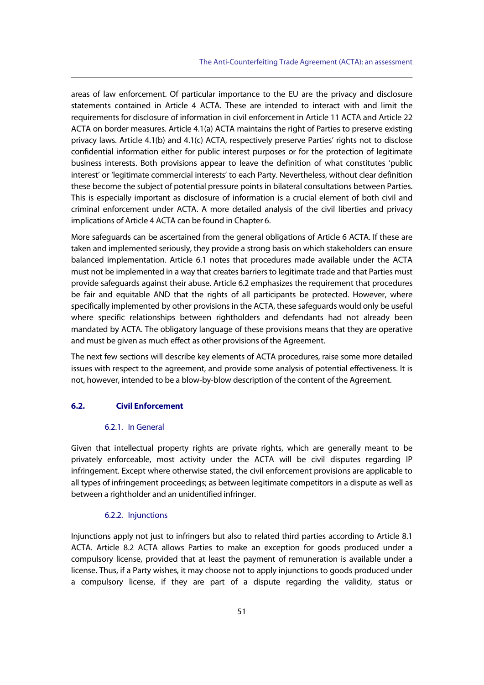areas of law enforcement. Of particular importance to the EU are the privacy and disclosure statements contained in Article 4 ACTA. These are intended to interact with and limit the requirements for disclosure of information in civil enforcement in Article 11 ACTA and Article 22 ACTA on border measures. Article 4.1(a) ACTA maintains the right of Parties to preserve existing privacy laws. Article 4.1(b) and 4.1(c) ACTA, respectively preserve Parties' rights not to disclose confidential information either for public interest purposes or for the protection of legitimate business interests. Both provisions appear to leave the definition of what constitutes 'public interest' or 'legitimate commercial interests' to each Party. Nevertheless, without clear definition these become the subject of potential pressure points in bilateral consultations between Parties. This is especially important as disclosure of information is a crucial element of both civil and criminal enforcement under ACTA. A more detailed analysis of the civil liberties and privacy implications of Article 4 ACTA can be found in Chapter 6.

More safeguards can be ascertained from the general obligations of Article 6 ACTA. If these are taken and implemented seriously, they provide a strong basis on which stakeholders can ensure balanced implementation. Article 6.1 notes that procedures made available under the ACTA must not be implemented in a way that creates barriers to legitimate trade and that Parties must provide safeguards against their abuse. Article 6.2 emphasizes the requirement that procedures be fair and equitable AND that the rights of all participants be protected. However, where specifically implemented by other provisions in the ACTA, these safeguards would only be useful where specific relationships between rightholders and defendants had not already been mandated by ACTA. The obligatory language of these provisions means that they are operative and must be given as much effect as other provisions of the Agreement.

The next few sections will describe key elements of ACTA procedures, raise some more detailed issues with respect to the agreement, and provide some analysis of potential effectiveness. It is not, however, intended to be a blow-by-blow description of the content of the Agreement.

## **6.2. Civil Enforcement**

#### 6.2.1. In General

Given that intellectual property rights are private rights, which are generally meant to be privately enforceable, most activity under the ACTA will be civil disputes regarding IP infringement. Except where otherwise stated, the civil enforcement provisions are applicable to all types of infringement proceedings; as between legitimate competitors in a dispute as well as between a rightholder and an unidentified infringer.

### 6.2.2. Injunctions

Injunctions apply not just to infringers but also to related third parties according to Article 8.1 ACTA. Article 8.2 ACTA allows Parties to make an exception for goods produced under a compulsory license, provided that at least the payment of remuneration is available under a license. Thus, if a Party wishes, it may choose not to apply injunctions to goods produced under a compulsory license, if they are part of a dispute regarding the validity, status or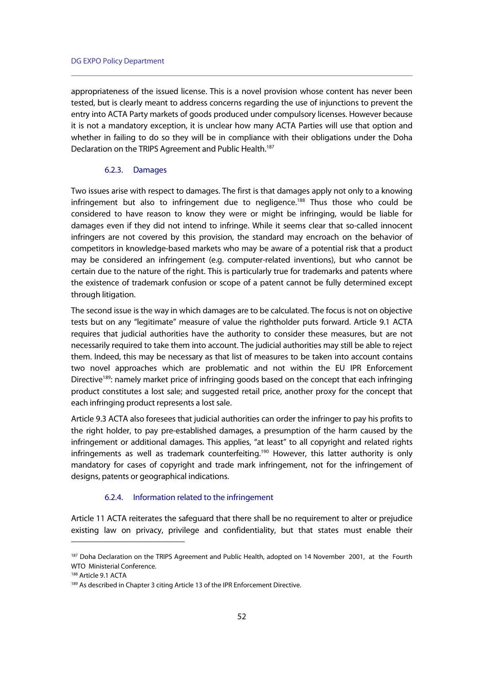appropriateness of the issued license. This is a novel provision whose content has never been tested, but is clearly meant to address concerns regarding the use of injunctions to prevent the entry into ACTA Party markets of goods produced under compulsory licenses. However because it is not a mandatory exception, it is unclear how many ACTA Parties will use that option and whether in failing to do so they will be in compliance with their obligations under the Doha Declaration on the TRIPS Agreement and Public Health.<sup>187</sup>

### 6.2.3. Damages

Two issues arise with respect to damages. The first is that damages apply not only to a knowing infringement but also to infringement due to negligence.<sup>188</sup> Thus those who could be considered to have reason to know they were or might be infringing, would be liable for damages even if they did not intend to infringe. While it seems clear that so-called innocent infringers are not covered by this provision, the standard may encroach on the behavior of competitors in knowledge-based markets who may be aware of a potential risk that a product may be considered an infringement (e.g. computer-related inventions), but who cannot be certain due to the nature of the right. This is particularly true for trademarks and patents where the existence of trademark confusion or scope of a patent cannot be fully determined except through litigation.

The second issue is the way in which damages are to be calculated. The focus is not on objective tests but on any "legitimate" measure of value the rightholder puts forward. Article 9.1 ACTA requires that judicial authorities have the authority to consider these measures, but are not necessarily required to take them into account. The judicial authorities may still be able to reject them. Indeed, this may be necessary as that list of measures to be taken into account contains two novel approaches which are problematic and not within the EU IPR Enforcement Directive<sup>189</sup>: namely market price of infringing goods based on the concept that each infringing product constitutes a lost sale; and suggested retail price, another proxy for the concept that each infringing product represents a lost sale.

Article 9.3 ACTA also foresees that judicial authorities can order the infringer to pay his profits to the right holder, to pay pre-established damages, a presumption of the harm caused by the infringement or additional damages. This applies, "at least" to all copyright and related rights infringements as well as trademark counterfeiting.<sup>190</sup> However, this latter authority is only mandatory for cases of copyright and trade mark infringement, not for the infringement of designs, patents or geographical indications.

## 6.2.4. Information related to the infringement

Article 11 ACTA reiterates the safeguard that there shall be no requirement to alter or prejudice existing law on privacy, privilege and confidentiality, but that states must enable their

<sup>&</sup>lt;sup>187</sup> Doha Declaration on the TRIPS Agreement and Public Health, adopted on 14 November 2001, at the Fourth WTO Ministerial Conference.

<sup>188</sup> Article 9.1 ACTA

<sup>189</sup> As described in Chapter 3 citing Article 13 of the IPR Enforcement Directive.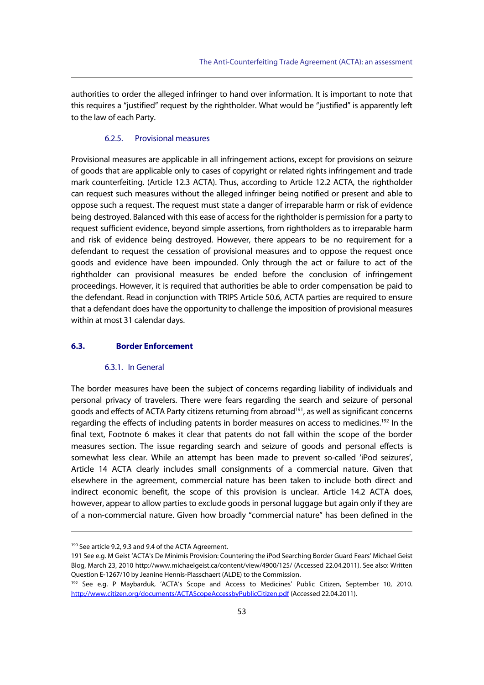authorities to order the alleged infringer to hand over information. It is important to note that this requires a "justified" request by the rightholder. What would be "justified" is apparently left to the law of each Party.

# 6.2.5. Provisional measures

Provisional measures are applicable in all infringement actions, except for provisions on seizure of goods that are applicable only to cases of copyright or related rights infringement and trade mark counterfeiting. (Article 12.3 ACTA). Thus, according to Article 12.2 ACTA, the rightholder can request such measures without the alleged infringer being notified or present and able to oppose such a request. The request must state a danger of irreparable harm or risk of evidence being destroyed. Balanced with this ease of access for the rightholder is permission for a party to request sufficient evidence, beyond simple assertions, from rightholders as to irreparable harm and risk of evidence being destroyed. However, there appears to be no requirement for a defendant to request the cessation of provisional measures and to oppose the request once goods and evidence have been impounded. Only through the act or failure to act of the rightholder can provisional measures be ended before the conclusion of infringement proceedings. However, it is required that authorities be able to order compensation be paid to the defendant. Read in conjunction with TRIPS Article 50.6, ACTA parties are required to ensure that a defendant does have the opportunity to challenge the imposition of provisional measures within at most 31 calendar days.

### **6.3. Border Enforcement**

#### 6.3.1. In General

The border measures have been the subject of concerns regarding liability of individuals and personal privacy of travelers. There were fears regarding the search and seizure of personal goods and effects of ACTA Party citizens returning from abroad<sup>191</sup>, as well as significant concerns regarding the effects of including patents in border measures on access to medicines.<sup>192</sup> In the final text, Footnote 6 makes it clear that patents do not fall within the scope of the border measures section. The issue regarding search and seizure of goods and personal effects is somewhat less clear. While an attempt has been made to prevent so-called 'iPod seizures', Article 14 ACTA clearly includes small consignments of a commercial nature. Given that elsewhere in the agreement, commercial nature has been taken to include both direct and indirect economic benefit, the scope of this provision is unclear. Article 14.2 ACTA does, however, appear to allow parties to exclude goods in personal luggage but again only if they are of a non-commercial nature. Given how broadly "commercial nature" has been defined in the

<sup>190</sup> See article 9.2, 9.3 and 9.4 of the ACTA Agreement.

<sup>191</sup> See e.g. M Geist 'ACTA's De Minimis Provision: Countering the iPod Searching Border Guard Fears' Michael Geist Blog, March 23, 2010 http://www.michaelgeist.ca/content/view/4900/125/ (Accessed 22.04.2011). See also: Written Question E-1267/10 by Jeanine Hennis-Plasschaert (ALDE) to the Commission.

<sup>&</sup>lt;sup>192</sup> See e.g. P Maybarduk, 'ACTA's Scope and Access to Medicines' Public Citizen, September 10, 2010. http://www.citizen.org/documents/ACTAScopeAccessbyPublicCitizen.pdf (Accessed 22.04.2011).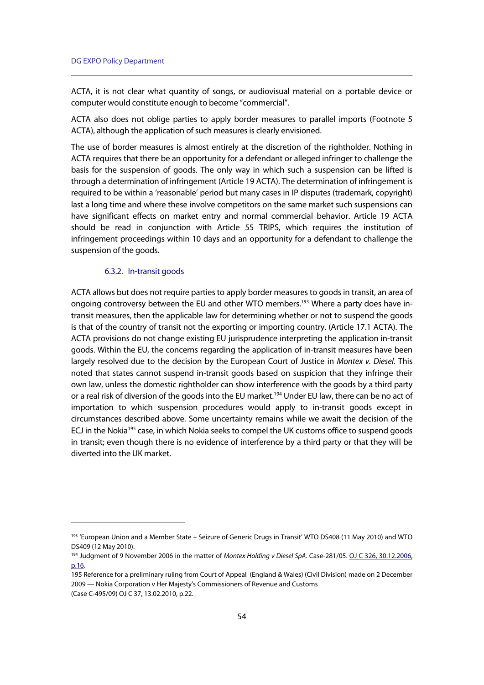ACTA, it is not clear what quantity of songs, or audiovisual material on a portable device or computer would constitute enough to become "commercial".

ACTA also does not oblige parties to apply border measures to parallel imports (Footnote 5 ACTA), although the application of such measures is clearly envisioned.

The use of border measures is almost entirely at the discretion of the rightholder. Nothing in ACTA requires that there be an opportunity for a defendant or alleged infringer to challenge the basis for the suspension of goods. The only way in which such a suspension can be lifted is through a determination of infringement (Article 19 ACTA). The determination of infringement is required to be within a 'reasonable' period but many cases in IP disputes (trademark, copyright) last a long time and where these involve competitors on the same market such suspensions can have significant effects on market entry and normal commercial behavior. Article 19 ACTA should be read in conjunction with Article 55 TRIPS, which requires the institution of infringement proceedings within 10 days and an opportunity for a defendant to challenge the suspension of the goods.

## 6.3.2. In-transit goods

ACTA allows but does not require parties to apply border measures to goods in transit, an area of ongoing controversy between the EU and other WTO members.<sup>193</sup> Where a party does have intransit measures, then the applicable law for determining whether or not to suspend the goods is that of the country of transit not the exporting or importing country. (Article 17.1 ACTA). The ACTA provisions do not change existing EU jurisprudence interpreting the application in-transit goods. Within the EU, the concerns regarding the application of in-transit measures have been largely resolved due to the decision by the European Court of Justice in Montex v. Diesel. This noted that states cannot suspend in-transit goods based on suspicion that they infringe their own law, unless the domestic rightholder can show interference with the goods by a third party or a real risk of diversion of the goods into the EU market.<sup>194</sup> Under EU law, there can be no act of importation to which suspension procedures would apply to in-transit goods except in circumstances described above. Some uncertainty remains while we await the decision of the ECJ in the Nokia<sup>195</sup> case, in which Nokia seeks to compel the UK customs office to suspend goods in transit; even though there is no evidence of interference by a third party or that they will be diverted into the UK market.

<sup>193 &#</sup>x27;European Union and a Member State – Seizure of Generic Drugs in Transit' WTO DS408 (11 May 2010) and WTO DS409 (12 May 2010).

<sup>&</sup>lt;sup>194</sup> Judgment of 9 November 2006 in the matter of Montex Holding v Diesel SpA. Case-281/05. **OJ C 326, 30.12.2006**, p.16.

<sup>195</sup> Reference for a preliminary ruling from Court of Appeal (England & Wales) (Civil Division) made on 2 December 2009 — Nokia Corporation v Her Majesty's Commissioners of Revenue and Customs

<sup>(</sup>Case C-495/09) OJ C 37, 13.02.2010, p.22.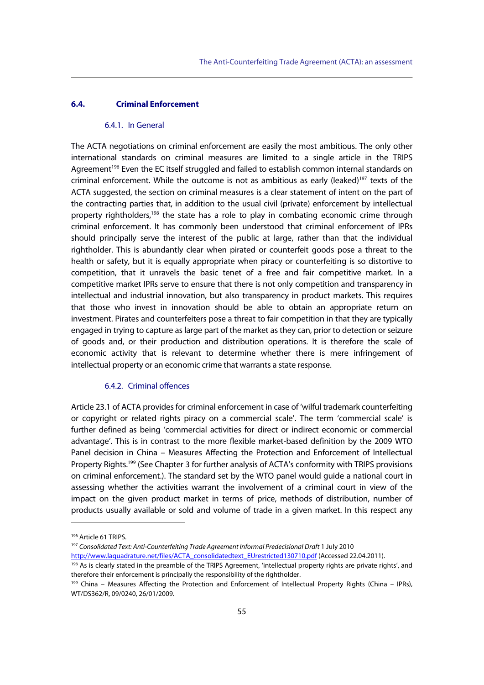# **6.4. Criminal Enforcement**

#### 6.4.1. In General

The ACTA negotiations on criminal enforcement are easily the most ambitious. The only other international standards on criminal measures are limited to a single article in the TRIPS Agreement<sup>196</sup> Even the EC itself struggled and failed to establish common internal standards on criminal enforcement. While the outcome is not as ambitious as early (leaked)<sup>197</sup> texts of the ACTA suggested, the section on criminal measures is a clear statement of intent on the part of the contracting parties that, in addition to the usual civil (private) enforcement by intellectual property rightholders,<sup>198</sup> the state has a role to play in combating economic crime through criminal enforcement. It has commonly been understood that criminal enforcement of IPRs should principally serve the interest of the public at large, rather than that the individual rightholder. This is abundantly clear when pirated or counterfeit goods pose a threat to the health or safety, but it is equally appropriate when piracy or counterfeiting is so distortive to competition, that it unravels the basic tenet of a free and fair competitive market. In a competitive market IPRs serve to ensure that there is not only competition and transparency in intellectual and industrial innovation, but also transparency in product markets. This requires that those who invest in innovation should be able to obtain an appropriate return on investment. Pirates and counterfeiters pose a threat to fair competition in that they are typically engaged in trying to capture as large part of the market as they can, prior to detection or seizure of goods and, or their production and distribution operations. It is therefore the scale of economic activity that is relevant to determine whether there is mere infringement of intellectual property or an economic crime that warrants a state response.

### 6.4.2. Criminal offences

Article 23.1 of ACTA provides for criminal enforcement in case of 'wilful trademark counterfeiting or copyright or related rights piracy on a commercial scale'. The term 'commercial scale' is further defined as being 'commercial activities for direct or indirect economic or commercial advantage'. This is in contrast to the more flexible market-based definition by the 2009 WTO Panel decision in China – Measures Affecting the Protection and Enforcement of Intellectual Property Rights.199 (See Chapter 3 for further analysis of ACTA's conformity with TRIPS provisions on criminal enforcement.). The standard set by the WTO panel would guide a national court in assessing whether the activities warrant the involvement of a criminal court in view of the impact on the given product market in terms of price, methods of distribution, number of products usually available or sold and volume of trade in a given market. In this respect any

<sup>196</sup> Article 61 TRIPS.

<sup>&</sup>lt;sup>197</sup> Consolidated Text: Anti-Counterfeiting Trade Agreement Informal Predecisional Draft 1 July 2010

http://www.laquadrature.net/files/ACTA\_consolidatedtext\_EUrestricted130710.pdf (Accessed 22.04.2011). 198 As is clearly stated in the preamble of the TRIPS Agreement, 'intellectual property rights are private rights', and therefore their enforcement is principally the responsibility of the rightholder.<br><sup>199</sup> China – Measures Affecting the Protection and Enforcement of Intellectual Property Rights (China – IPRs),

WT/DS362/R, 09/0240, 26/01/2009.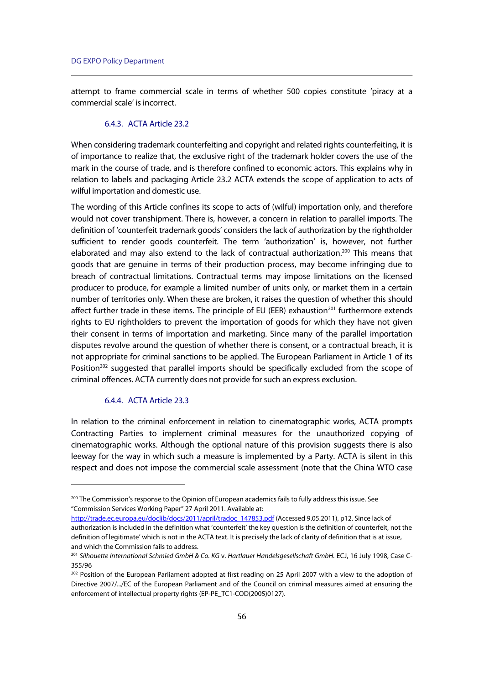attempt to frame commercial scale in terms of whether 500 copies constitute 'piracy at a commercial scale' is incorrect.

## 6.4.3. ACTA Article 23.2

When considering trademark counterfeiting and copyright and related rights counterfeiting, it is of importance to realize that, the exclusive right of the trademark holder covers the use of the mark in the course of trade, and is therefore confined to economic actors. This explains why in relation to labels and packaging Article 23.2 ACTA extends the scope of application to acts of wilful importation and domestic use.

The wording of this Article confines its scope to acts of (wilful) importation only, and therefore would not cover transhipment. There is, however, a concern in relation to parallel imports. The definition of 'counterfeit trademark goods' considers the lack of authorization by the rightholder sufficient to render goods counterfeit. The term 'authorization' is, however, not further elaborated and may also extend to the lack of contractual authorization.<sup>200</sup> This means that goods that are genuine in terms of their production process, may become infringing due to breach of contractual limitations. Contractual terms may impose limitations on the licensed producer to produce, for example a limited number of units only, or market them in a certain number of territories only. When these are broken, it raises the question of whether this should affect further trade in these items. The principle of EU (EER) exhaustion $^{201}$  furthermore extends rights to EU rightholders to prevent the importation of goods for which they have not given their consent in terms of importation and marketing. Since many of the parallel importation disputes revolve around the question of whether there is consent, or a contractual breach, it is not appropriate for criminal sanctions to be applied. The European Parliament in Article 1 of its Position<sup>202</sup> suggested that parallel imports should be specifically excluded from the scope of criminal offences. ACTA currently does not provide for such an express exclusion.

### 6.4.4. ACTA Article 23.3

j

In relation to the criminal enforcement in relation to cinematographic works, ACTA prompts Contracting Parties to implement criminal measures for the unauthorized copying of cinematographic works. Although the optional nature of this provision suggests there is also leeway for the way in which such a measure is implemented by a Party. ACTA is silent in this respect and does not impose the commercial scale assessment (note that the China WTO case

http://trade.ec.europa.eu/doclib/docs/2011/april/tradoc\_147853.pdf (Accessed 9.05.2011), p12. Since lack of authorization is included in the definition what 'counterfeit' the key question is the definition of counterfeit, not the definition of legitimate' which is not in the ACTA text. It is precisely the lack of clarity of definition that is at issue, and which the Commission fails to address.

<sup>&</sup>lt;sup>200</sup> The Commission's response to the Opinion of European academics fails to fully address this issue. See "Commission Services Working Paper" 27 April 2011. Available at:

<sup>&</sup>lt;sup>201</sup> Silhouette International Schmied GmbH & Co. KG v. Hartlauer Handelsgesellschaft GmbH. ECJ, 16 July 1998, Case C-355/96

<sup>&</sup>lt;sup>202</sup> Position of the European Parliament adopted at first reading on 25 April 2007 with a view to the adoption of Directive 2007/.../EC of the European Parliament and of the Council on criminal measures aimed at ensuring the enforcement of intellectual property rights (EP-PE\_TC1-COD(2005)0127).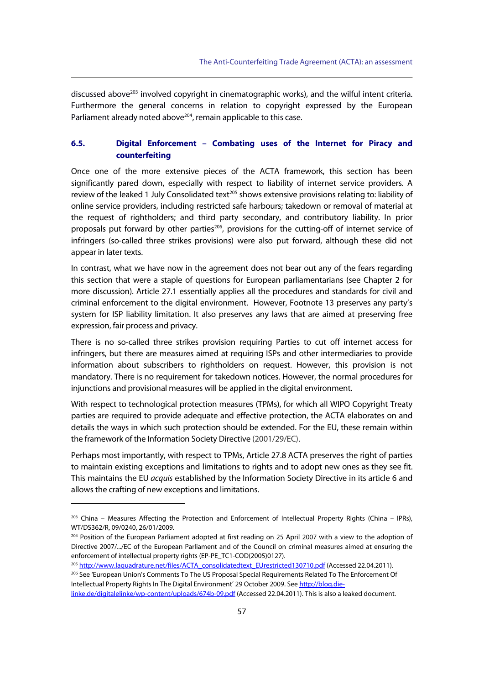discussed above<sup>203</sup> involved copyright in cinematographic works), and the wilful intent criteria. Furthermore the general concerns in relation to copyright expressed by the European Parliament already noted above $204$ , remain applicable to this case.

# **6.5. Digital Enforcement – Combating uses of the Internet for Piracy and counterfeiting**

Once one of the more extensive pieces of the ACTA framework, this section has been significantly pared down, especially with respect to liability of internet service providers. A review of the leaked 1 July Consolidated text<sup>205</sup> shows extensive provisions relating to: liability of online service providers, including restricted safe harbours; takedown or removal of material at the request of rightholders; and third party secondary, and contributory liability. In prior proposals put forward by other parties<sup>206</sup>, provisions for the cutting-off of internet service of infringers (so-called three strikes provisions) were also put forward, although these did not appear in later texts.

In contrast, what we have now in the agreement does not bear out any of the fears regarding this section that were a staple of questions for European parliamentarians (see Chapter 2 for more discussion). Article 27.1 essentially applies all the procedures and standards for civil and criminal enforcement to the digital environment. However, Footnote 13 preserves any party's system for ISP liability limitation. It also preserves any laws that are aimed at preserving free expression, fair process and privacy.

There is no so-called three strikes provision requiring Parties to cut off internet access for infringers, but there are measures aimed at requiring ISPs and other intermediaries to provide information about subscribers to rightholders on request. However, this provision is not mandatory. There is no requirement for takedown notices. However, the normal procedures for injunctions and provisional measures will be applied in the digital environment.

With respect to technological protection measures (TPMs), for which all WIPO Copyright Treaty parties are required to provide adequate and effective protection, the ACTA elaborates on and details the ways in which such protection should be extended. For the EU, these remain within the framework of the Information Society Directive (2001/29/EC).

Perhaps most importantly, with respect to TPMs, Article 27.8 ACTA preserves the right of parties to maintain existing exceptions and limitations to rights and to adopt new ones as they see fit. This maintains the EU acquis established by the Information Society Directive in its article 6 and allows the crafting of new exceptions and limitations.

<sup>203</sup> China – Measures Affecting the Protection and Enforcement of Intellectual Property Rights (China – IPRs), WT/DS362/R, 09/0240, 26/01/2009.

<sup>&</sup>lt;sup>204</sup> Position of the European Parliament adopted at first reading on 25 April 2007 with a view to the adoption of Directive 2007/.../EC of the European Parliament and of the Council on criminal measures aimed at ensuring the enforcement of intellectual property rights (EP-PE\_TC1-COD(2005)0127).

<sup>&</sup>lt;sup>205</sup> http://www.laquadrature.net/files/ACTA\_consolidatedtext\_EUrestricted130710.pdf (Accessed 22.04.2011). <sup>206</sup> See 'European Union's Comments To The US Proposal Special Requirements Related To The Enforcement Of Intellectual Property Rights In The Digital Environment' 29 October 2009. See http://blog.die-

linke.de/digitalelinke/wp-content/uploads/674b-09.pdf (Accessed 22.04.2011). This is also a leaked document.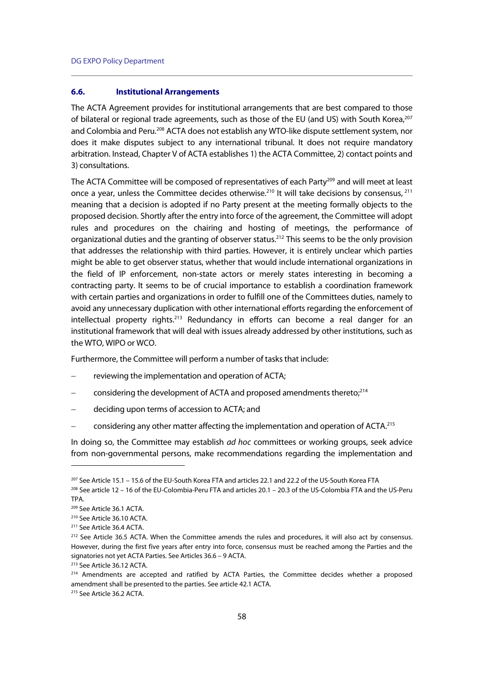### **6.6. Institutional Arrangements**

The ACTA Agreement provides for institutional arrangements that are best compared to those of bilateral or regional trade agreements, such as those of the EU (and US) with South Korea,<sup>207</sup> and Colombia and Peru.<sup>208</sup> ACTA does not establish any WTO-like dispute settlement system, nor does it make disputes subject to any international tribunal. It does not require mandatory arbitration. Instead, Chapter V of ACTA establishes 1) the ACTA Committee, 2) contact points and 3) consultations.

The ACTA Committee will be composed of representatives of each Party<sup>209</sup> and will meet at least once a year, unless the Committee decides otherwise.<sup>210</sup> It will take decisions by consensus,<sup>211</sup> meaning that a decision is adopted if no Party present at the meeting formally objects to the proposed decision. Shortly after the entry into force of the agreement, the Committee will adopt rules and procedures on the chairing and hosting of meetings, the performance of organizational duties and the granting of observer status.212 This seems to be the only provision that addresses the relationship with third parties. However, it is entirely unclear which parties might be able to get observer status, whether that would include international organizations in the field of IP enforcement, non-state actors or merely states interesting in becoming a contracting party. It seems to be of crucial importance to establish a coordination framework with certain parties and organizations in order to fulfill one of the Committees duties, namely to avoid any unnecessary duplication with other international efforts regarding the enforcement of intellectual property rights.<sup>213</sup> Redundancy in efforts can become a real danger for an institutional framework that will deal with issues already addressed by other institutions, such as the WTO, WIPO or WCO.

Furthermore, the Committee will perform a number of tasks that include:

- reviewing the implementation and operation of ACTA;
- considering the development of ACTA and proposed amendments thereto;<sup>214</sup>
- deciding upon terms of accession to ACTA; and
- considering any other matter affecting the implementation and operation of ACTA.<sup>215</sup>

In doing so, the Committee may establish *ad hoc* committees or working groups, seek advice from non-governmental persons, make recommendations regarding the implementation and

<sup>207</sup> See Article 15.1 – 15.6 of the EU-South Korea FTA and articles 22.1 and 22.2 of the US-South Korea FTA

<sup>208</sup> See article 12 – 16 of the EU-Colombia-Peru FTA and articles 20.1 – 20.3 of the US-Colombia FTA and the US-Peru TPA.

<sup>209</sup> See Article 36.1 ACTA.

<sup>210</sup> See Article 36.10 ACTA.

<sup>211</sup> See Article 36.4 ACTA.

<sup>&</sup>lt;sup>212</sup> See Article 36.5 ACTA. When the Committee amends the rules and procedures, it will also act by consensus. However, during the first five years after entry into force, consensus must be reached among the Parties and the signatories not yet ACTA Parties. See Articles 36.6 – 9 ACTA.

<sup>213</sup> See Article 36.12 ACTA.

<sup>&</sup>lt;sup>214</sup> Amendments are accepted and ratified by ACTA Parties, the Committee decides whether a proposed amendment shall be presented to the parties. See article 42.1 ACTA.

<sup>215</sup> See Article 36.2 ACTA.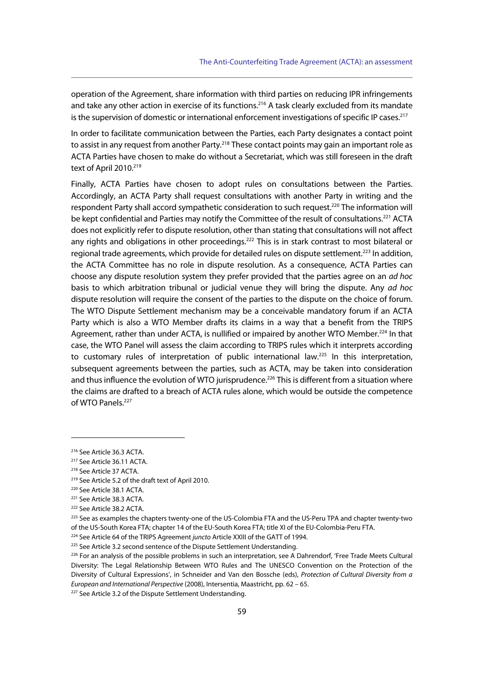operation of the Agreement, share information with third parties on reducing IPR infringements and take any other action in exercise of its functions.<sup>216</sup> A task clearly excluded from its mandate is the supervision of domestic or international enforcement investigations of specific IP cases.<sup>217</sup>

In order to facilitate communication between the Parties, each Party designates a contact point to assist in any request from another Party.<sup>218</sup> These contact points may gain an important role as ACTA Parties have chosen to make do without a Secretariat, which was still foreseen in the draft text of April 2010.<sup>219</sup>

Finally, ACTA Parties have chosen to adopt rules on consultations between the Parties. Accordingly, an ACTA Party shall request consultations with another Party in writing and the respondent Party shall accord sympathetic consideration to such request.<sup>220</sup> The information will be kept confidential and Parties may notify the Committee of the result of consultations.<sup>221</sup> ACTA does not explicitly refer to dispute resolution, other than stating that consultations will not affect any rights and obligations in other proceedings.<sup>222</sup> This is in stark contrast to most bilateral or regional trade agreements, which provide for detailed rules on dispute settlement.<sup>223</sup> In addition, the ACTA Committee has no role in dispute resolution. As a consequence, ACTA Parties can choose any dispute resolution system they prefer provided that the parties agree on an *ad hoc* basis to which arbitration tribunal or judicial venue they will bring the dispute. Any ad hoc dispute resolution will require the consent of the parties to the dispute on the choice of forum. The WTO Dispute Settlement mechanism may be a conceivable mandatory forum if an ACTA Party which is also a WTO Member drafts its claims in a way that a benefit from the TRIPS Agreement, rather than under ACTA, is nullified or impaired by another WTO Member.<sup>224</sup> In that case, the WTO Panel will assess the claim according to TRIPS rules which it interprets according to customary rules of interpretation of public international law.<sup>225</sup> In this interpretation, subsequent agreements between the parties, such as ACTA, may be taken into consideration and thus influence the evolution of WTO jurisprudence.<sup>226</sup> This is different from a situation where the claims are drafted to a breach of ACTA rules alone, which would be outside the competence of WTO Panels.227

<sup>216</sup> See Article 36.3 ACTA.

<sup>217</sup> See Article 36.11 ACTA.

<sup>218</sup> See Article 37 ACTA.

<sup>219</sup> See Article 5.2 of the draft text of April 2010.

<sup>220</sup> See Article 38.1 ACTA.

<sup>221</sup> See Article 38.3 ACTA.

<sup>222</sup> See Article 38.2 ACTA.

<sup>223</sup> See as examples the chapters twenty-one of the US-Colombia FTA and the US-Peru TPA and chapter twenty-two of the US-South Korea FTA; chapter 14 of the EU-South Korea FTA; title XI of the EU-Colombia-Peru FTA.<br><sup>224</sup> See Article 64 of the TRIPS Agreement *juncto* Article XXIII of the GATT of 1994.<br><sup>225</sup> See Article 3.2 second se

<sup>&</sup>lt;sup>226</sup> For an analysis of the possible problems in such an interpretation, see A Dahrendorf, 'Free Trade Meets Cultural Diversity: The Legal Relationship Between WTO Rules and The UNESCO Convention on the Protection of the Diversity of Cultural Expressions', in Schneider and Van den Bossche (eds), Protection of Cultural Diversity from a European and International Perspective (2008), Intersentia, Maastricht, pp. 62 – 65.<br><sup>227</sup> See Article 3.2 of the Dispute Settlement Understanding.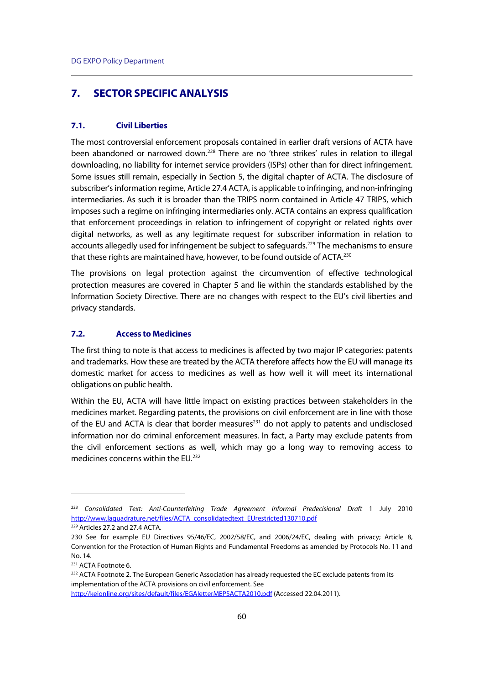# **7. SECTOR SPECIFIC ANALYSIS**

### **7.1. Civil Liberties**

The most controversial enforcement proposals contained in earlier draft versions of ACTA have been abandoned or narrowed down.<sup>228</sup> There are no 'three strikes' rules in relation to illegal downloading, no liability for internet service providers (ISPs) other than for direct infringement. Some issues still remain, especially in Section 5, the digital chapter of ACTA. The disclosure of subscriber's information regime, Article 27.4 ACTA, is applicable to infringing, and non-infringing intermediaries. As such it is broader than the TRIPS norm contained in Article 47 TRIPS, which imposes such a regime on infringing intermediaries only. ACTA contains an express qualification that enforcement proceedings in relation to infringement of copyright or related rights over digital networks, as well as any legitimate request for subscriber information in relation to accounts allegedly used for infringement be subject to safeguards.<sup>229</sup> The mechanisms to ensure that these rights are maintained have, however, to be found outside of ACTA.<sup>230</sup>

The provisions on legal protection against the circumvention of effective technological protection measures are covered in Chapter 5 and lie within the standards established by the Information Society Directive. There are no changes with respect to the EU's civil liberties and privacy standards.

## **7.2. Access to Medicines**

The first thing to note is that access to medicines is affected by two major IP categories: patents and trademarks. How these are treated by the ACTA therefore affects how the EU will manage its domestic market for access to medicines as well as how well it will meet its international obligations on public health.

Within the EU, ACTA will have little impact on existing practices between stakeholders in the medicines market. Regarding patents, the provisions on civil enforcement are in line with those of the EU and ACTA is clear that border measures<sup>231</sup> do not apply to patents and undisclosed information nor do criminal enforcement measures. In fact, a Party may exclude patents from the civil enforcement sections as well, which may go a long way to removing access to medicines concerns within the EU.232

<sup>228</sup> Consolidated Text: Anti-Counterfeiting Trade Agreement Informal Predecisional Draft 1 July 2010 http://www.laquadrature.net/files/ACTA\_consolidatedtext\_EUrestricted130710.pdf

<sup>229</sup> Articles 27.2 and 27.4 ACTA.

<sup>230</sup> See for example EU Directives 95/46/EC, 2002/58/EC, and 2006/24/EC, dealing with privacy; Article 8, Convention for the Protection of Human Rights and Fundamental Freedoms as amended by Protocols No. 11 and No. 14.

<sup>231</sup> ACTA Footnote 6.

<sup>&</sup>lt;sup>232</sup> ACTA Footnote 2. The European Generic Association has already requested the EC exclude patents from its implementation of the ACTA provisions on civil enforcement. See

http://keionline.org/sites/default/files/EGAletterMEPSACTA2010.pdf (Accessed 22.04.2011).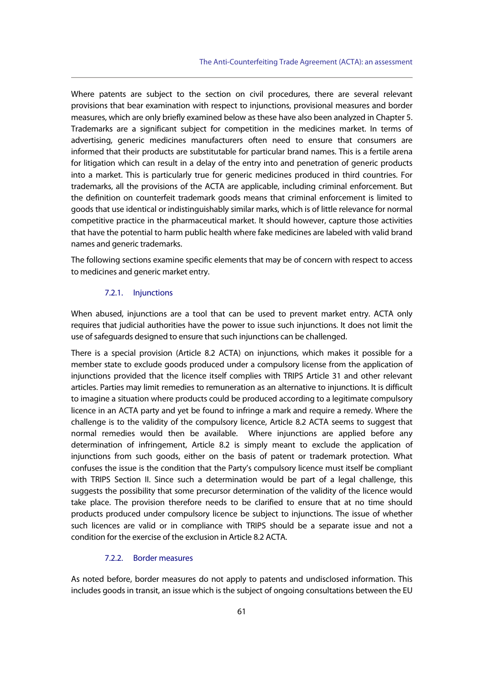Where patents are subject to the section on civil procedures, there are several relevant provisions that bear examination with respect to injunctions, provisional measures and border measures, which are only briefly examined below as these have also been analyzed in Chapter 5. Trademarks are a significant subject for competition in the medicines market. In terms of advertising, generic medicines manufacturers often need to ensure that consumers are informed that their products are substitutable for particular brand names. This is a fertile arena for litigation which can result in a delay of the entry into and penetration of generic products into a market. This is particularly true for generic medicines produced in third countries. For trademarks, all the provisions of the ACTA are applicable, including criminal enforcement. But the definition on counterfeit trademark goods means that criminal enforcement is limited to goods that use identical or indistinguishably similar marks, which is of little relevance for normal competitive practice in the pharmaceutical market. It should however, capture those activities that have the potential to harm public health where fake medicines are labeled with valid brand names and generic trademarks.

The following sections examine specific elements that may be of concern with respect to access to medicines and generic market entry.

## 7.2.1. Injunctions

When abused, injunctions are a tool that can be used to prevent market entry. ACTA only requires that judicial authorities have the power to issue such injunctions. It does not limit the use of safeguards designed to ensure that such injunctions can be challenged.

There is a special provision (Article 8.2 ACTA) on injunctions, which makes it possible for a member state to exclude goods produced under a compulsory license from the application of injunctions provided that the licence itself complies with TRIPS Article 31 and other relevant articles. Parties may limit remedies to remuneration as an alternative to injunctions. It is difficult to imagine a situation where products could be produced according to a legitimate compulsory licence in an ACTA party and yet be found to infringe a mark and require a remedy. Where the challenge is to the validity of the compulsory licence, Article 8.2 ACTA seems to suggest that normal remedies would then be available. Where injunctions are applied before any determination of infringement, Article 8.2 is simply meant to exclude the application of injunctions from such goods, either on the basis of patent or trademark protection. What confuses the issue is the condition that the Party's compulsory licence must itself be compliant with TRIPS Section II. Since such a determination would be part of a legal challenge, this suggests the possibility that some precursor determination of the validity of the licence would take place. The provision therefore needs to be clarified to ensure that at no time should products produced under compulsory licence be subject to injunctions. The issue of whether such licences are valid or in compliance with TRIPS should be a separate issue and not a condition for the exercise of the exclusion in Article 8.2 ACTA.

## 7.2.2. Border measures

As noted before, border measures do not apply to patents and undisclosed information. This includes goods in transit, an issue which is the subject of ongoing consultations between the EU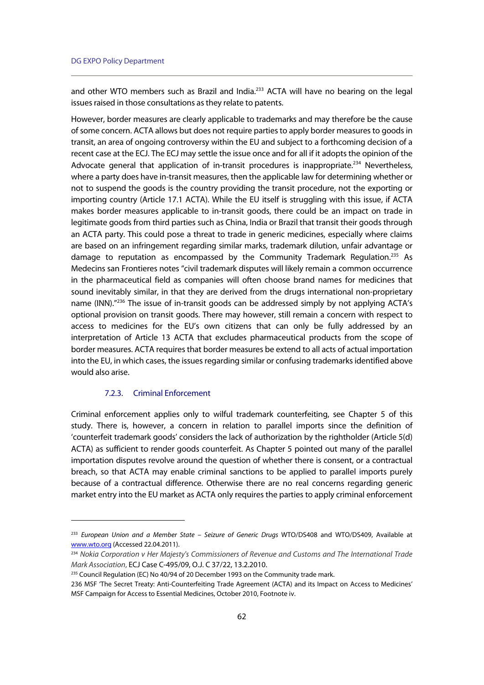and other WTO members such as Brazil and India.<sup>233</sup> ACTA will have no bearing on the legal issues raised in those consultations as they relate to patents.

However, border measures are clearly applicable to trademarks and may therefore be the cause of some concern. ACTA allows but does not require parties to apply border measures to goods in transit, an area of ongoing controversy within the EU and subject to a forthcoming decision of a recent case at the ECJ. The ECJ may settle the issue once and for all if it adopts the opinion of the Advocate general that application of in-transit procedures is inappropriate.<sup>234</sup> Nevertheless, where a party does have in-transit measures, then the applicable law for determining whether or not to suspend the goods is the country providing the transit procedure, not the exporting or importing country (Article 17.1 ACTA). While the EU itself is struggling with this issue, if ACTA makes border measures applicable to in-transit goods, there could be an impact on trade in legitimate goods from third parties such as China, India or Brazil that transit their goods through an ACTA party. This could pose a threat to trade in generic medicines, especially where claims are based on an infringement regarding similar marks, trademark dilution, unfair advantage or damage to reputation as encompassed by the Community Trademark Regulation.<sup>235</sup> As Medecins san Frontieres notes "civil trademark disputes will likely remain a common occurrence in the pharmaceutical field as companies will often choose brand names for medicines that sound inevitably similar, in that they are derived from the drugs international non-proprietary name (INN).<sup>"236</sup> The issue of in-transit goods can be addressed simply by not applying ACTA's optional provision on transit goods. There may however, still remain a concern with respect to access to medicines for the EU's own citizens that can only be fully addressed by an interpretation of Article 13 ACTA that excludes pharmaceutical products from the scope of border measures. ACTA requires that border measures be extend to all acts of actual importation into the EU, in which cases, the issues regarding similar or confusing trademarks identified above would also arise.

## 7.2.3. Criminal Enforcement

 $\overline{a}$ 

Criminal enforcement applies only to wilful trademark counterfeiting, see Chapter 5 of this study. There is, however, a concern in relation to parallel imports since the definition of 'counterfeit trademark goods' considers the lack of authorization by the rightholder (Article 5(d) ACTA) as sufficient to render goods counterfeit. As Chapter 5 pointed out many of the parallel importation disputes revolve around the question of whether there is consent, or a contractual breach, so that ACTA may enable criminal sanctions to be applied to parallel imports purely because of a contractual difference. Otherwise there are no real concerns regarding generic market entry into the EU market as ACTA only requires the parties to apply criminal enforcement

<sup>&</sup>lt;sup>233</sup> European Union and a Member State - Seizure of Generic Drugs WTO/DS408 and WTO/DS409, Available at www.wto.org (Accessed 22.04.2011).

<sup>234</sup> Nokia Corporation v Her Majesty's Commissioners of Revenue and Customs and The International Trade Mark Association, ECJ Case C-495/09, O.J. C 37/22, 13.2.2010.

<sup>&</sup>lt;sup>235</sup> Council Regulation (EC) No 40/94 of 20 December 1993 on the Community trade mark.

<sup>236</sup> MSF 'The Secret Treaty: Anti-Counterfeiting Trade Agreement (ACTA) and its Impact on Access to Medicines' MSF Campaign for Access to Essential Medicines, October 2010, Footnote iv.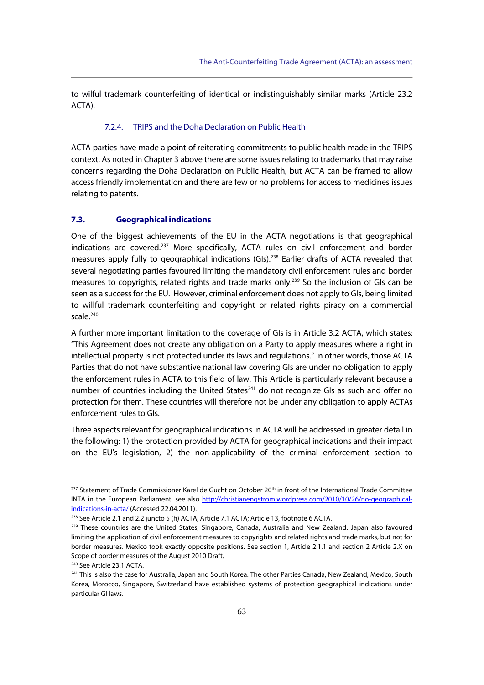to wilful trademark counterfeiting of identical or indistinguishably similar marks (Article 23.2 ACTA).

## 7.2.4. TRIPS and the Doha Declaration on Public Health

ACTA parties have made a point of reiterating commitments to public health made in the TRIPS context. As noted in Chapter 3 above there are some issues relating to trademarks that may raise concerns regarding the Doha Declaration on Public Health, but ACTA can be framed to allow access friendly implementation and there are few or no problems for access to medicines issues relating to patents.

### **7.3. Geographical indications**

One of the biggest achievements of the EU in the ACTA negotiations is that geographical indications are covered.<sup>237</sup> More specifically, ACTA rules on civil enforcement and border measures apply fully to geographical indications (GIs).<sup>238</sup> Earlier drafts of ACTA revealed that several negotiating parties favoured limiting the mandatory civil enforcement rules and border measures to copyrights, related rights and trade marks only.<sup>239</sup> So the inclusion of GIs can be seen as a success for the EU. However, criminal enforcement does not apply to GIs, being limited to willful trademark counterfeiting and copyright or related rights piracy on a commercial scale.<sup>240</sup>

A further more important limitation to the coverage of GIs is in Article 3.2 ACTA, which states: "This Agreement does not create any obligation on a Party to apply measures where a right in intellectual property is not protected under its laws and regulations." In other words, those ACTA Parties that do not have substantive national law covering GIs are under no obligation to apply the enforcement rules in ACTA to this field of law. This Article is particularly relevant because a number of countries including the United States<sup>241</sup> do not recognize GIs as such and offer no protection for them. These countries will therefore not be under any obligation to apply ACTAs enforcement rules to GIs.

Three aspects relevant for geographical indications in ACTA will be addressed in greater detail in the following: 1) the protection provided by ACTA for geographical indications and their impact on the EU's legislation, 2) the non-applicability of the criminal enforcement section to

<sup>&</sup>lt;sup>237</sup> Statement of Trade Commissioner Karel de Gucht on October 20<sup>th</sup> in front of the International Trade Committee INTA in the European Parliament, see also http://christianengstrom.wordpress.com/2010/10/26/no-geographical**indications-in-acta/** (Accessed 22.04.2011).<br><sup>238</sup> See Article 2.1 and 2.2 juncto 5 (h) ACTA; Article 7.1 ACTA; Article 13, footnote 6 ACTA.<br><sup>239</sup> These countries are the United States, Singapore, Canada, Australia and Ne

limiting the application of civil enforcement measures to copyrights and related rights and trade marks, but not for border measures. Mexico took exactly opposite positions. See section 1, Article 2.1.1 and section 2 Article 2.X on Scope of border measures of the August 2010 Draft.

<sup>240</sup> See Article 23.1 ACTA.

<sup>&</sup>lt;sup>241</sup> This is also the case for Australia, Japan and South Korea. The other Parties Canada, New Zealand, Mexico, South Korea, Morocco, Singapore, Switzerland have established systems of protection geographical indications under particular GI laws.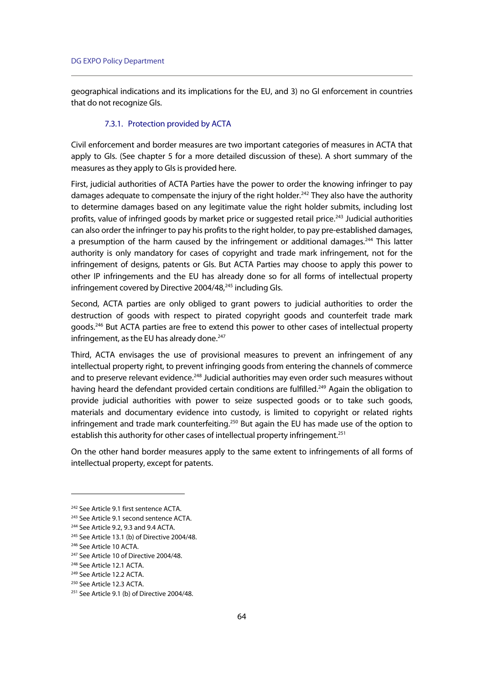geographical indications and its implications for the EU, and 3) no GI enforcement in countries that do not recognize GIs.

## 7.3.1. Protection provided by ACTA

Civil enforcement and border measures are two important categories of measures in ACTA that apply to GIs. (See chapter 5 for a more detailed discussion of these). A short summary of the measures as they apply to GIs is provided here.

First, judicial authorities of ACTA Parties have the power to order the knowing infringer to pay damages adequate to compensate the injury of the right holder.<sup>242</sup> They also have the authority to determine damages based on any legitimate value the right holder submits, including lost profits, value of infringed goods by market price or suggested retail price.<sup>243</sup> Judicial authorities can also order the infringer to pay his profits to the right holder, to pay pre-established damages, a presumption of the harm caused by the infringement or additional damages.<sup>244</sup> This latter authority is only mandatory for cases of copyright and trade mark infringement, not for the infringement of designs, patents or GIs. But ACTA Parties may choose to apply this power to other IP infringements and the EU has already done so for all forms of intellectual property infringement covered by Directive  $2004/48$ ,  $245$  including Gls.

Second, ACTA parties are only obliged to grant powers to judicial authorities to order the destruction of goods with respect to pirated copyright goods and counterfeit trade mark goods.246 But ACTA parties are free to extend this power to other cases of intellectual property infringement, as the EU has already done.<sup>247</sup>

Third, ACTA envisages the use of provisional measures to prevent an infringement of any intellectual property right, to prevent infringing goods from entering the channels of commerce and to preserve relevant evidence.<sup>248</sup> Judicial authorities may even order such measures without having heard the defendant provided certain conditions are fulfilled.<sup>249</sup> Again the obligation to provide judicial authorities with power to seize suspected goods or to take such goods, materials and documentary evidence into custody, is limited to copyright or related rights infringement and trade mark counterfeiting.<sup>250</sup> But again the EU has made use of the option to establish this authority for other cases of intellectual property infringement.<sup>251</sup>

On the other hand border measures apply to the same extent to infringements of all forms of intellectual property, except for patents.

<sup>242</sup> See Article 9.1 first sentence ACTA.

<sup>243</sup> See Article 9.1 second sentence ACTA.

<sup>244</sup> See Article 9.2, 9.3 and 9.4 ACTA.

<sup>245</sup> See Article 13.1 (b) of Directive 2004/48.

<sup>246</sup> See Article 10 ACTA.

<sup>&</sup>lt;sup>247</sup> See Article 10 of Directive 2004/48.

<sup>248</sup> See Article 12.1 ACTA.

<sup>249</sup> See Article 12.2 ACTA.

<sup>250</sup> See Article 12.3 ACTA.

<sup>&</sup>lt;sup>251</sup> See Article 9.1 (b) of Directive 2004/48.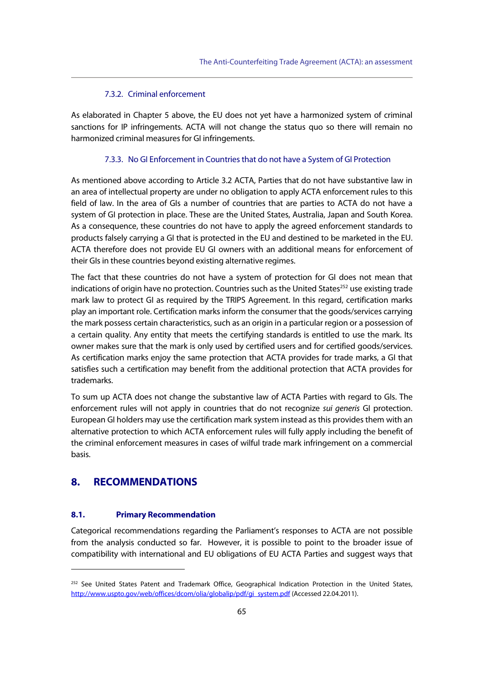# 7.3.2. Criminal enforcement

As elaborated in Chapter 5 above, the EU does not yet have a harmonized system of criminal sanctions for IP infringements. ACTA will not change the status quo so there will remain no harmonized criminal measures for GI infringements.

### 7.3.3. No GI Enforcement in Countries that do not have a System of GI Protection

As mentioned above according to Article 3.2 ACTA, Parties that do not have substantive law in an area of intellectual property are under no obligation to apply ACTA enforcement rules to this field of law. In the area of GIs a number of countries that are parties to ACTA do not have a system of GI protection in place. These are the United States, Australia, Japan and South Korea. As a consequence, these countries do not have to apply the agreed enforcement standards to products falsely carrying a GI that is protected in the EU and destined to be marketed in the EU. ACTA therefore does not provide EU GI owners with an additional means for enforcement of their GIs in these countries beyond existing alternative regimes.

The fact that these countries do not have a system of protection for GI does not mean that indications of origin have no protection. Countries such as the United States<sup>252</sup> use existing trade mark law to protect GI as required by the TRIPS Agreement. In this regard, certification marks play an important role. Certification marks inform the consumer that the goods/services carrying the mark possess certain characteristics, such as an origin in a particular region or a possession of a certain quality. Any entity that meets the certifying standards is entitled to use the mark. Its owner makes sure that the mark is only used by certified users and for certified goods/services. As certification marks enjoy the same protection that ACTA provides for trade marks, a GI that satisfies such a certification may benefit from the additional protection that ACTA provides for trademarks.

To sum up ACTA does not change the substantive law of ACTA Parties with regard to GIs. The enforcement rules will not apply in countries that do not recognize *sui generis* GI protection. European GI holders may use the certification mark system instead as this provides them with an alternative protection to which ACTA enforcement rules will fully apply including the benefit of the criminal enforcement measures in cases of wilful trade mark infringement on a commercial basis.

# **8. RECOMMENDATIONS**

j

## **8.1. Primary Recommendation**

Categorical recommendations regarding the Parliament's responses to ACTA are not possible from the analysis conducted so far. However, it is possible to point to the broader issue of compatibility with international and EU obligations of EU ACTA Parties and suggest ways that

<sup>&</sup>lt;sup>252</sup> See United States Patent and Trademark Office, Geographical Indication Protection in the United States, http://www.uspto.gov/web/offices/dcom/olia/globalip/pdf/gi\_system.pdf (Accessed 22.04.2011).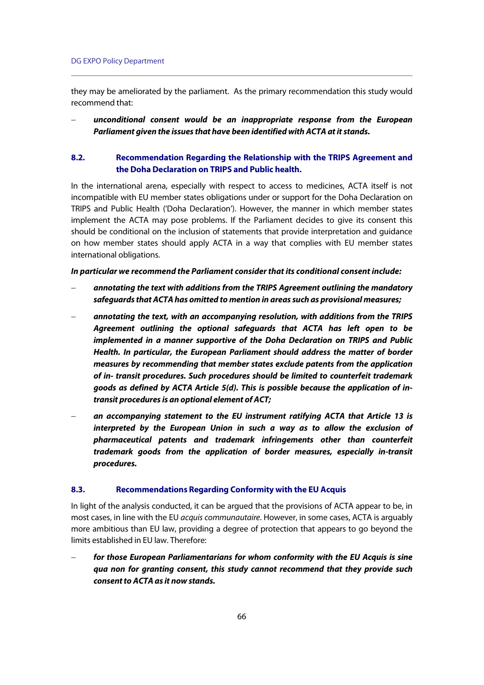they may be ameliorated by the parliament. As the primary recommendation this study would recommend that:

 **unconditional consent would be an inappropriate response from the European Parliament given the issues that have been identified with ACTA at it stands.** 

# **8.2. Recommendation Regarding the Relationship with the TRIPS Agreement and the Doha Declaration on TRIPS and Public health.**

In the international arena, especially with respect to access to medicines, ACTA itself is not incompatible with EU member states obligations under or support for the Doha Declaration on TRIPS and Public Health ('Doha Declaration'). However, the manner in which member states implement the ACTA may pose problems. If the Parliament decides to give its consent this should be conditional on the inclusion of statements that provide interpretation and guidance on how member states should apply ACTA in a way that complies with EU member states international obligations.

### **In particular we recommend the Parliament consider that its conditional consent include:**

- **annotating the text with additions from the TRIPS Agreement outlining the mandatory safeguards that ACTA has omitted to mention in areas such as provisional measures;**
- **annotating the text, with an accompanying resolution, with additions from the TRIPS Agreement outlining the optional safeguards that ACTA has left open to be implemented in a manner supportive of the Doha Declaration on TRIPS and Public Health. In particular, the European Parliament should address the matter of border measures by recommending that member states exclude patents from the application of in- transit procedures. Such procedures should be limited to counterfeit trademark goods as defined by ACTA Article 5(d). This is possible because the application of intransit procedures is an optional element of ACT;**
- **an accompanying statement to the EU instrument ratifying ACTA that Article 13 is interpreted by the European Union in such a way as to allow the exclusion of pharmaceutical patents and trademark infringements other than counterfeit trademark goods from the application of border measures, especially in-transit procedures.**

### **8.3. Recommendations Regarding Conformity with the EU Acquis**

In light of the analysis conducted, it can be argued that the provisions of ACTA appear to be, in most cases, in line with the EU acquis communautaire. However, in some cases, ACTA is arguably more ambitious than EU law, providing a degree of protection that appears to go beyond the limits established in EU law. Therefore:

 **for those European Parliamentarians for whom conformity with the EU Acquis is sine qua non for granting consent, this study cannot recommend that they provide such consent to ACTA as it now stands.**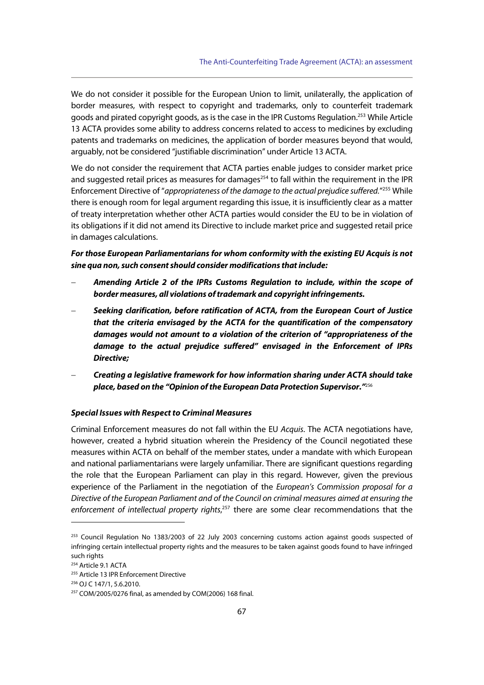We do not consider it possible for the European Union to limit, unilaterally, the application of border measures, with respect to copyright and trademarks, only to counterfeit trademark goods and pirated copyright goods, as is the case in the IPR Customs Regulation.253 While Article 13 ACTA provides some ability to address concerns related to access to medicines by excluding patents and trademarks on medicines, the application of border measures beyond that would, arguably, not be considered "justifiable discrimination" under Article 13 ACTA.

We do not consider the requirement that ACTA parties enable judges to consider market price and suggested retail prices as measures for damages<sup>254</sup> to fall within the requirement in the IPR Enforcement Directive of "appropriateness of the damage to the actual prejudice suffered."<sup>255</sup> While there is enough room for legal argument regarding this issue, it is insufficiently clear as a matter of treaty interpretation whether other ACTA parties would consider the EU to be in violation of its obligations if it did not amend its Directive to include market price and suggested retail price in damages calculations.

# **For those European Parliamentarians for whom conformity with the existing EU Acquis is not sine qua non, such consent should consider modifications that include:**

- **Amending Article 2 of the IPRs Customs Regulation to include, within the scope of border measures, all violations of trademark and copyright infringements.**
- **Seeking clarification, before ratification of ACTA, from the European Court of Justice that the criteria envisaged by the ACTA for the quantification of the compensatory damages would not amount to a violation of the criterion of "appropriateness of the damage to the actual prejudice suffered" envisaged in the Enforcement of IPRs Directive;**
- **Creating a legislative framework for how information sharing under ACTA should take place, based on the "Opinion of the European Data Protection Supervisor."**<sup>256</sup>

## **Special Issues with Respect to Criminal Measures**

Criminal Enforcement measures do not fall within the EU Acquis. The ACTA negotiations have, however, created a hybrid situation wherein the Presidency of the Council negotiated these measures within ACTA on behalf of the member states, under a mandate with which European and national parliamentarians were largely unfamiliar. There are significant questions regarding the role that the European Parliament can play in this regard. However, given the previous experience of the Parliament in the negotiation of the European's Commission proposal for a Directive of the European Parliament and of the Council on criminal measures aimed at ensuring the enforcement of intellectual property rights,<sup>257</sup> there are some clear recommendations that the

<sup>&</sup>lt;sup>253</sup> Council Regulation No 1383/2003 of 22 July 2003 concerning customs action against goods suspected of infringing certain intellectual property rights and the measures to be taken against goods found to have infringed such rights

<sup>254</sup> Article 9.1 ACTA

<sup>255</sup> Article 13 IPR Enforcement Directive

<sup>256</sup> OJ C 147/1, 5.6.2010.

 $257$  COM/2005/0276 final, as amended by COM(2006) 168 final.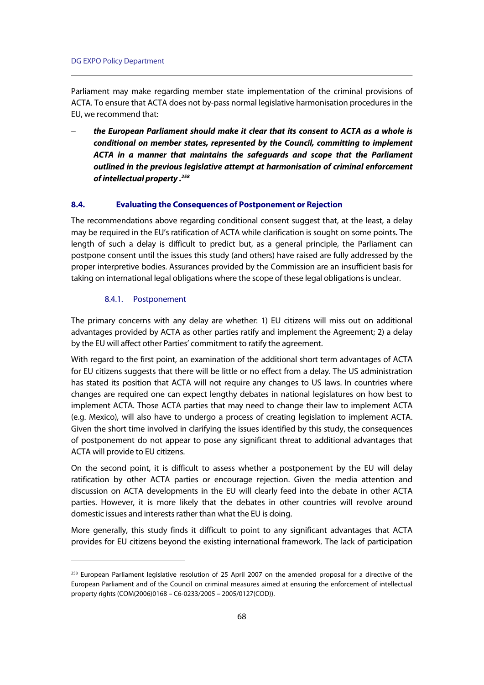Parliament may make regarding member state implementation of the criminal provisions of ACTA. To ensure that ACTA does not by-pass normal legislative harmonisation procedures in the EU, we recommend that:

 **the European Parliament should make it clear that its consent to ACTA as a whole is conditional on member states, represented by the Council, committing to implement ACTA in a manner that maintains the safeguards and scope that the Parliament outlined in the previous legislative attempt at harmonisation of criminal enforcement of intellectual property .258** 

## **8.4. Evaluating the Consequences of Postponement or Rejection**

The recommendations above regarding conditional consent suggest that, at the least, a delay may be required in the EU's ratification of ACTA while clarification is sought on some points. The length of such a delay is difficult to predict but, as a general principle, the Parliament can postpone consent until the issues this study (and others) have raised are fully addressed by the proper interpretive bodies. Assurances provided by the Commission are an insufficient basis for taking on international legal obligations where the scope of these legal obligations is unclear.

### 8.4.1. Postponement

j

The primary concerns with any delay are whether: 1) EU citizens will miss out on additional advantages provided by ACTA as other parties ratify and implement the Agreement; 2) a delay by the EU will affect other Parties' commitment to ratify the agreement.

With regard to the first point, an examination of the additional short term advantages of ACTA for EU citizens suggests that there will be little or no effect from a delay. The US administration has stated its position that ACTA will not require any changes to US laws. In countries where changes are required one can expect lengthy debates in national legislatures on how best to implement ACTA. Those ACTA parties that may need to change their law to implement ACTA (e.g. Mexico), will also have to undergo a process of creating legislation to implement ACTA. Given the short time involved in clarifying the issues identified by this study, the consequences of postponement do not appear to pose any significant threat to additional advantages that ACTA will provide to EU citizens.

On the second point, it is difficult to assess whether a postponement by the EU will delay ratification by other ACTA parties or encourage rejection. Given the media attention and discussion on ACTA developments in the EU will clearly feed into the debate in other ACTA parties. However, it is more likely that the debates in other countries will revolve around domestic issues and interests rather than what the EU is doing.

More generally, this study finds it difficult to point to any significant advantages that ACTA provides for EU citizens beyond the existing international framework. The lack of participation

<sup>258</sup> European Parliament legislative resolution of 25 April 2007 on the amended proposal for a directive of the European Parliament and of the Council on criminal measures aimed at ensuring the enforcement of intellectual property rights (COM(2006)0168 – C6-0233/2005 – 2005/0127(COD)).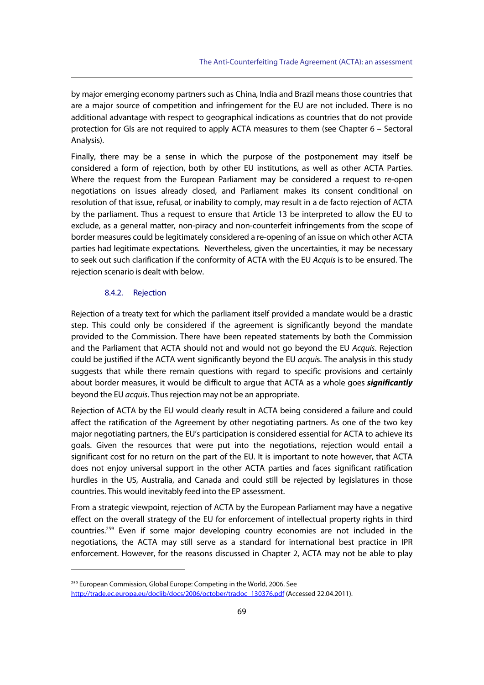by major emerging economy partners such as China, India and Brazil means those countries that are a major source of competition and infringement for the EU are not included. There is no additional advantage with respect to geographical indications as countries that do not provide protection for GIs are not required to apply ACTA measures to them (see Chapter 6 – Sectoral Analysis).

Finally, there may be a sense in which the purpose of the postponement may itself be considered a form of rejection, both by other EU institutions, as well as other ACTA Parties. Where the request from the European Parliament may be considered a request to re-open negotiations on issues already closed, and Parliament makes its consent conditional on resolution of that issue, refusal, or inability to comply, may result in a de facto rejection of ACTA by the parliament. Thus a request to ensure that Article 13 be interpreted to allow the EU to exclude, as a general matter, non-piracy and non-counterfeit infringements from the scope of border measures could be legitimately considered a re-opening of an issue on which other ACTA parties had legitimate expectations. Nevertheless, given the uncertainties, it may be necessary to seek out such clarification if the conformity of ACTA with the EU Acquis is to be ensured. The rejection scenario is dealt with below.

## 8.4.2. Rejection

j

Rejection of a treaty text for which the parliament itself provided a mandate would be a drastic step. This could only be considered if the agreement is significantly beyond the mandate provided to the Commission. There have been repeated statements by both the Commission and the Parliament that ACTA should not and would not go beyond the EU Acquis. Rejection could be justified if the ACTA went significantly beyond the EU *acquis*. The analysis in this study suggests that while there remain questions with regard to specific provisions and certainly about border measures, it would be difficult to argue that ACTA as a whole goes **significantly** beyond the EU acquis. Thus rejection may not be an appropriate.

Rejection of ACTA by the EU would clearly result in ACTA being considered a failure and could affect the ratification of the Agreement by other negotiating partners. As one of the two key major negotiating partners, the EU's participation is considered essential for ACTA to achieve its goals. Given the resources that were put into the negotiations, rejection would entail a significant cost for no return on the part of the EU. It is important to note however, that ACTA does not enjoy universal support in the other ACTA parties and faces significant ratification hurdles in the US, Australia, and Canada and could still be rejected by legislatures in those countries. This would inevitably feed into the EP assessment.

From a strategic viewpoint, rejection of ACTA by the European Parliament may have a negative effect on the overall strategy of the EU for enforcement of intellectual property rights in third countries.259 Even if some major developing country economies are not included in the negotiations, the ACTA may still serve as a standard for international best practice in IPR enforcement. However, for the reasons discussed in Chapter 2, ACTA may not be able to play

<sup>&</sup>lt;sup>259</sup> European Commission, Global Europe: Competing in the World, 2006. See http://trade.ec.europa.eu/doclib/docs/2006/october/tradoc\_130376.pdf (Accessed 22.04.2011).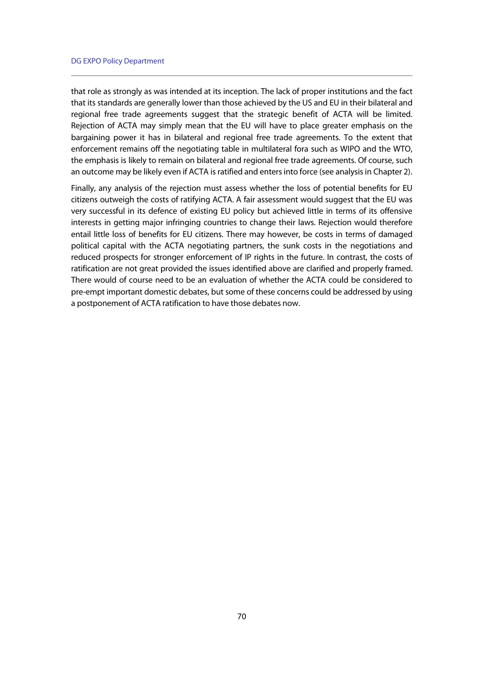that role as strongly as was intended at its inception. The lack of proper institutions and the fact that its standards are generally lower than those achieved by the US and EU in their bilateral and regional free trade agreements suggest that the strategic benefit of ACTA will be limited. Rejection of ACTA may simply mean that the EU will have to place greater emphasis on the bargaining power it has in bilateral and regional free trade agreements. To the extent that enforcement remains off the negotiating table in multilateral fora such as WIPO and the WTO, the emphasis is likely to remain on bilateral and regional free trade agreements. Of course, such an outcome may be likely even if ACTA is ratified and enters into force (see analysis in Chapter 2).

Finally, any analysis of the rejection must assess whether the loss of potential benefits for EU citizens outweigh the costs of ratifying ACTA. A fair assessment would suggest that the EU was very successful in its defence of existing EU policy but achieved little in terms of its offensive interests in getting major infringing countries to change their laws. Rejection would therefore entail little loss of benefits for EU citizens. There may however, be costs in terms of damaged political capital with the ACTA negotiating partners, the sunk costs in the negotiations and reduced prospects for stronger enforcement of IP rights in the future. In contrast, the costs of ratification are not great provided the issues identified above are clarified and properly framed. There would of course need to be an evaluation of whether the ACTA could be considered to pre-empt important domestic debates, but some of these concerns could be addressed by using a postponement of ACTA ratification to have those debates now.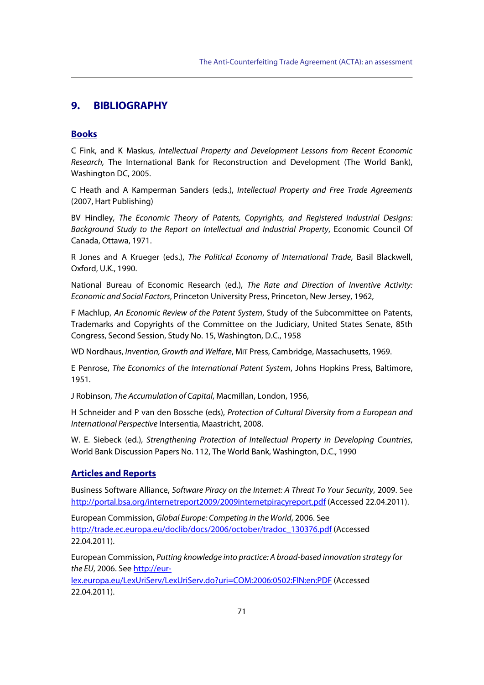# **9. BIBLIOGRAPHY**

## **Books**

C Fink, and K Maskus, Intellectual Property and Development Lessons from Recent Economic Research, The International Bank for Reconstruction and Development (The World Bank), Washington DC, 2005.

C Heath and A Kamperman Sanders (eds.), Intellectual Property and Free Trade Agreements (2007, Hart Publishing)

BV Hindley, The Economic Theory of Patents, Copyrights, and Registered Industrial Designs: Background Study to the Report on Intellectual and Industrial Property, Economic Council Of Canada, Ottawa, 1971.

R Jones and A Krueger (eds.), The Political Economy of International Trade, Basil Blackwell, Oxford, U.K., 1990.

National Bureau of Economic Research (ed.), The Rate and Direction of Inventive Activity: Economic and Social Factors, Princeton University Press, Princeton, New Jersey, 1962,

F Machlup, An Economic Review of the Patent System, Study of the Subcommittee on Patents, Trademarks and Copyrights of the Committee on the Judiciary, United States Senate, 85th Congress, Second Session, Study No. 15, Washington, D.C., 1958

WD Nordhaus, Invention, Growth and Welfare, MIT Press, Cambridge, Massachusetts, 1969.

E Penrose, The Economics of the International Patent System, Johns Hopkins Press, Baltimore, 1951.

J Robinson, The Accumulation of Capital, Macmillan, London, 1956,

H Schneider and P van den Bossche (eds), Protection of Cultural Diversity from a European and International Perspective Intersentia, Maastricht, 2008.

W. E. Siebeck (ed.), Strengthening Protection of Intellectual Property in Developing Countries, World Bank Discussion Papers No. 112, The World Bank, Washington, D.C., 1990

## **Articles and Reports**

Business Software Alliance, Software Piracy on the Internet: A Threat To Your Security, 2009. See http://portal.bsa.org/internetreport2009/2009internetpiracyreport.pdf (Accessed 22.04.2011).

European Commission, Global Europe: Competing in the World, 2006. See http://trade.ec.europa.eu/doclib/docs/2006/october/tradoc\_130376.pdf (Accessed 22.04.2011).

European Commission, Putting knowledge into practice: A broad-based innovation strategy for the EU, 2006. See http://eur-

lex.europa.eu/LexUriServ/LexUriServ.do?uri=COM:2006:0502:FIN:en:PDF (Accessed 22.04.2011).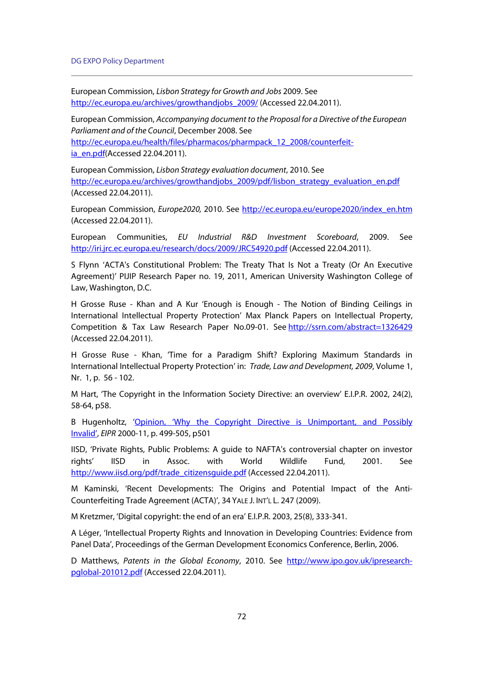European Commission, Lisbon Strategy for Growth and Jobs 2009. See http://ec.europa.eu/archives/growthandjobs\_2009/ (Accessed 22.04.2011).

European Commission, Accompanying document to the Proposal for a Directive of the European Parliament and of the Council, December 2008. See http://ec.europa.eu/health/files/pharmacos/pharmpack\_12\_2008/counterfeitia\_en.pdf(Accessed 22.04.2011).

European Commission, Lisbon Strategy evaluation document, 2010. See http://ec.europa.eu/archives/growthandjobs\_2009/pdf/lisbon\_strategy\_evaluation\_en.pdf (Accessed 22.04.2011).

European Commission, Europe2020, 2010. See http://ec.europa.eu/europe2020/index\_en.htm (Accessed 22.04.2011).

European Communities, EU Industrial R&D Investment Scoreboard, 2009. See http://iri.jrc.ec.europa.eu/research/docs/2009/JRC54920.pdf (Accessed 22.04.2011).

S Flynn 'ACTA's Constitutional Problem: The Treaty That Is Not a Treaty (Or An Executive Agreement)' PIJIP Research Paper no. 19, 2011, American University Washington College of Law, Washington, D.C.

H Grosse Ruse - Khan and A Kur 'Enough is Enough - The Notion of Binding Ceilings in International Intellectual Property Protection' Max Planck Papers on Intellectual Property, Competition & Tax Law Research Paper No.09-01. See http://ssrn.com/abstract=1326429 (Accessed 22.04.2011).

H Grosse Ruse - Khan, 'Time for a Paradigm Shift? Exploring Maximum Standards in International Intellectual Property Protection' in: Trade, Law and Development, 2009, Volume 1, Nr. 1, p. 56 - 102.

M Hart, 'The Copyright in the Information Society Directive: an overview' E.I.P.R. 2002, 24(2), 58-64, p58.

B Hugenholtz, 'Opinion, 'Why the Copyright Directive is Unimportant, and Possibly Invalid', EIPR 2000-11, p. 499-505, p501

IISD, 'Private Rights, Public Problems: A guide to NAFTA's controversial chapter on investor rights' IISD in Assoc. with World Wildlife Fund, 2001. See http://www.iisd.org/pdf/trade\_citizensquide.pdf (Accessed 22.04.2011).

M Kaminski, 'Recent Developments: The Origins and Potential Impact of the Anti-Counterfeiting Trade Agreement (ACTA)', 34 YALE J. INT'L L. 247 (2009).

M Kretzmer, 'Digital copyright: the end of an era' E.I.P.R. 2003, 25(8), 333-341.

A Léger, 'Intellectual Property Rights and Innovation in Developing Countries: Evidence from Panel Data', Proceedings of the German Development Economics Conference, Berlin, 2006.

D Matthews, Patents in the Global Economy, 2010. See http://www.ipo.gov.uk/ipresearchpglobal-201012.pdf (Accessed 22.04.2011).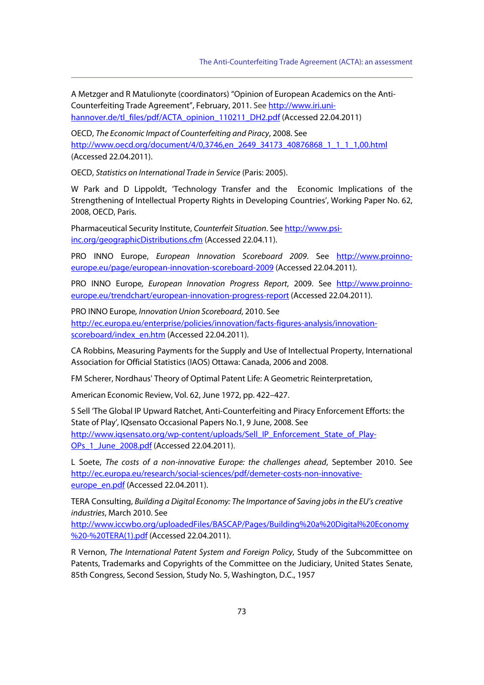A Metzger and R Matulionyte (coordinators) "Opinion of European Academics on the Anti-Counterfeiting Trade Agreement", February, 2011. See http://www.iri.unihannover.de/tl\_files/pdf/ACTA\_opinion\_110211\_DH2.pdf (Accessed 22.04.2011)

OECD, The Economic Impact of Counterfeiting and Piracy, 2008. See http://www.oecd.org/document/4/0,3746,en\_2649\_34173\_40876868\_1\_1\_1\_1,00.html (Accessed 22.04.2011).

OECD, Statistics on International Trade in Service (Paris: 2005).

W Park and D Lippoldt, 'Technology Transfer and the Economic Implications of the Strengthening of Intellectual Property Rights in Developing Countries', Working Paper No. 62, 2008, OECD, Paris.

Pharmaceutical Security Institute, Counterfeit Situation. See http://www.psiinc.org/geographicDistributions.cfm (Accessed 22.04.11).

PRO INNO Europe, European Innovation Scoreboard 2009. See http://www.proinnoeurope.eu/page/european-innovation-scoreboard-2009 (Accessed 22.04.2011).

PRO INNO Europe, European Innovation Progress Report, 2009. See http://www.proinnoeurope.eu/trendchart/european-innovation-progress-report (Accessed 22.04.2011).

PRO INNO Europe, Innovation Union Scoreboard, 2010. See http://ec.europa.eu/enterprise/policies/innovation/facts-figures-analysis/innovationscoreboard/index\_en.htm (Accessed 22.04.2011).

CA Robbins, Measuring Payments for the Supply and Use of Intellectual Property, International Association for Official Statistics (IAOS) Ottawa: Canada, 2006 and 2008.

FM Scherer, Nordhaus' Theory of Optimal Patent Life: A Geometric Reinterpretation,

American Economic Review, Vol. 62, June 1972, pp. 422–427.

S Sell 'The Global IP Upward Ratchet, Anti-Counterfeiting and Piracy Enforcement Efforts: the State of Play', IQsensato Occasional Papers No.1, 9 June, 2008. See http://www.iqsensato.org/wp-content/uploads/Sell\_IP\_Enforcement\_State\_of\_Play-OPs\_1\_June\_2008.pdf (Accessed 22.04.2011).

L Soete, The costs of a non-innovative Europe: the challenges ahead, September 2010. See http://ec.europa.eu/research/social-sciences/pdf/demeter-costs-non-innovativeeurope\_en.pdf (Accessed 22.04.2011).

TERA Consulting, Building a Digital Economy: The Importance of Saving jobs in the EU's creative industries, March 2010. See

http://www.iccwbo.org/uploadedFiles/BASCAP/Pages/Building%20a%20Digital%20Economy %20-%20TERA(1).pdf (Accessed 22.04.2011).

R Vernon, The International Patent System and Foreign Policy, Study of the Subcommittee on Patents, Trademarks and Copyrights of the Committee on the Judiciary, United States Senate, 85th Congress, Second Session, Study No. 5, Washington, D.C., 1957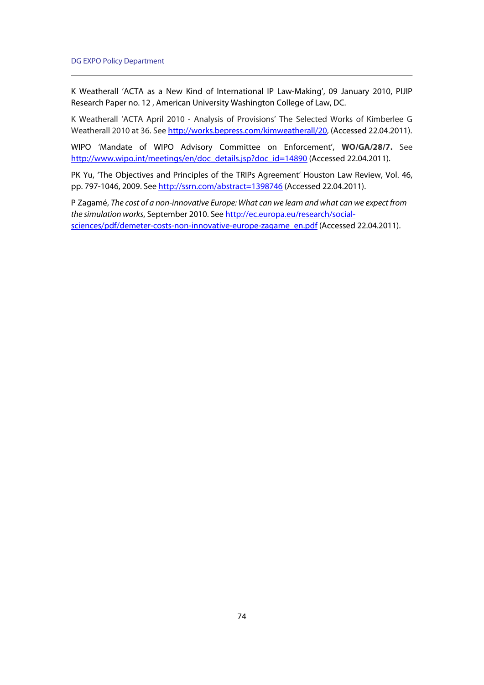K Weatherall 'ACTA as a New Kind of International IP Law-Making', 09 January 2010, PIJIP Research Paper no. 12 , American University Washington College of Law, DC.

K Weatherall 'ACTA April 2010 - Analysis of Provisions' The Selected Works of Kimberlee G Weatherall 2010 at 36. See http://works.bepress.com/kimweatherall/20, (Accessed 22.04.2011).

WIPO 'Mandate of WIPO Advisory Committee on Enforcement', **WO/GA/28/7.** See http://www.wipo.int/meetings/en/doc\_details.jsp?doc\_id=14890 (Accessed 22.04.2011).

PK Yu, 'The Objectives and Principles of the TRIPs Agreement' Houston Law Review, Vol. 46, pp. 797-1046, 2009. See http://ssrn.com/abstract=1398746 (Accessed 22.04.2011).

P Zagamé, The cost of a non-innovative Europe: What can we learn and what can we expect from the simulation works, September 2010. See http://ec.europa.eu/research/socialsciences/pdf/demeter-costs-non-innovative-europe-zagame\_en.pdf (Accessed 22.04.2011).